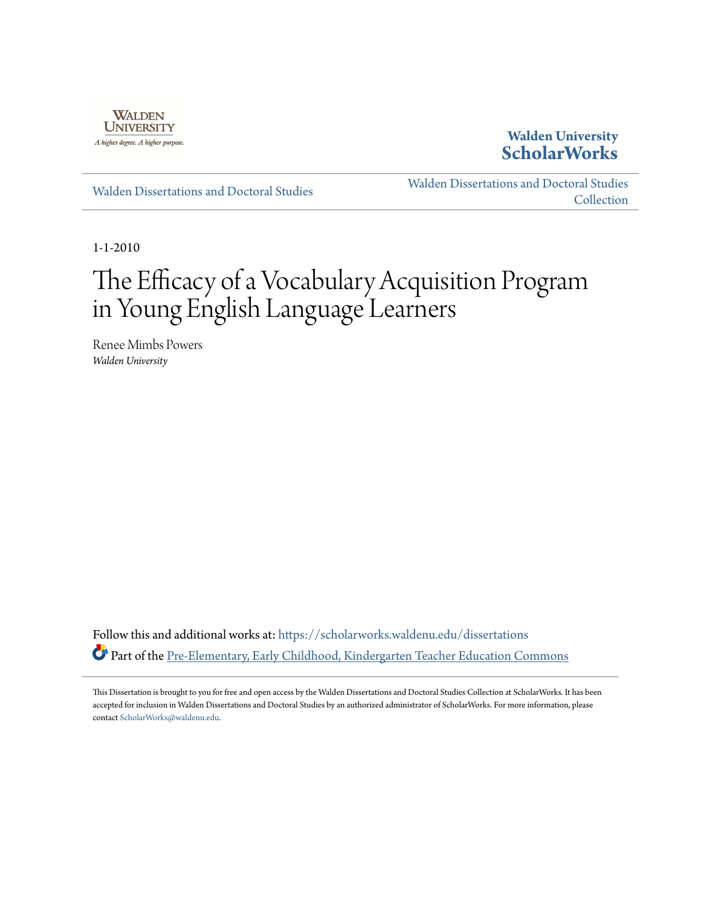

## **Walden University [ScholarWorks](https://scholarworks.waldenu.edu?utm_source=scholarworks.waldenu.edu%2Fdissertations%2F854&utm_medium=PDF&utm_campaign=PDFCoverPages)**

[Walden Dissertations and Doctoral Studies](https://scholarworks.waldenu.edu/dissertations?utm_source=scholarworks.waldenu.edu%2Fdissertations%2F854&utm_medium=PDF&utm_campaign=PDFCoverPages)

[Walden Dissertations and Doctoral Studies](https://scholarworks.waldenu.edu/dissanddoc?utm_source=scholarworks.waldenu.edu%2Fdissertations%2F854&utm_medium=PDF&utm_campaign=PDFCoverPages) **[Collection](https://scholarworks.waldenu.edu/dissanddoc?utm_source=scholarworks.waldenu.edu%2Fdissertations%2F854&utm_medium=PDF&utm_campaign=PDFCoverPages)** 

1-1-2010

# The Efficacy of a Vocabulary Acquisition Program in Young English Language Learners

Renee Mimbs Powers *Walden University*

Follow this and additional works at: [https://scholarworks.waldenu.edu/dissertations](https://scholarworks.waldenu.edu/dissertations?utm_source=scholarworks.waldenu.edu%2Fdissertations%2F854&utm_medium=PDF&utm_campaign=PDFCoverPages) Part of the [Pre-Elementary, Early Childhood, Kindergarten Teacher Education Commons](http://network.bepress.com/hgg/discipline/808?utm_source=scholarworks.waldenu.edu%2Fdissertations%2F854&utm_medium=PDF&utm_campaign=PDFCoverPages)

This Dissertation is brought to you for free and open access by the Walden Dissertations and Doctoral Studies Collection at ScholarWorks. It has been accepted for inclusion in Walden Dissertations and Doctoral Studies by an authorized administrator of ScholarWorks. For more information, please contact [ScholarWorks@waldenu.edu](mailto:ScholarWorks@waldenu.edu).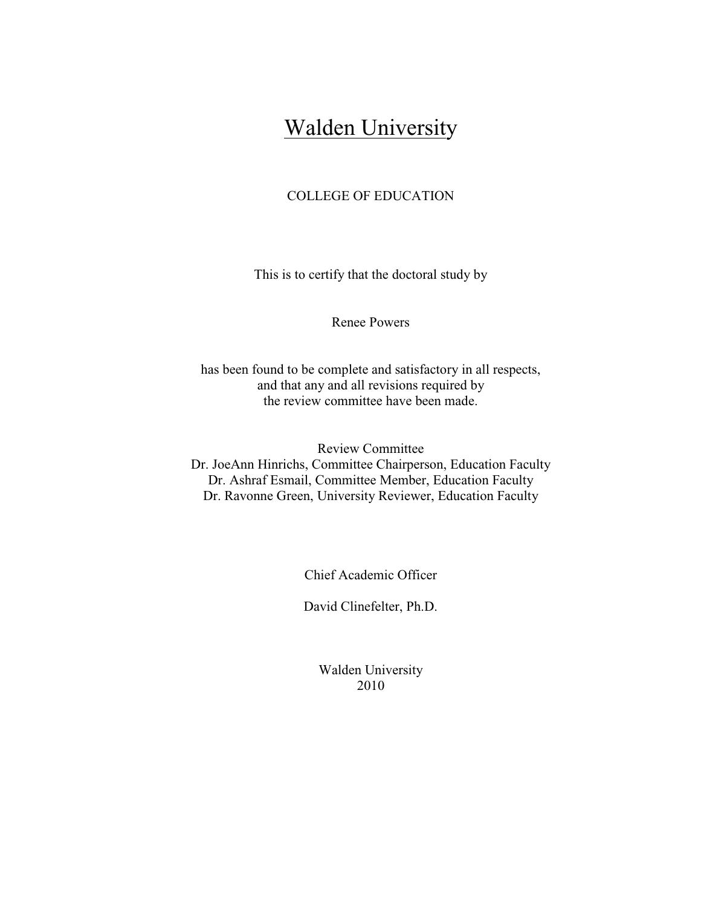## **Walden University**

### COLLEGE OF EDUCATION

This is to certify that the doctoral study by

Renee Powers

has been found to be complete and satisfactory in all respects, and that any and all revisions required by the review committee have been made.

Review Committee Dr. JoeAnn Hinrichs, Committee Chairperson, Education Faculty Dr. Ashraf Esmail, Committee Member, Education Faculty Dr. Ravonne Green, University Reviewer, Education Faculty

Chief Academic Officer

David Clinefelter, Ph.D.

Walden University 2010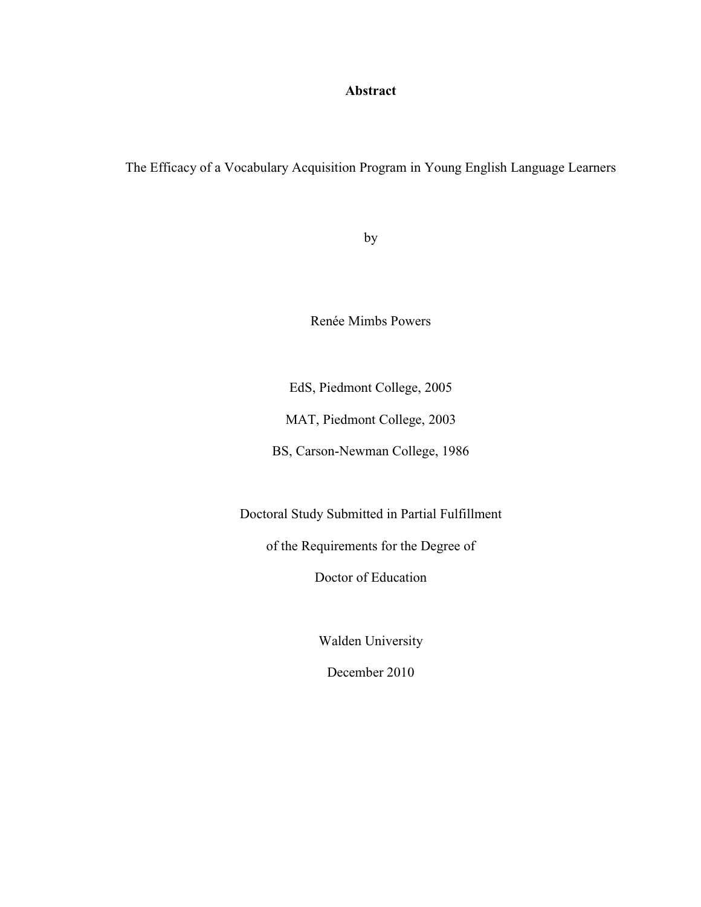## **Abstract**

## The Efficacy of a Vocabulary Acquisition Program in Young English Language Learners

by

Renée Mimbs Powers

EdS, Piedmont College, 2005

MAT, Piedmont College, 2003

BS, Carson-Newman College, 1986

Doctoral Study Submitted in Partial Fulfillment

of the Requirements for the Degree of

Doctor of Education

Walden University

December 2010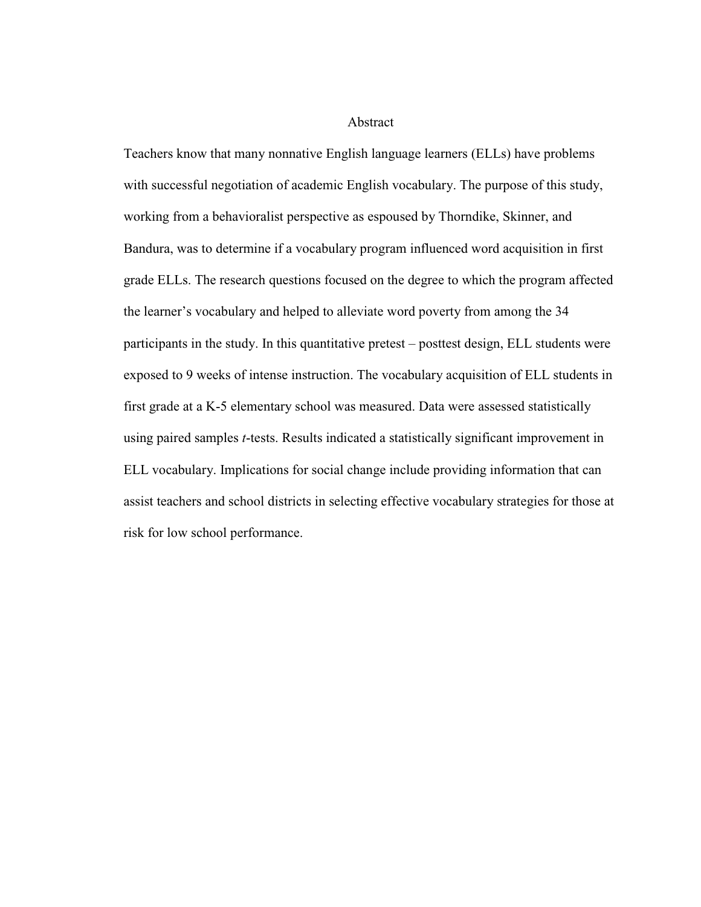#### Abstract

Teachers know that many nonnative English language learners (ELLs) have problems with successful negotiation of academic English vocabulary. The purpose of this study, working from a behavioralist perspective as espoused by Thorndike, Skinner, and Bandura, was to determine if a vocabulary program influenced word acquisition in first grade ELLs. The research questions focused on the degree to which the program affected the learner's vocabulary and helped to alleviate word poverty from among the 34 participants in the study. In this quantitative pretest – posttest design, ELL students were exposed to 9 weeks of intense instruction. The vocabulary acquisition of ELL students in first grade at a K-5 elementary school was measured. Data were assessed statistically using paired samples *t*-tests. Results indicated a statistically significant improvement in ELL vocabulary. Implications for social change include providing information that can assist teachers and school districts in selecting effective vocabulary strategies for those at risk for low school performance.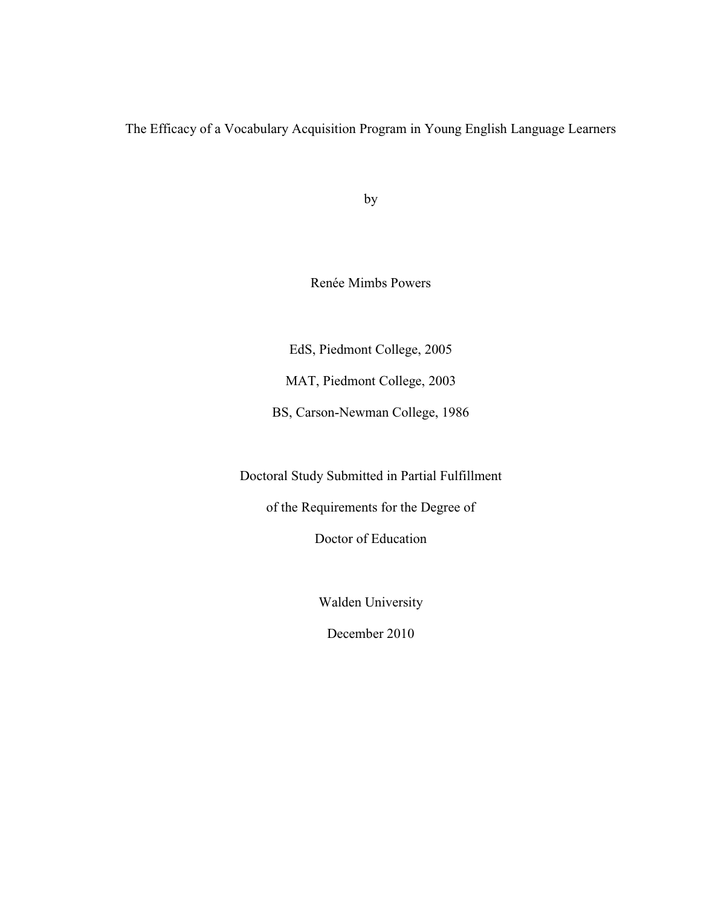The Efficacy of a Vocabulary Acquisition Program in Young English Language Learners

by

Renée Mimbs Powers

EdS, Piedmont College, 2005

MAT, Piedmont College, 2003

BS, Carson-Newman College, 1986

Doctoral Study Submitted in Partial Fulfillment

of the Requirements for the Degree of

Doctor of Education

Walden University

December 2010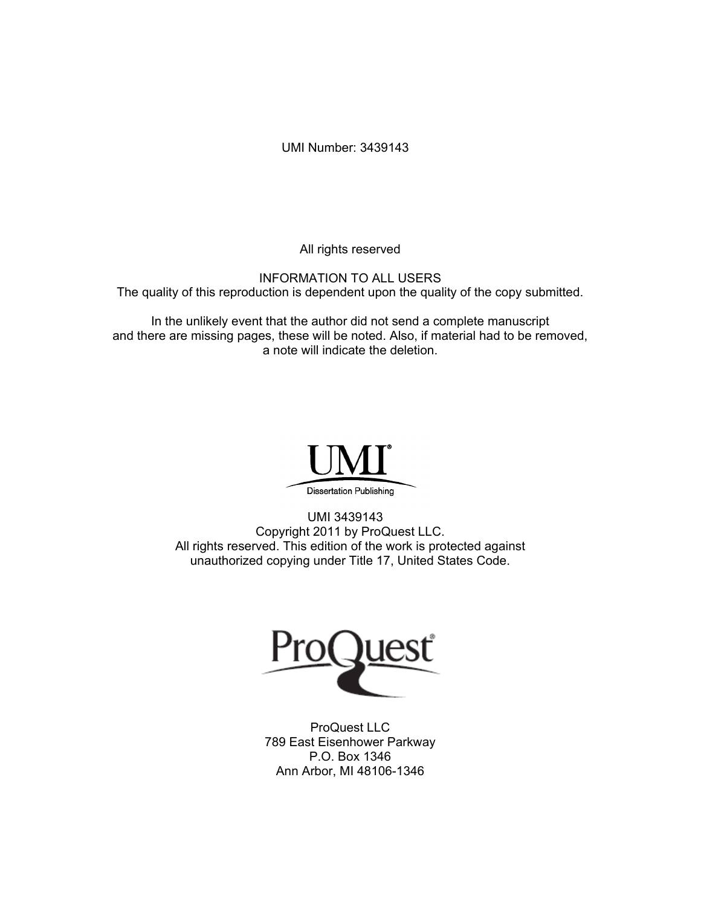UMI Number: 3439143

All rights reserved

INFORMATION TO ALL USERS The quality of this reproduction is dependent upon the quality of the copy submitted.

In the unlikely event that the author did not send a complete manuscript and there are missing pages, these will be noted. Also, if material had to be removed, a note will indicate the deletion.



UMI 3439143 Copyright 2011 by ProQuest LLC. All rights reserved. This edition of the work is protected against unauthorized copying under Title 17, United States Code.



ProQuest LLC 789 East Eisenhower Parkway P.O. Box 1346 Ann Arbor, MI 48106-1346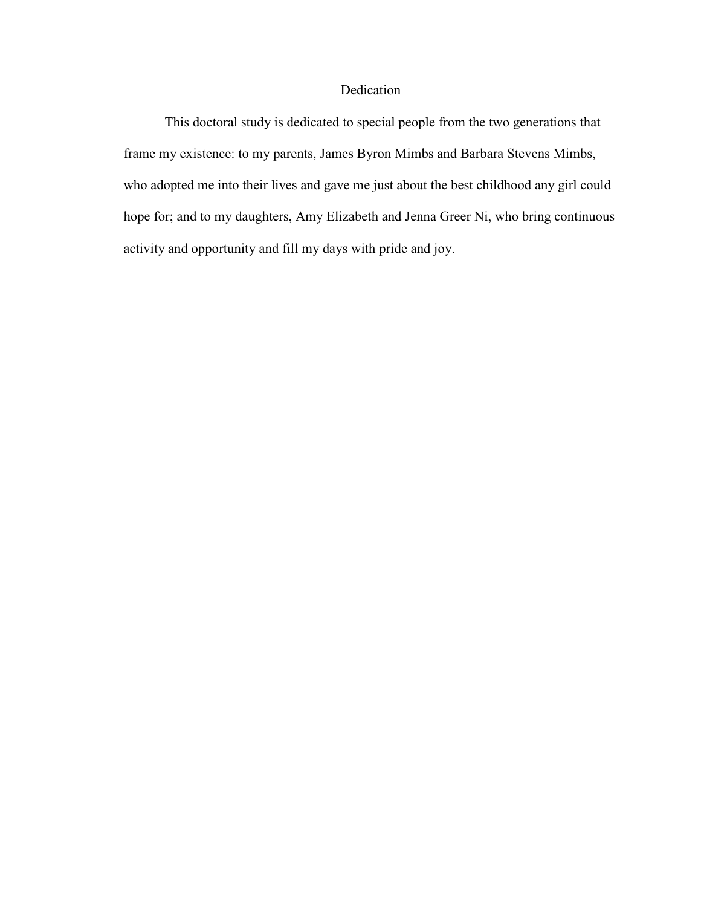#### Dedication

 This doctoral study is dedicated to special people from the two generations that frame my existence: to my parents, James Byron Mimbs and Barbara Stevens Mimbs, who adopted me into their lives and gave me just about the best childhood any girl could hope for; and to my daughters, Amy Elizabeth and Jenna Greer Ni, who bring continuous activity and opportunity and fill my days with pride and joy.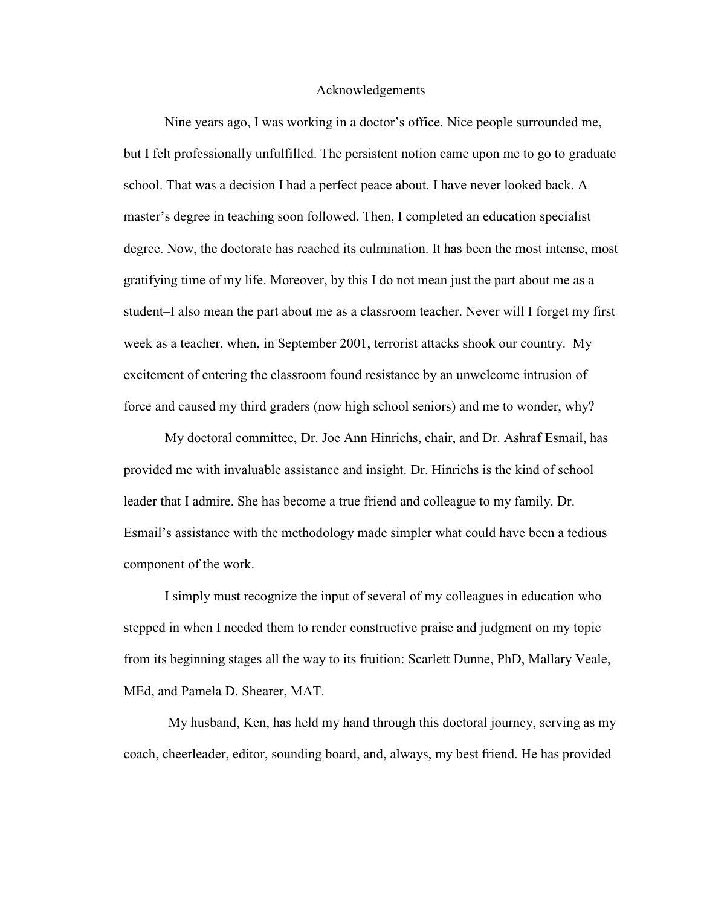#### Acknowledgements

 Nine years ago, I was working in a doctor's office. Nice people surrounded me, but I felt professionally unfulfilled. The persistent notion came upon me to go to graduate school. That was a decision I had a perfect peace about. I have never looked back. A master's degree in teaching soon followed. Then, I completed an education specialist degree. Now, the doctorate has reached its culmination. It has been the most intense, most gratifying time of my life. Moreover, by this I do not mean just the part about me as a student–I also mean the part about me as a classroom teacher. Never will I forget my first week as a teacher, when, in September 2001, terrorist attacks shook our country. My excitement of entering the classroom found resistance by an unwelcome intrusion of force and caused my third graders (now high school seniors) and me to wonder, why?

 My doctoral committee, Dr. Joe Ann Hinrichs, chair, and Dr. Ashraf Esmail, has provided me with invaluable assistance and insight. Dr. Hinrichs is the kind of school leader that I admire. She has become a true friend and colleague to my family. Dr. Esmail's assistance with the methodology made simpler what could have been a tedious component of the work.

 I simply must recognize the input of several of my colleagues in education who stepped in when I needed them to render constructive praise and judgment on my topic from its beginning stages all the way to its fruition: Scarlett Dunne, PhD, Mallary Veale, MEd, and Pamela D. Shearer, MAT.

 My husband, Ken, has held my hand through this doctoral journey, serving as my coach, cheerleader, editor, sounding board, and, always, my best friend. He has provided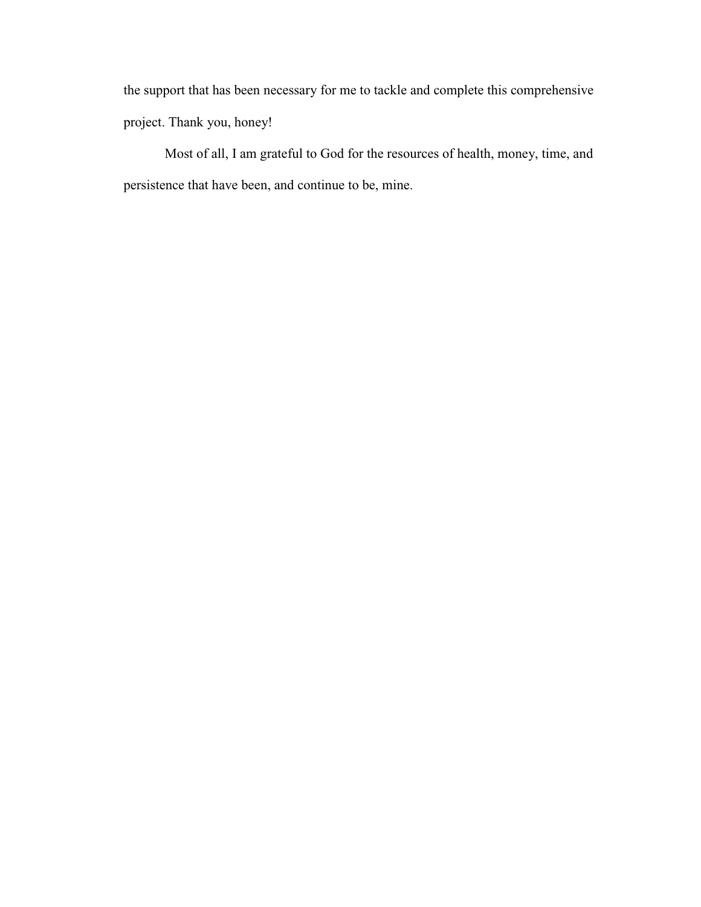the support that has been necessary for me to tackle and complete this comprehensive project. Thank you, honey!

 Most of all, I am grateful to God for the resources of health, money, time, and persistence that have been, and continue to be, mine.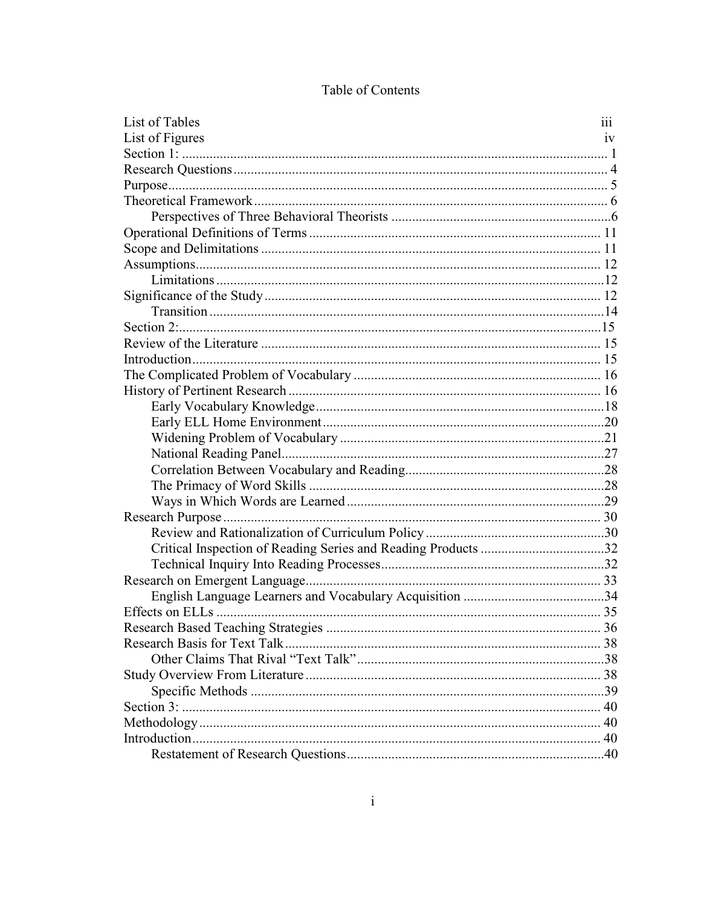| List of Tables                                                | 111 |
|---------------------------------------------------------------|-----|
| List of Figures                                               | 1V  |
|                                                               |     |
|                                                               |     |
|                                                               |     |
|                                                               |     |
|                                                               |     |
|                                                               |     |
|                                                               |     |
|                                                               |     |
|                                                               |     |
|                                                               |     |
|                                                               |     |
|                                                               |     |
|                                                               |     |
|                                                               |     |
|                                                               |     |
|                                                               |     |
|                                                               |     |
|                                                               |     |
|                                                               |     |
|                                                               |     |
|                                                               |     |
|                                                               |     |
|                                                               |     |
|                                                               |     |
|                                                               |     |
| Critical Inspection of Reading Series and Reading Products 32 |     |
|                                                               |     |
|                                                               |     |
|                                                               |     |
|                                                               |     |
|                                                               |     |
|                                                               |     |
|                                                               |     |
|                                                               |     |
|                                                               |     |
|                                                               |     |
|                                                               |     |
|                                                               |     |
|                                                               |     |
|                                                               |     |

## Table of Contents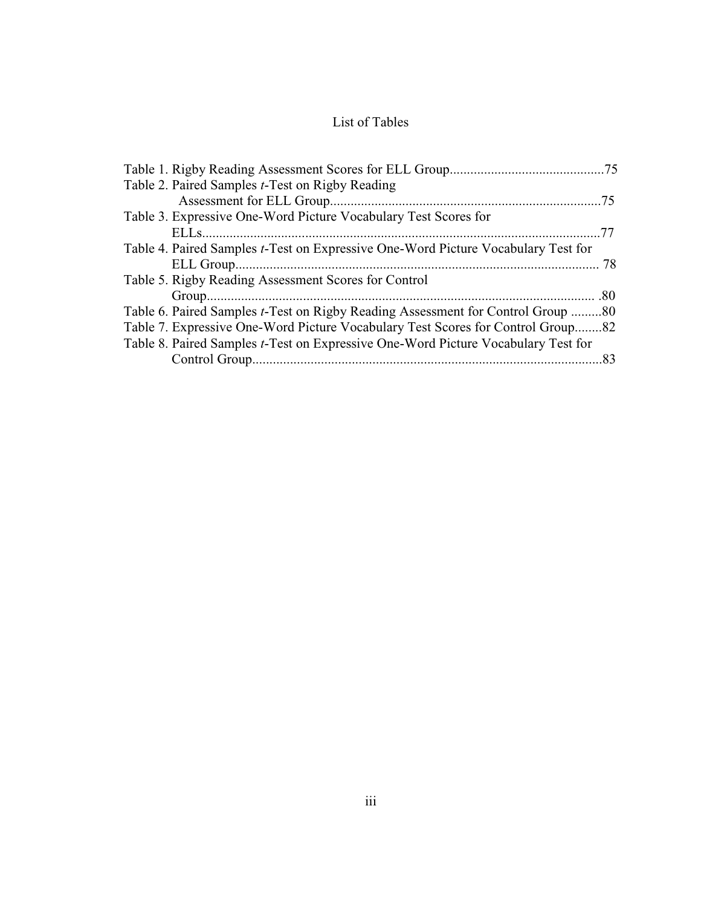## List of Tables

| Table 2. Paired Samples <i>t</i> -Test on Rigby Reading                                   |  |
|-------------------------------------------------------------------------------------------|--|
|                                                                                           |  |
| Table 3. Expressive One-Word Picture Vocabulary Test Scores for                           |  |
|                                                                                           |  |
| Table 4. Paired Samples <i>t</i> -Test on Expressive One-Word Picture Vocabulary Test for |  |
|                                                                                           |  |
| Table 5. Rigby Reading Assessment Scores for Control                                      |  |
|                                                                                           |  |
| Table 6. Paired Samples <i>t</i> -Test on Rigby Reading Assessment for Control Group 80   |  |
| Table 7. Expressive One-Word Picture Vocabulary Test Scores for Control Group82           |  |
| Table 8. Paired Samples t-Test on Expressive One-Word Picture Vocabulary Test for         |  |
|                                                                                           |  |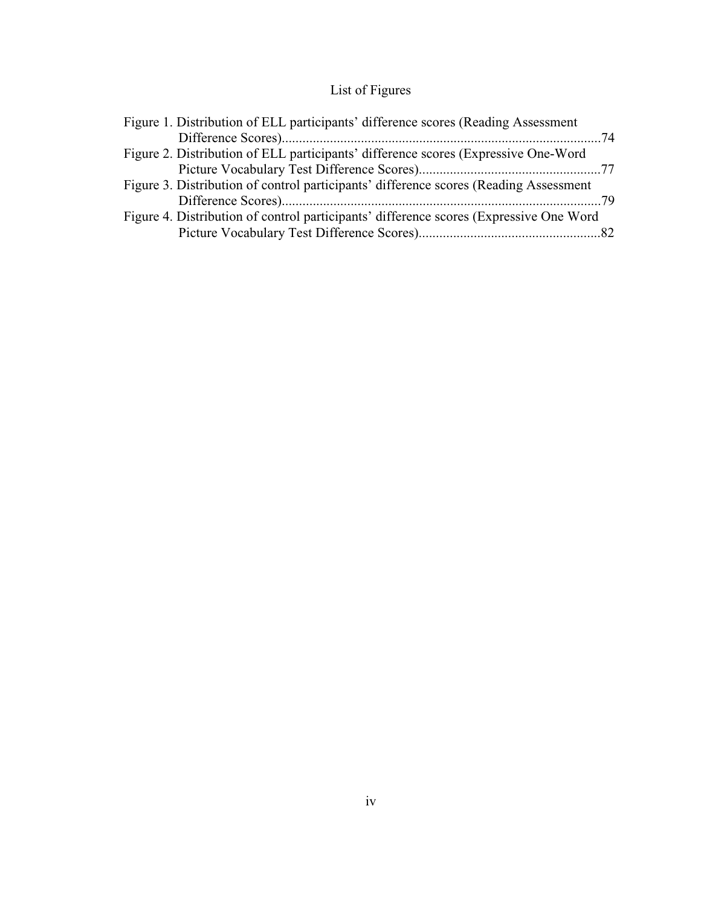## List of Figures

| Figure 2. Distribution of ELL participants' difference scores (Expressive One-Word     |
|----------------------------------------------------------------------------------------|
|                                                                                        |
| Figure 3. Distribution of control participants' difference scores (Reading Assessment) |
|                                                                                        |
| Figure 4. Distribution of control participants' difference scores (Expressive One Word |
|                                                                                        |
|                                                                                        |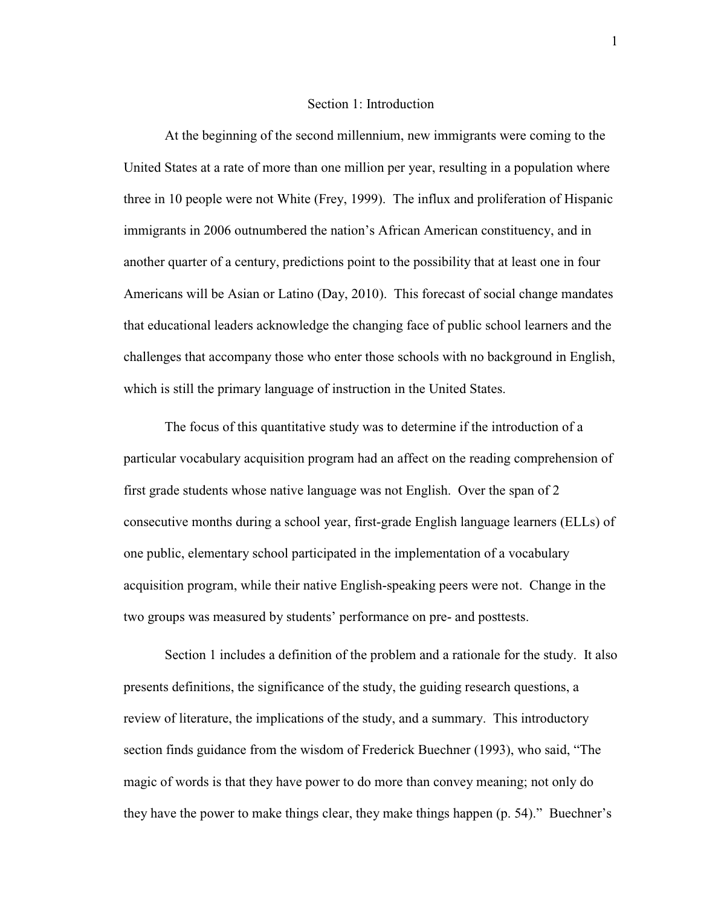#### Section 1: Introduction

At the beginning of the second millennium, new immigrants were coming to the United States at a rate of more than one million per year, resulting in a population where three in 10 people were not White (Frey, 1999). The influx and proliferation of Hispanic immigrants in 2006 outnumbered the nation's African American constituency, and in another quarter of a century, predictions point to the possibility that at least one in four Americans will be Asian or Latino (Day, 2010). This forecast of social change mandates that educational leaders acknowledge the changing face of public school learners and the challenges that accompany those who enter those schools with no background in English, which is still the primary language of instruction in the United States.

The focus of this quantitative study was to determine if the introduction of a particular vocabulary acquisition program had an affect on the reading comprehension of first grade students whose native language was not English. Over the span of 2 consecutive months during a school year, first-grade English language learners (ELLs) of one public, elementary school participated in the implementation of a vocabulary acquisition program, while their native English-speaking peers were not. Change in the two groups was measured by students' performance on pre- and posttests.

Section 1 includes a definition of the problem and a rationale for the study. It also presents definitions, the significance of the study, the guiding research questions, a review of literature, the implications of the study, and a summary. This introductory section finds guidance from the wisdom of Frederick Buechner (1993), who said, "The magic of words is that they have power to do more than convey meaning; not only do they have the power to make things clear, they make things happen (p. 54)." Buechner's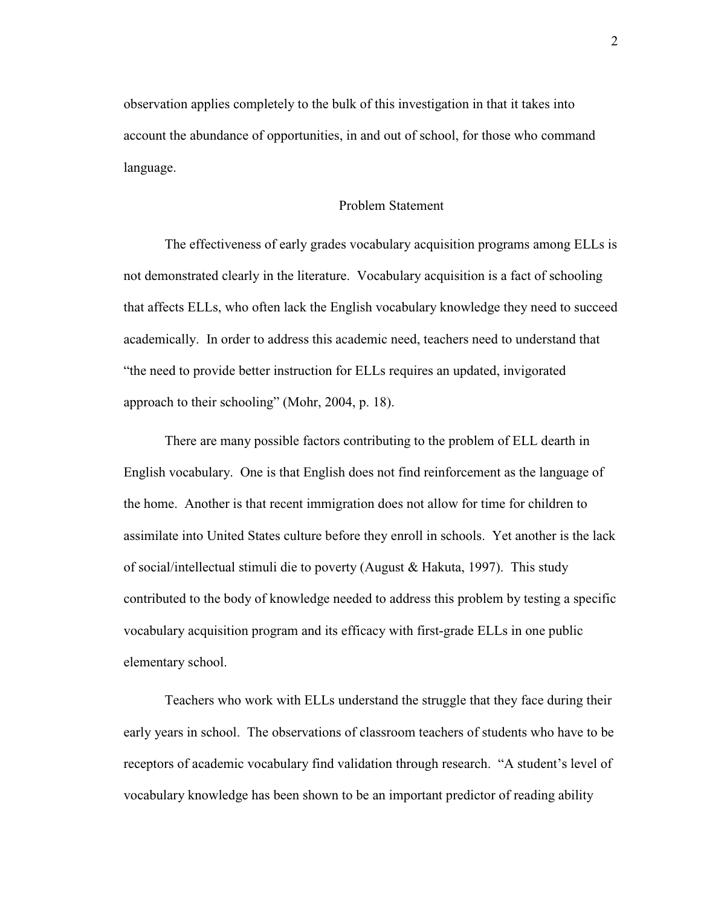observation applies completely to the bulk of this investigation in that it takes into account the abundance of opportunities, in and out of school, for those who command language.

#### Problem Statement

The effectiveness of early grades vocabulary acquisition programs among ELLs is not demonstrated clearly in the literature. Vocabulary acquisition is a fact of schooling that affects ELLs, who often lack the English vocabulary knowledge they need to succeed academically. In order to address this academic need, teachers need to understand that "the need to provide better instruction for ELLs requires an updated, invigorated approach to their schooling" (Mohr, 2004, p. 18).

There are many possible factors contributing to the problem of ELL dearth in English vocabulary. One is that English does not find reinforcement as the language of the home. Another is that recent immigration does not allow for time for children to assimilate into United States culture before they enroll in schools. Yet another is the lack of social/intellectual stimuli die to poverty (August & Hakuta, 1997). This study contributed to the body of knowledge needed to address this problem by testing a specific vocabulary acquisition program and its efficacy with first-grade ELLs in one public elementary school.

Teachers who work with ELLs understand the struggle that they face during their early years in school. The observations of classroom teachers of students who have to be receptors of academic vocabulary find validation through research. "A student's level of vocabulary knowledge has been shown to be an important predictor of reading ability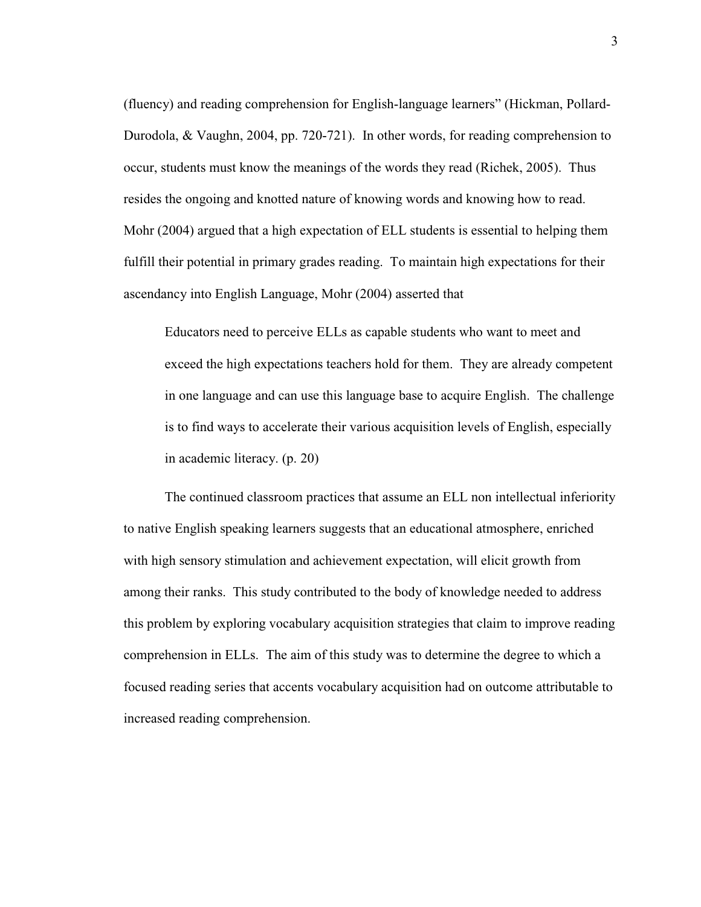(fluency) and reading comprehension for English-language learners" (Hickman, Pollard-Durodola, & Vaughn, 2004, pp. 720-721). In other words, for reading comprehension to occur, students must know the meanings of the words they read (Richek, 2005). Thus resides the ongoing and knotted nature of knowing words and knowing how to read. Mohr (2004) argued that a high expectation of ELL students is essential to helping them fulfill their potential in primary grades reading. To maintain high expectations for their ascendancy into English Language, Mohr (2004) asserted that

Educators need to perceive ELLs as capable students who want to meet and exceed the high expectations teachers hold for them. They are already competent in one language and can use this language base to acquire English. The challenge is to find ways to accelerate their various acquisition levels of English, especially in academic literacy. (p. 20)

The continued classroom practices that assume an ELL non intellectual inferiority to native English speaking learners suggests that an educational atmosphere, enriched with high sensory stimulation and achievement expectation, will elicit growth from among their ranks. This study contributed to the body of knowledge needed to address this problem by exploring vocabulary acquisition strategies that claim to improve reading comprehension in ELLs. The aim of this study was to determine the degree to which a focused reading series that accents vocabulary acquisition had on outcome attributable to increased reading comprehension.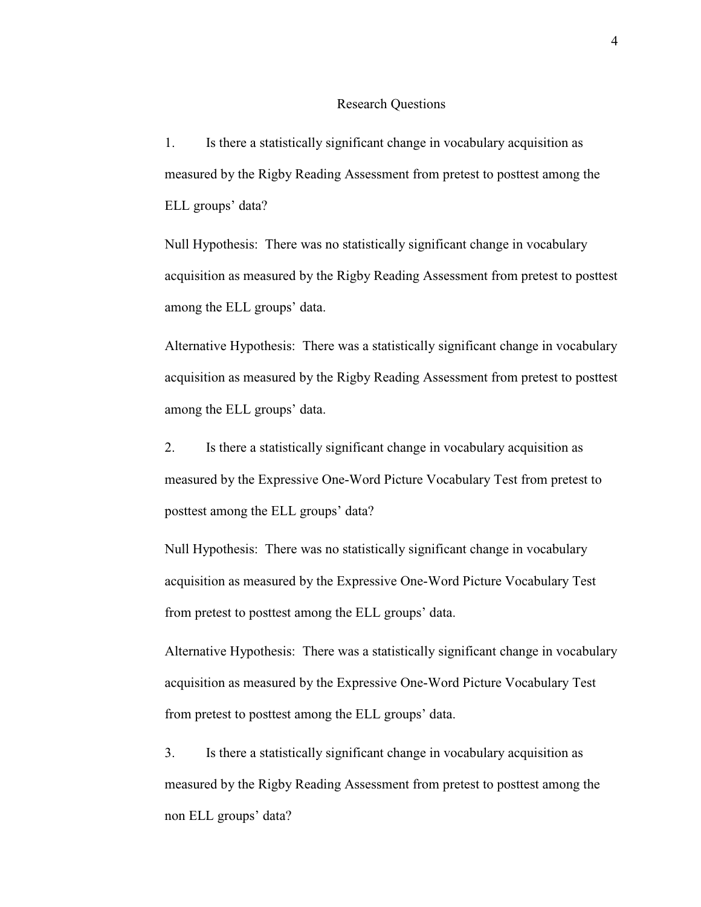#### Research Questions

1. Is there a statistically significant change in vocabulary acquisition as measured by the Rigby Reading Assessment from pretest to posttest among the ELL groups' data?

Null Hypothesis: There was no statistically significant change in vocabulary acquisition as measured by the Rigby Reading Assessment from pretest to posttest among the ELL groups' data.

Alternative Hypothesis: There was a statistically significant change in vocabulary acquisition as measured by the Rigby Reading Assessment from pretest to posttest among the ELL groups' data.

2. Is there a statistically significant change in vocabulary acquisition as measured by the Expressive One-Word Picture Vocabulary Test from pretest to posttest among the ELL groups' data?

Null Hypothesis: There was no statistically significant change in vocabulary acquisition as measured by the Expressive One-Word Picture Vocabulary Test from pretest to posttest among the ELL groups' data.

Alternative Hypothesis: There was a statistically significant change in vocabulary acquisition as measured by the Expressive One-Word Picture Vocabulary Test from pretest to posttest among the ELL groups' data.

3. Is there a statistically significant change in vocabulary acquisition as measured by the Rigby Reading Assessment from pretest to posttest among the non ELL groups' data?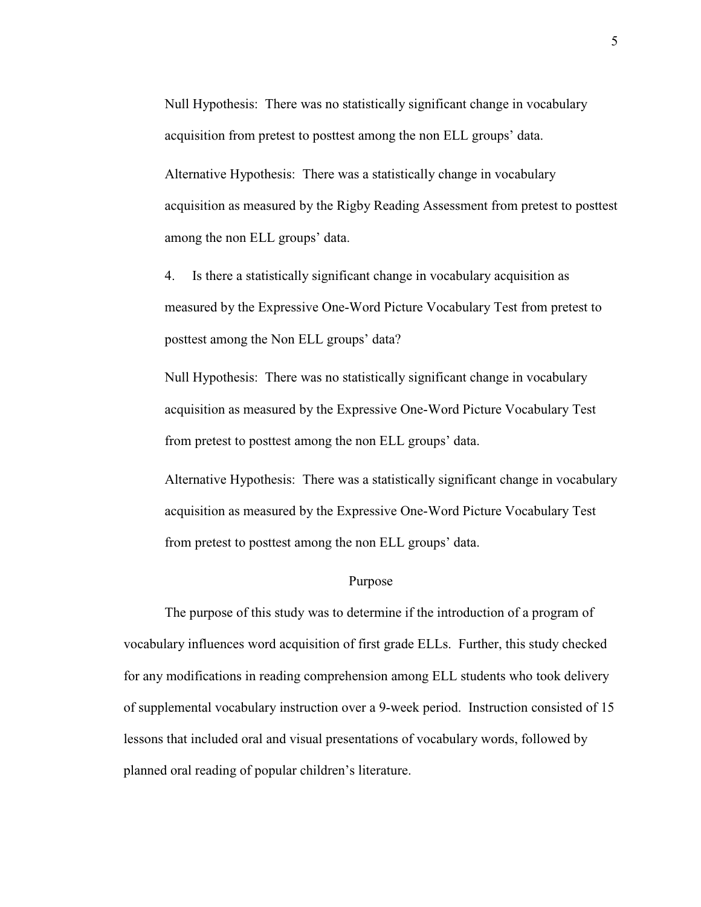Null Hypothesis: There was no statistically significant change in vocabulary acquisition from pretest to posttest among the non ELL groups' data.

Alternative Hypothesis: There was a statistically change in vocabulary acquisition as measured by the Rigby Reading Assessment from pretest to posttest among the non ELL groups' data.

4. Is there a statistically significant change in vocabulary acquisition as measured by the Expressive One-Word Picture Vocabulary Test from pretest to posttest among the Non ELL groups' data?

Null Hypothesis: There was no statistically significant change in vocabulary acquisition as measured by the Expressive One-Word Picture Vocabulary Test from pretest to posttest among the non ELL groups' data.

Alternative Hypothesis: There was a statistically significant change in vocabulary acquisition as measured by the Expressive One-Word Picture Vocabulary Test from pretest to posttest among the non ELL groups' data.

#### Purpose

The purpose of this study was to determine if the introduction of a program of vocabulary influences word acquisition of first grade ELLs. Further, this study checked for any modifications in reading comprehension among ELL students who took delivery of supplemental vocabulary instruction over a 9-week period. Instruction consisted of 15 lessons that included oral and visual presentations of vocabulary words, followed by planned oral reading of popular children's literature.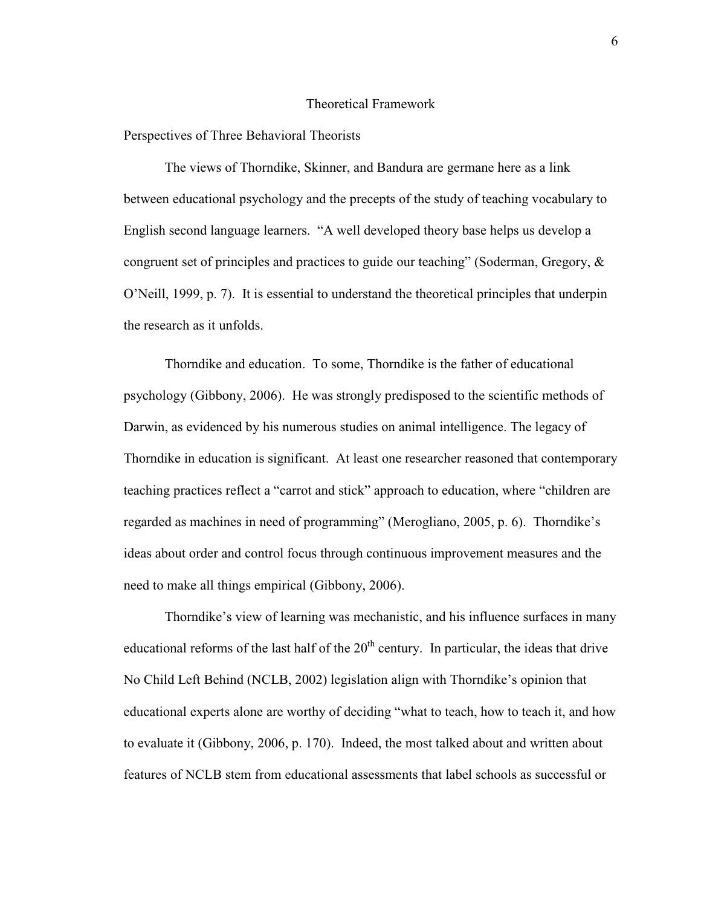#### Theoretical Framework

#### Perspectives of Three Behavioral Theorists

The views of Thorndike, Skinner, and Bandura are germane here as a link between educational psychology and the precepts of the study of teaching vocabulary to English second language learners. "A well developed theory base helps us develop a congruent set of principles and practices to guide our teaching" (Soderman, Gregory, & O'Neill, 1999, p. 7). It is essential to understand the theoretical principles that underpin the research as it unfolds.

 Thorndike and education. To some, Thorndike is the father of educational psychology (Gibbony, 2006). He was strongly predisposed to the scientific methods of Darwin, as evidenced by his numerous studies on animal intelligence. The legacy of Thorndike in education is significant. At least one researcher reasoned that contemporary teaching practices reflect a "carrot and stick" approach to education, where "children are regarded as machines in need of programming" (Merogliano, 2005, p. 6). Thorndike's ideas about order and control focus through continuous improvement measures and the need to make all things empirical (Gibbony, 2006).

 Thorndike's view of learning was mechanistic, and his influence surfaces in many educational reforms of the last half of the  $20<sup>th</sup>$  century. In particular, the ideas that drive No Child Left Behind (NCLB, 2002) legislation align with Thorndike's opinion that educational experts alone are worthy of deciding "what to teach, how to teach it, and how to evaluate it (Gibbony, 2006, p. 170). Indeed, the most talked about and written about features of NCLB stem from educational assessments that label schools as successful or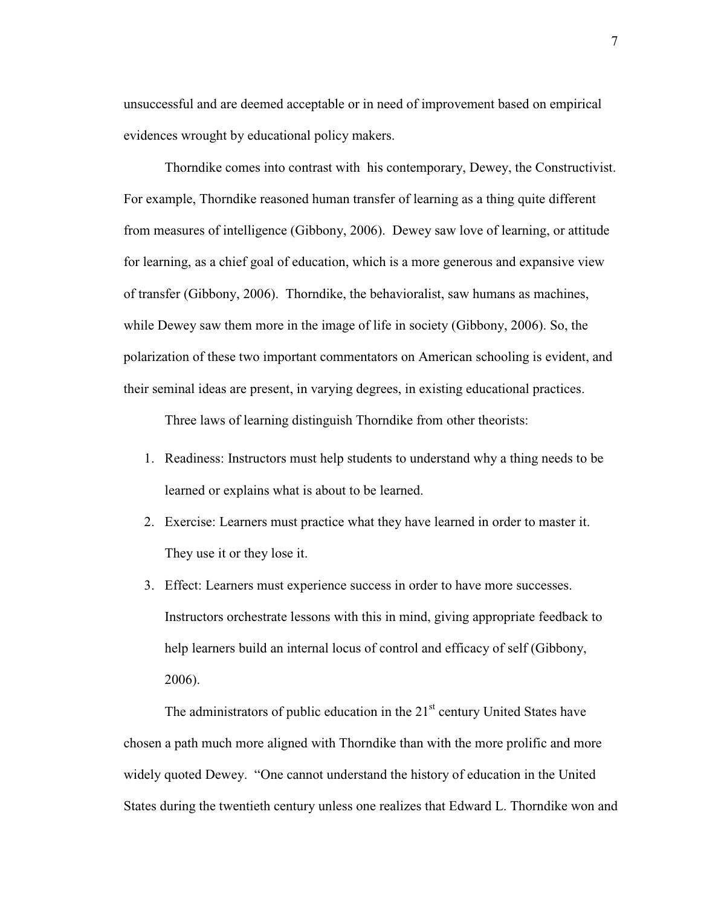unsuccessful and are deemed acceptable or in need of improvement based on empirical evidences wrought by educational policy makers.

Thorndike comes into contrast with his contemporary, Dewey, the Constructivist. For example, Thorndike reasoned human transfer of learning as a thing quite different from measures of intelligence (Gibbony, 2006). Dewey saw love of learning, or attitude for learning, as a chief goal of education, which is a more generous and expansive view of transfer (Gibbony, 2006). Thorndike, the behavioralist, saw humans as machines, while Dewey saw them more in the image of life in society (Gibbony, 2006). So, the polarization of these two important commentators on American schooling is evident, and their seminal ideas are present, in varying degrees, in existing educational practices.

Three laws of learning distinguish Thorndike from other theorists:

- 1. Readiness: Instructors must help students to understand why a thing needs to be learned or explains what is about to be learned.
- 2. Exercise: Learners must practice what they have learned in order to master it. They use it or they lose it.
- 3. Effect: Learners must experience success in order to have more successes. Instructors orchestrate lessons with this in mind, giving appropriate feedback to help learners build an internal locus of control and efficacy of self (Gibbony, 2006).

The administrators of public education in the  $21<sup>st</sup>$  century United States have chosen a path much more aligned with Thorndike than with the more prolific and more widely quoted Dewey. "One cannot understand the history of education in the United States during the twentieth century unless one realizes that Edward L. Thorndike won and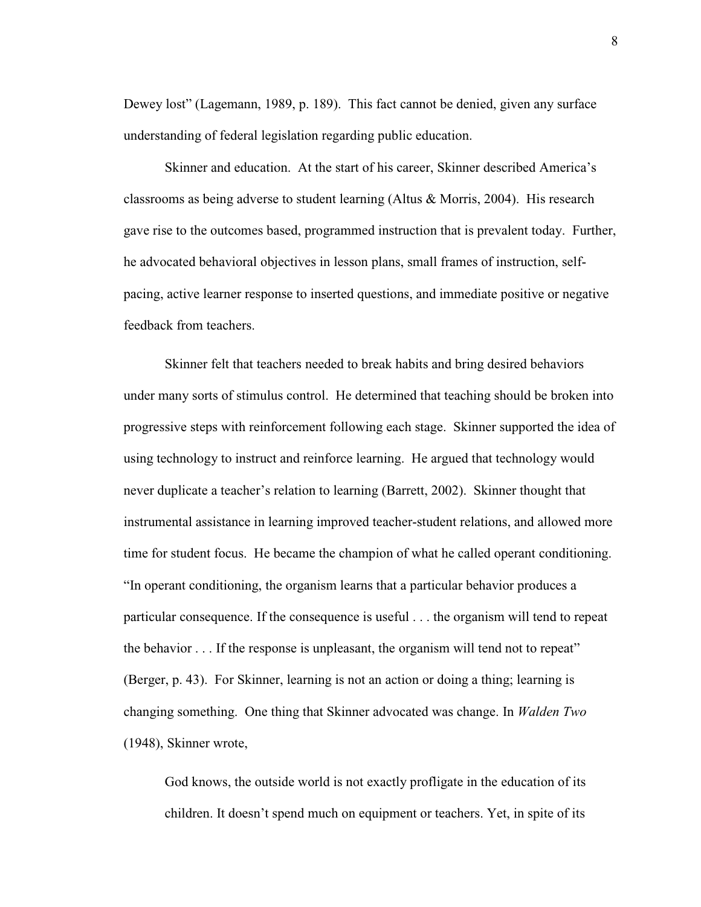Dewey lost" (Lagemann, 1989, p. 189). This fact cannot be denied, given any surface understanding of federal legislation regarding public education.

 Skinner and education. At the start of his career, Skinner described America's classrooms as being adverse to student learning (Altus & Morris, 2004). His research gave rise to the outcomes based, programmed instruction that is prevalent today. Further, he advocated behavioral objectives in lesson plans, small frames of instruction, selfpacing, active learner response to inserted questions, and immediate positive or negative feedback from teachers.

Skinner felt that teachers needed to break habits and bring desired behaviors under many sorts of stimulus control. He determined that teaching should be broken into progressive steps with reinforcement following each stage. Skinner supported the idea of using technology to instruct and reinforce learning. He argued that technology would never duplicate a teacher's relation to learning (Barrett, 2002). Skinner thought that instrumental assistance in learning improved teacher-student relations, and allowed more time for student focus. He became the champion of what he called operant conditioning. "In operant conditioning, the organism learns that a particular behavior produces a particular consequence. If the consequence is useful . . . the organism will tend to repeat the behavior . . . If the response is unpleasant, the organism will tend not to repeat" (Berger, p. 43). For Skinner, learning is not an action or doing a thing; learning is changing something. One thing that Skinner advocated was change. In *Walden Two* (1948), Skinner wrote,

 God knows, the outside world is not exactly profligate in the education of its children. It doesn't spend much on equipment or teachers. Yet, in spite of its

8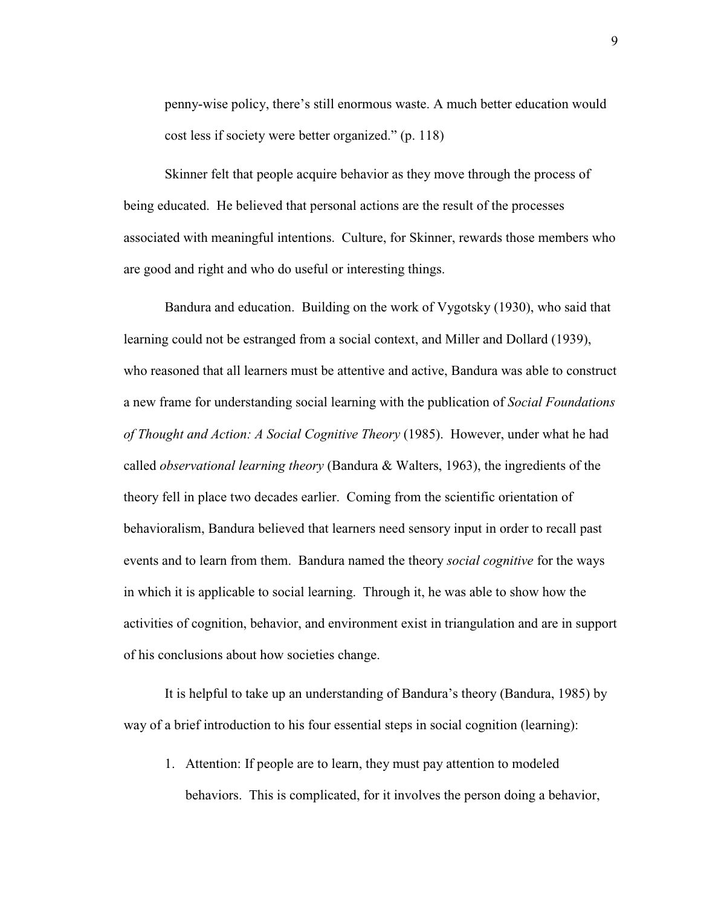penny-wise policy, there's still enormous waste. A much better education would cost less if society were better organized." (p. 118)

Skinner felt that people acquire behavior as they move through the process of being educated. He believed that personal actions are the result of the processes associated with meaningful intentions. Culture, for Skinner, rewards those members who are good and right and who do useful or interesting things.

Bandura and education. Building on the work of Vygotsky (1930), who said that learning could not be estranged from a social context, and Miller and Dollard (1939), who reasoned that all learners must be attentive and active, Bandura was able to construct a new frame for understanding social learning with the publication of *Social Foundations of Thought and Action: A Social Cognitive Theory* (1985). However, under what he had called *observational learning theory* (Bandura & Walters, 1963), the ingredients of the theory fell in place two decades earlier. Coming from the scientific orientation of behavioralism, Bandura believed that learners need sensory input in order to recall past events and to learn from them. Bandura named the theory *social cognitive* for the ways in which it is applicable to social learning. Through it, he was able to show how the activities of cognition, behavior, and environment exist in triangulation and are in support of his conclusions about how societies change.

It is helpful to take up an understanding of Bandura's theory (Bandura, 1985) by way of a brief introduction to his four essential steps in social cognition (learning):

1. Attention: If people are to learn, they must pay attention to modeled behaviors. This is complicated, for it involves the person doing a behavior,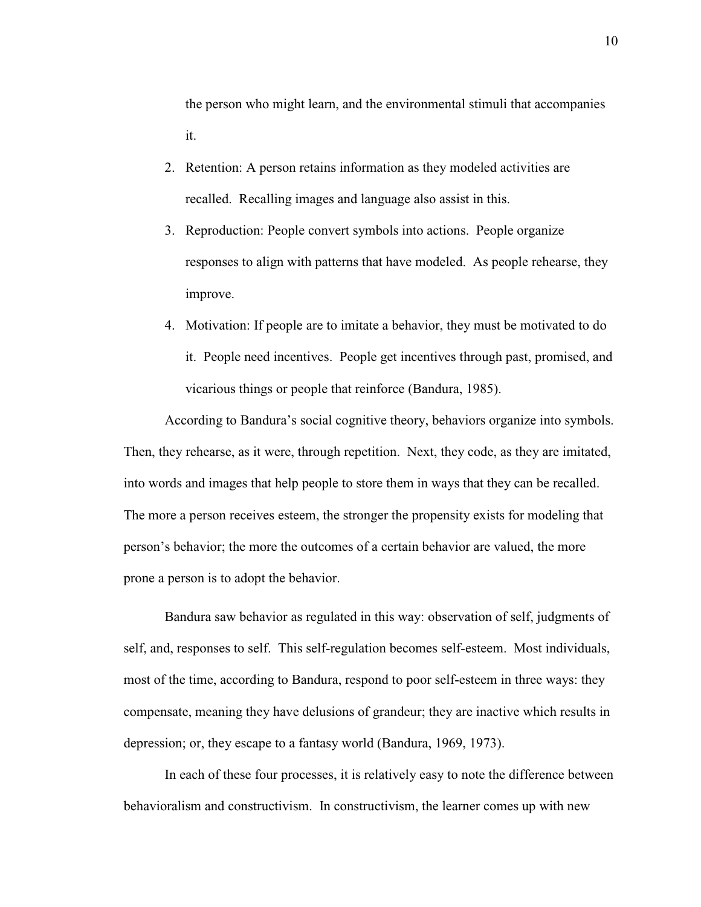the person who might learn, and the environmental stimuli that accompanies it.

- 2. Retention: A person retains information as they modeled activities are recalled. Recalling images and language also assist in this.
- 3. Reproduction: People convert symbols into actions. People organize responses to align with patterns that have modeled. As people rehearse, they improve.
- 4. Motivation: If people are to imitate a behavior, they must be motivated to do it. People need incentives. People get incentives through past, promised, and vicarious things or people that reinforce (Bandura, 1985).

According to Bandura's social cognitive theory, behaviors organize into symbols. Then, they rehearse, as it were, through repetition. Next, they code, as they are imitated, into words and images that help people to store them in ways that they can be recalled. The more a person receives esteem, the stronger the propensity exists for modeling that person's behavior; the more the outcomes of a certain behavior are valued, the more prone a person is to adopt the behavior.

Bandura saw behavior as regulated in this way: observation of self, judgments of self, and, responses to self. This self-regulation becomes self-esteem. Most individuals, most of the time, according to Bandura, respond to poor self-esteem in three ways: they compensate, meaning they have delusions of grandeur; they are inactive which results in depression; or, they escape to a fantasy world (Bandura, 1969, 1973).

 In each of these four processes, it is relatively easy to note the difference between behavioralism and constructivism. In constructivism, the learner comes up with new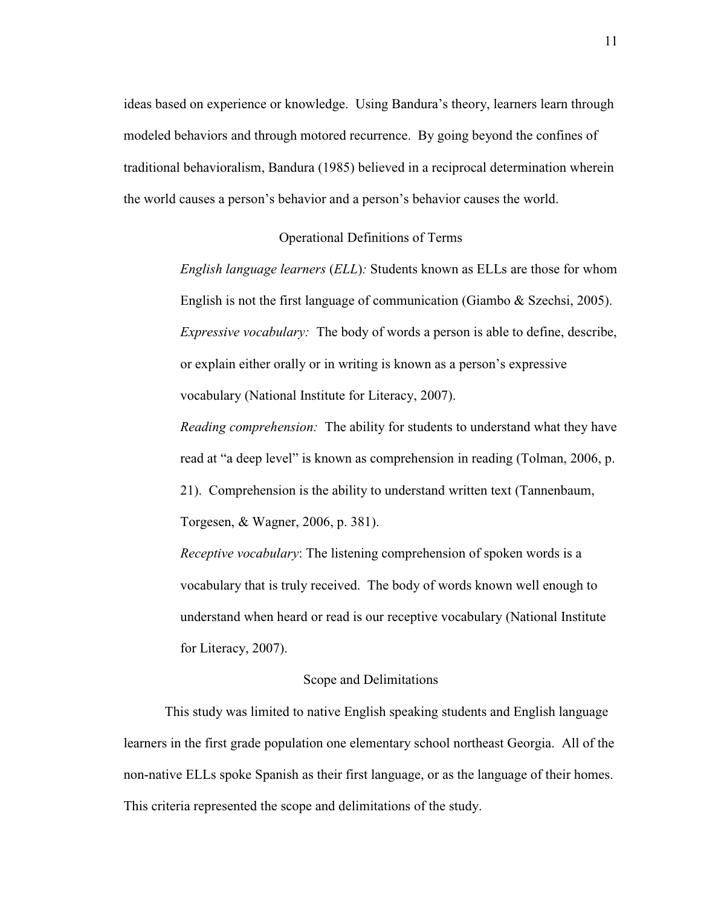ideas based on experience or knowledge. Using Bandura's theory, learners learn through modeled behaviors and through motored recurrence. By going beyond the confines of traditional behavioralism, Bandura (1985) believed in a reciprocal determination wherein the world causes a person's behavior and a person's behavior causes the world.

#### Operational Definitions of Terms

*English language learners* (*ELL*)*:* Students known as ELLs are those for whom English is not the first language of communication (Giambo & Szechsi, 2005). *Expressive vocabulary:* The body of words a person is able to define, describe, or explain either orally or in writing is known as a person's expressive vocabulary (National Institute for Literacy, 2007).

*Reading comprehension:* The ability for students to understand what they have read at "a deep level" is known as comprehension in reading (Tolman, 2006, p. 21). Comprehension is the ability to understand written text (Tannenbaum, Torgesen, & Wagner, 2006, p. 381).

*Receptive vocabulary*: The listening comprehension of spoken words is a vocabulary that is truly received. The body of words known well enough to understand when heard or read is our receptive vocabulary (National Institute for Literacy, 2007).

#### Scope and Delimitations

This study was limited to native English speaking students and English language learners in the first grade population one elementary school northeast Georgia. All of the non-native ELLs spoke Spanish as their first language, or as the language of their homes. This criteria represented the scope and delimitations of the study.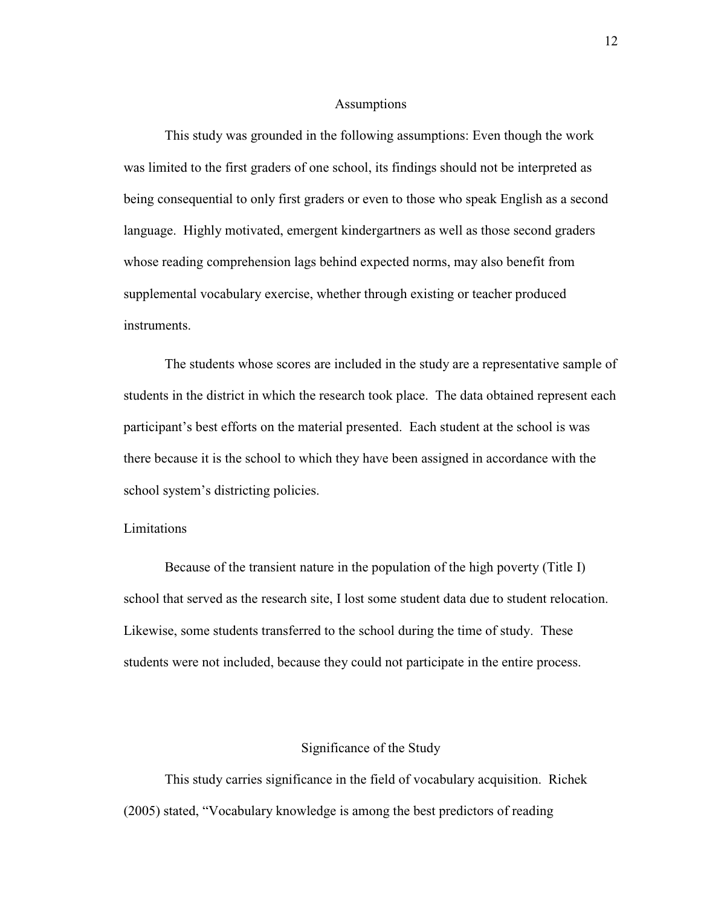#### Assumptions

This study was grounded in the following assumptions: Even though the work was limited to the first graders of one school, its findings should not be interpreted as being consequential to only first graders or even to those who speak English as a second language. Highly motivated, emergent kindergartners as well as those second graders whose reading comprehension lags behind expected norms, may also benefit from supplemental vocabulary exercise, whether through existing or teacher produced instruments.

The students whose scores are included in the study are a representative sample of students in the district in which the research took place. The data obtained represent each participant's best efforts on the material presented. Each student at the school is was there because it is the school to which they have been assigned in accordance with the school system's districting policies.

#### Limitations

 Because of the transient nature in the population of the high poverty (Title I) school that served as the research site, I lost some student data due to student relocation. Likewise, some students transferred to the school during the time of study. These students were not included, because they could not participate in the entire process.

#### Significance of the Study

This study carries significance in the field of vocabulary acquisition. Richek (2005) stated, "Vocabulary knowledge is among the best predictors of reading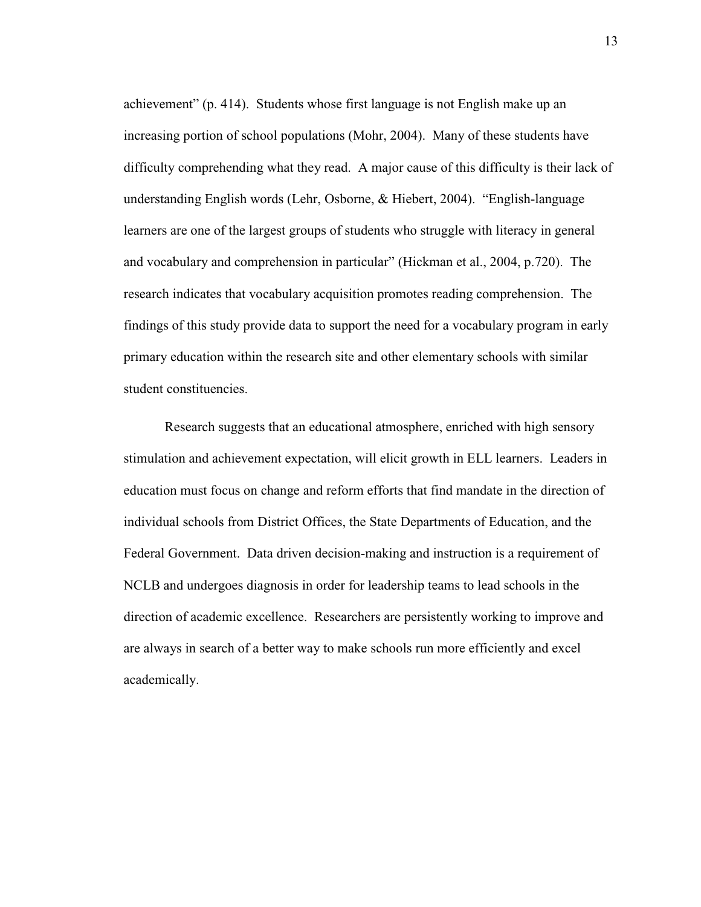achievement" (p. 414). Students whose first language is not English make up an increasing portion of school populations (Mohr, 2004). Many of these students have difficulty comprehending what they read. A major cause of this difficulty is their lack of understanding English words (Lehr, Osborne, & Hiebert, 2004). "English-language learners are one of the largest groups of students who struggle with literacy in general and vocabulary and comprehension in particular" (Hickman et al., 2004, p.720). The research indicates that vocabulary acquisition promotes reading comprehension. The findings of this study provide data to support the need for a vocabulary program in early primary education within the research site and other elementary schools with similar student constituencies.

Research suggests that an educational atmosphere, enriched with high sensory stimulation and achievement expectation, will elicit growth in ELL learners. Leaders in education must focus on change and reform efforts that find mandate in the direction of individual schools from District Offices, the State Departments of Education, and the Federal Government. Data driven decision-making and instruction is a requirement of NCLB and undergoes diagnosis in order for leadership teams to lead schools in the direction of academic excellence. Researchers are persistently working to improve and are always in search of a better way to make schools run more efficiently and excel academically.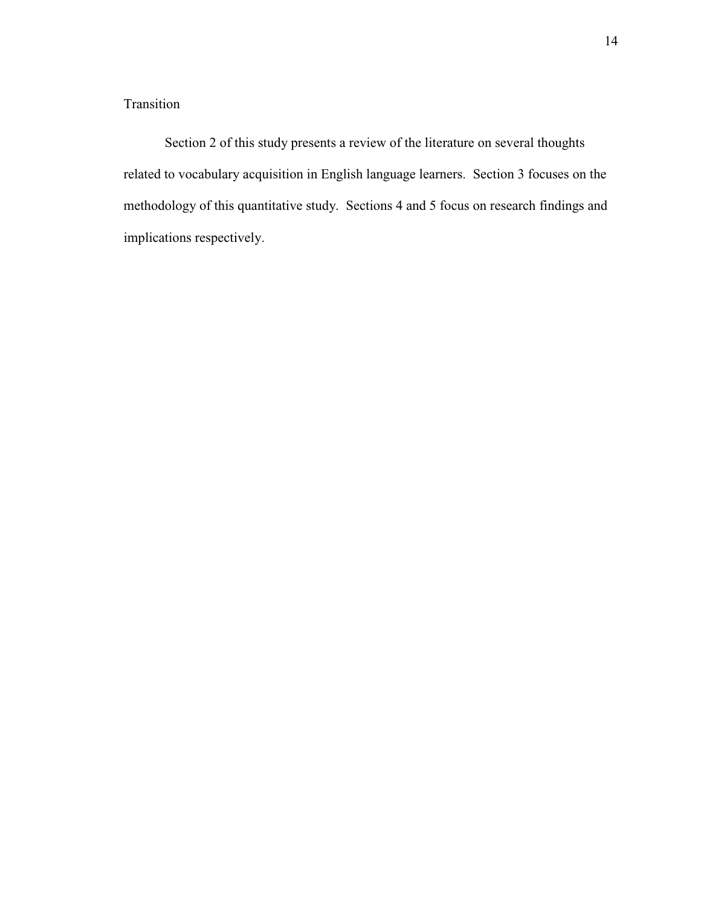## Transition

Section 2 of this study presents a review of the literature on several thoughts related to vocabulary acquisition in English language learners. Section 3 focuses on the methodology of this quantitative study. Sections 4 and 5 focus on research findings and implications respectively.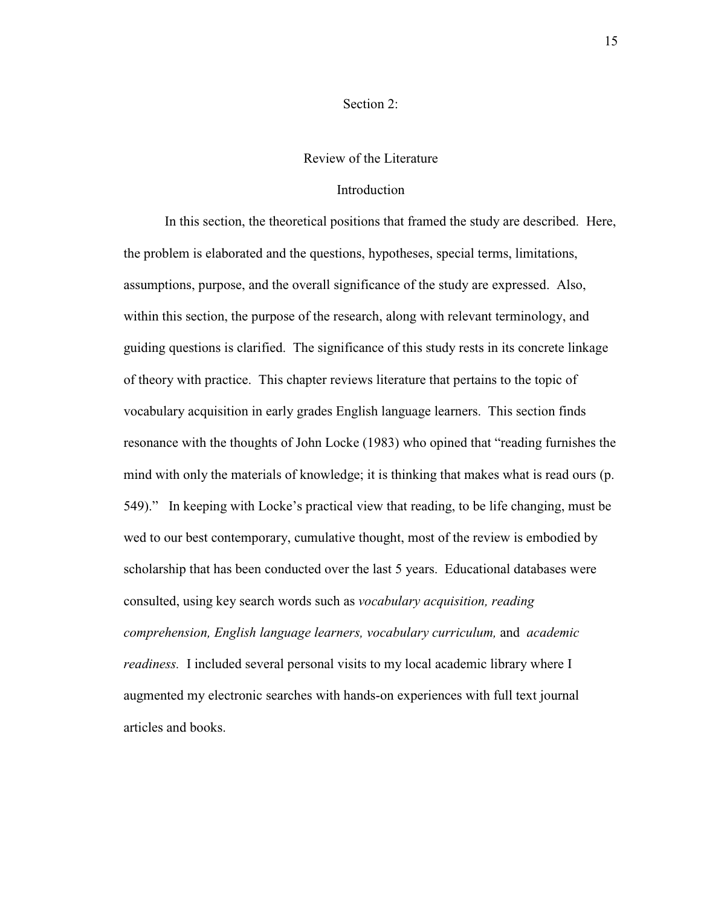#### Section 2:

#### Review of the Literature

#### Introduction

In this section, the theoretical positions that framed the study are described. Here, the problem is elaborated and the questions, hypotheses, special terms, limitations, assumptions, purpose, and the overall significance of the study are expressed. Also, within this section, the purpose of the research, along with relevant terminology, and guiding questions is clarified. The significance of this study rests in its concrete linkage of theory with practice. This chapter reviews literature that pertains to the topic of vocabulary acquisition in early grades English language learners. This section finds resonance with the thoughts of John Locke (1983) who opined that "reading furnishes the mind with only the materials of knowledge; it is thinking that makes what is read ours (p. 549)." In keeping with Locke's practical view that reading, to be life changing, must be wed to our best contemporary, cumulative thought, most of the review is embodied by scholarship that has been conducted over the last 5 years. Educational databases were consulted, using key search words such as *vocabulary acquisition, reading comprehension, English language learners, vocabulary curriculum,* and *academic readiness.* I included several personal visits to my local academic library where I augmented my electronic searches with hands-on experiences with full text journal articles and books.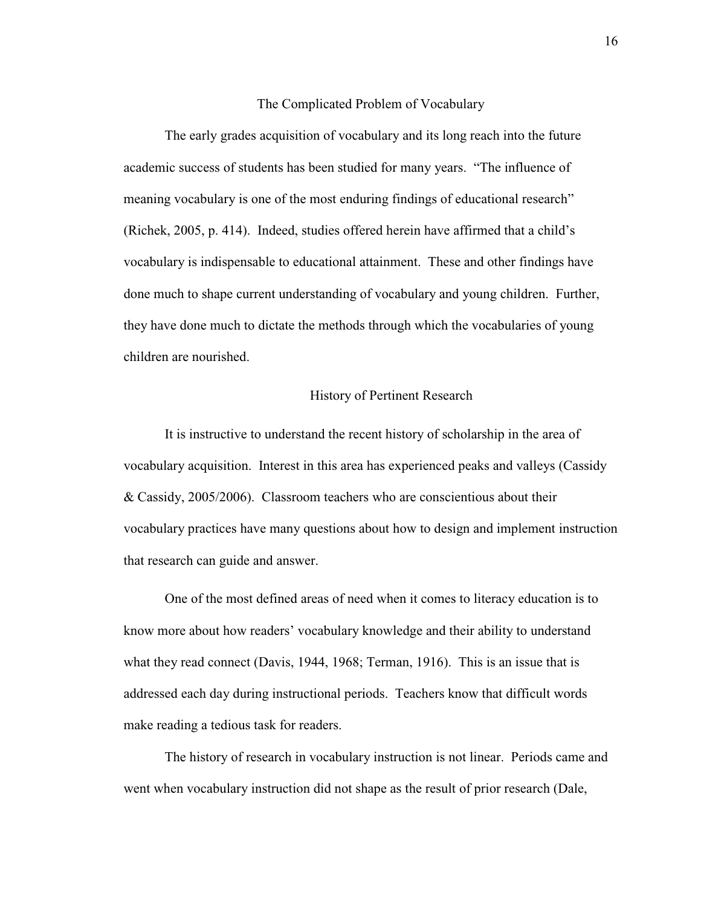#### The Complicated Problem of Vocabulary

The early grades acquisition of vocabulary and its long reach into the future academic success of students has been studied for many years. "The influence of meaning vocabulary is one of the most enduring findings of educational research" (Richek, 2005, p. 414). Indeed, studies offered herein have affirmed that a child's vocabulary is indispensable to educational attainment. These and other findings have done much to shape current understanding of vocabulary and young children. Further, they have done much to dictate the methods through which the vocabularies of young children are nourished.

#### History of Pertinent Research

It is instructive to understand the recent history of scholarship in the area of vocabulary acquisition. Interest in this area has experienced peaks and valleys (Cassidy & Cassidy, 2005/2006). Classroom teachers who are conscientious about their vocabulary practices have many questions about how to design and implement instruction that research can guide and answer.

One of the most defined areas of need when it comes to literacy education is to know more about how readers' vocabulary knowledge and their ability to understand what they read connect (Davis, 1944, 1968; Terman, 1916). This is an issue that is addressed each day during instructional periods. Teachers know that difficult words make reading a tedious task for readers.

 The history of research in vocabulary instruction is not linear. Periods came and went when vocabulary instruction did not shape as the result of prior research (Dale,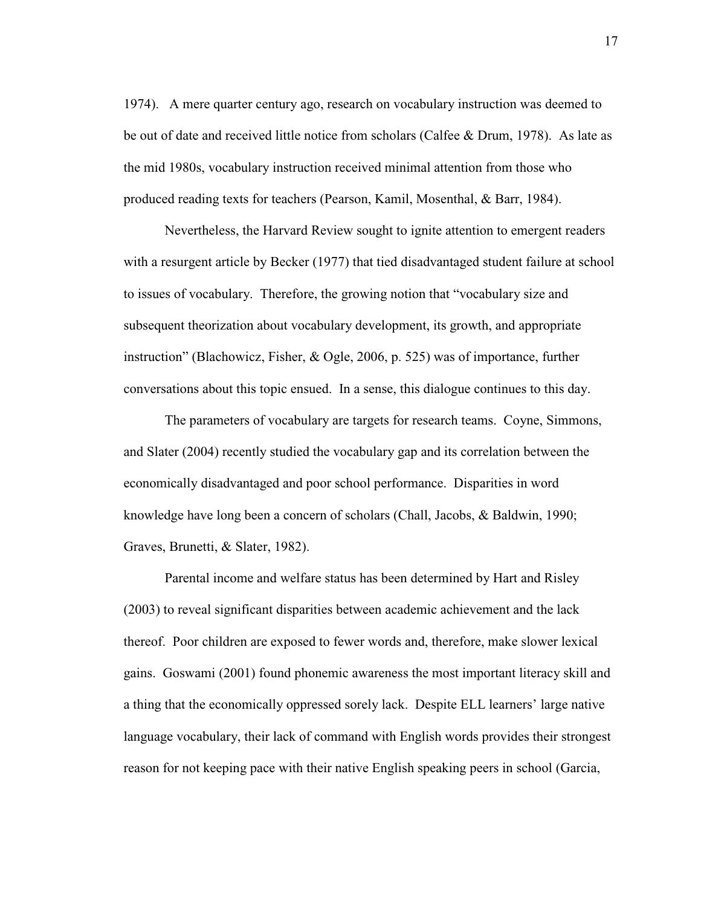1974). A mere quarter century ago, research on vocabulary instruction was deemed to be out of date and received little notice from scholars (Calfee & Drum, 1978). As late as the mid 1980s, vocabulary instruction received minimal attention from those who produced reading texts for teachers (Pearson, Kamil, Mosenthal, & Barr, 1984).

 Nevertheless, the Harvard Review sought to ignite attention to emergent readers with a resurgent article by Becker (1977) that tied disadvantaged student failure at school to issues of vocabulary. Therefore, the growing notion that "vocabulary size and subsequent theorization about vocabulary development, its growth, and appropriate instruction" (Blachowicz, Fisher, & Ogle, 2006, p. 525) was of importance, further conversations about this topic ensued. In a sense, this dialogue continues to this day.

 The parameters of vocabulary are targets for research teams. Coyne, Simmons, and Slater (2004) recently studied the vocabulary gap and its correlation between the economically disadvantaged and poor school performance. Disparities in word knowledge have long been a concern of scholars (Chall, Jacobs, & Baldwin, 1990; Graves, Brunetti, & Slater, 1982).

 Parental income and welfare status has been determined by Hart and Risley (2003) to reveal significant disparities between academic achievement and the lack thereof. Poor children are exposed to fewer words and, therefore, make slower lexical gains. Goswami (2001) found phonemic awareness the most important literacy skill and a thing that the economically oppressed sorely lack. Despite ELL learners' large native language vocabulary, their lack of command with English words provides their strongest reason for not keeping pace with their native English speaking peers in school (Garcia,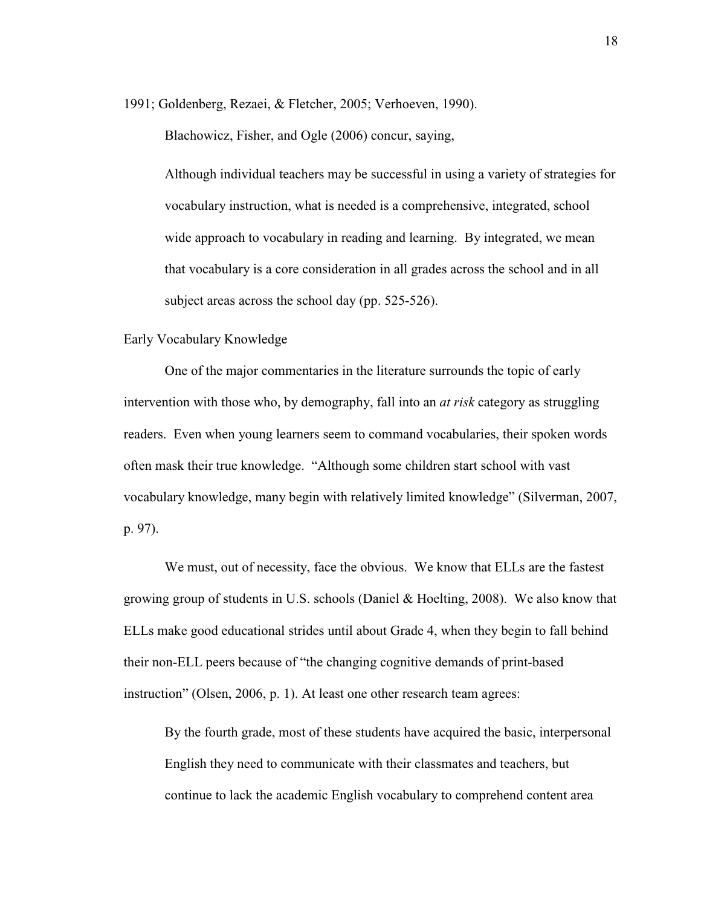1991; Goldenberg, Rezaei, & Fletcher, 2005; Verhoeven, 1990).

Blachowicz, Fisher, and Ogle (2006) concur, saying,

Although individual teachers may be successful in using a variety of strategies for vocabulary instruction, what is needed is a comprehensive, integrated, school wide approach to vocabulary in reading and learning. By integrated, we mean that vocabulary is a core consideration in all grades across the school and in all subject areas across the school day (pp. 525-526).

#### Early Vocabulary Knowledge

One of the major commentaries in the literature surrounds the topic of early intervention with those who, by demography, fall into an *at risk* category as struggling readers. Even when young learners seem to command vocabularies, their spoken words often mask their true knowledge. "Although some children start school with vast vocabulary knowledge, many begin with relatively limited knowledge" (Silverman, 2007, p. 97).

We must, out of necessity, face the obvious. We know that ELLs are the fastest growing group of students in U.S. schools (Daniel & Hoelting, 2008). We also know that ELLs make good educational strides until about Grade 4, when they begin to fall behind their non-ELL peers because of "the changing cognitive demands of print-based instruction" (Olsen, 2006, p. 1). At least one other research team agrees:

 By the fourth grade, most of these students have acquired the basic, interpersonal English they need to communicate with their classmates and teachers, but continue to lack the academic English vocabulary to comprehend content area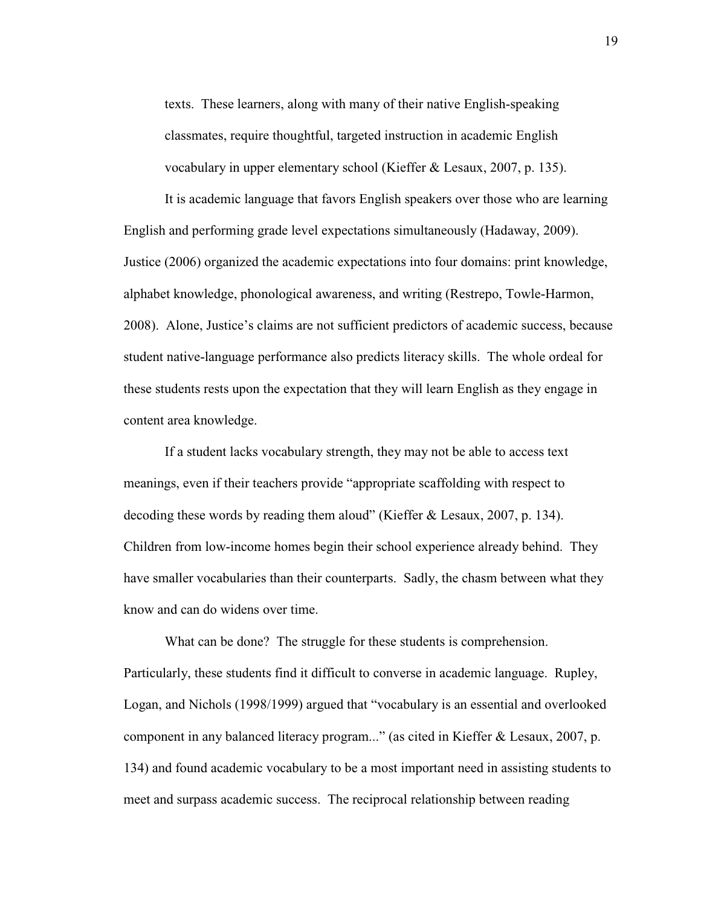texts. These learners, along with many of their native English-speaking classmates, require thoughtful, targeted instruction in academic English vocabulary in upper elementary school (Kieffer & Lesaux, 2007, p. 135).

 It is academic language that favors English speakers over those who are learning English and performing grade level expectations simultaneously (Hadaway, 2009). Justice (2006) organized the academic expectations into four domains: print knowledge, alphabet knowledge, phonological awareness, and writing (Restrepo, Towle-Harmon, 2008). Alone, Justice's claims are not sufficient predictors of academic success, because student native-language performance also predicts literacy skills. The whole ordeal for these students rests upon the expectation that they will learn English as they engage in content area knowledge.

 If a student lacks vocabulary strength, they may not be able to access text meanings, even if their teachers provide "appropriate scaffolding with respect to decoding these words by reading them aloud" (Kieffer & Lesaux, 2007, p. 134). Children from low-income homes begin their school experience already behind. They have smaller vocabularies than their counterparts. Sadly, the chasm between what they know and can do widens over time.

 What can be done? The struggle for these students is comprehension. Particularly, these students find it difficult to converse in academic language. Rupley, Logan, and Nichols (1998/1999) argued that "vocabulary is an essential and overlooked component in any balanced literacy program..." (as cited in Kieffer & Lesaux, 2007, p. 134) and found academic vocabulary to be a most important need in assisting students to meet and surpass academic success. The reciprocal relationship between reading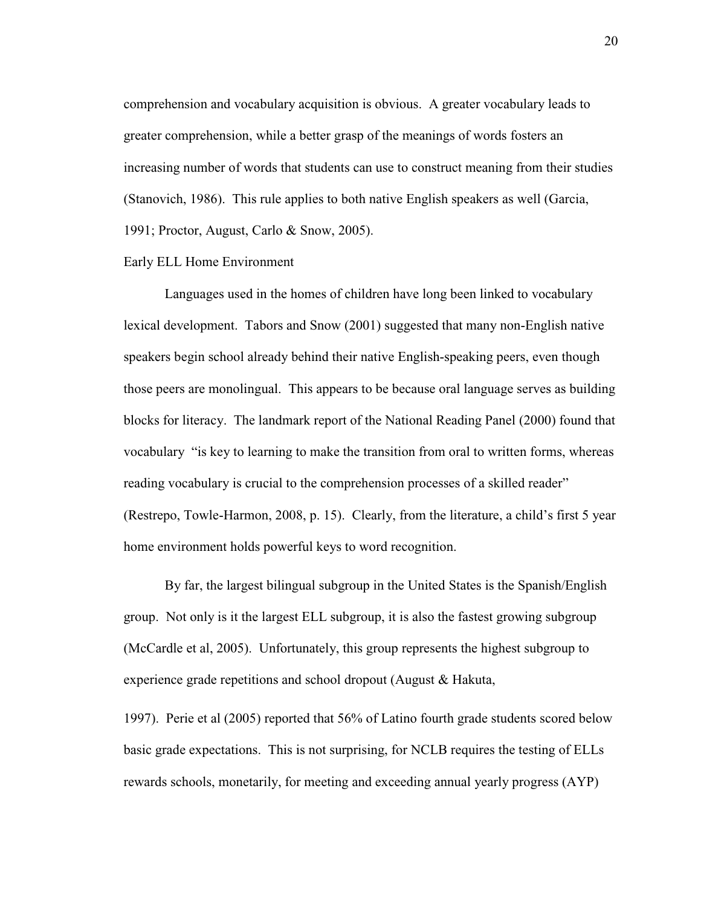comprehension and vocabulary acquisition is obvious. A greater vocabulary leads to greater comprehension, while a better grasp of the meanings of words fosters an increasing number of words that students can use to construct meaning from their studies (Stanovich, 1986). This rule applies to both native English speakers as well (Garcia, 1991; Proctor, August, Carlo & Snow, 2005).

#### Early ELL Home Environment

Languages used in the homes of children have long been linked to vocabulary lexical development. Tabors and Snow (2001) suggested that many non-English native speakers begin school already behind their native English-speaking peers, even though those peers are monolingual. This appears to be because oral language serves as building blocks for literacy. The landmark report of the National Reading Panel (2000) found that vocabulary "is key to learning to make the transition from oral to written forms, whereas reading vocabulary is crucial to the comprehension processes of a skilled reader" (Restrepo, Towle-Harmon, 2008, p. 15). Clearly, from the literature, a child's first 5 year home environment holds powerful keys to word recognition.

By far, the largest bilingual subgroup in the United States is the Spanish/English group. Not only is it the largest ELL subgroup, it is also the fastest growing subgroup (McCardle et al, 2005). Unfortunately, this group represents the highest subgroup to experience grade repetitions and school dropout (August & Hakuta,

1997). Perie et al (2005) reported that 56% of Latino fourth grade students scored below basic grade expectations. This is not surprising, for NCLB requires the testing of ELLs rewards schools, monetarily, for meeting and exceeding annual yearly progress (AYP)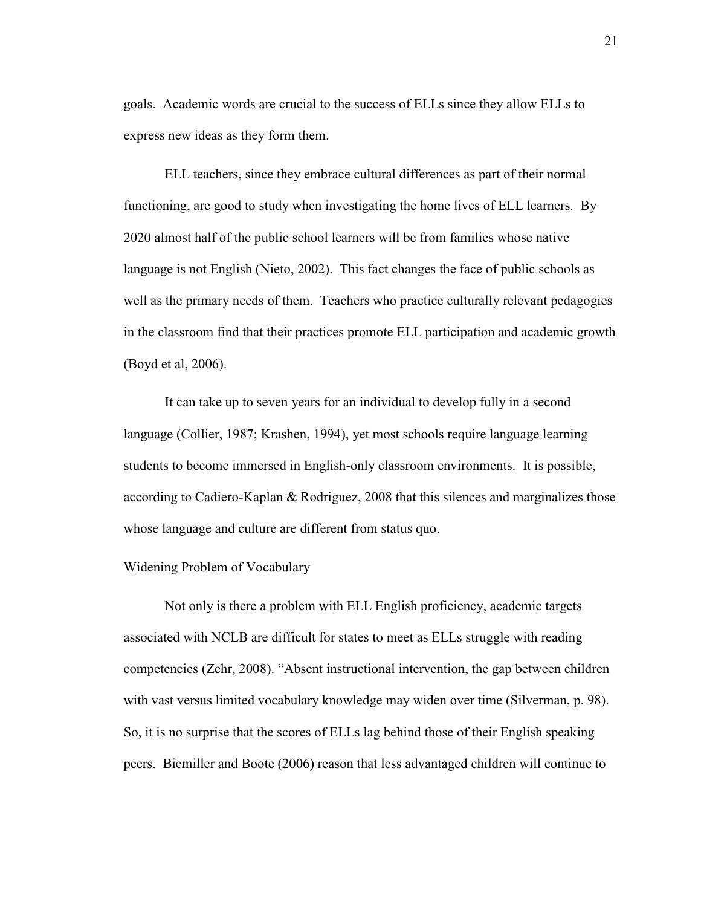goals. Academic words are crucial to the success of ELLs since they allow ELLs to express new ideas as they form them.

 ELL teachers, since they embrace cultural differences as part of their normal functioning, are good to study when investigating the home lives of ELL learners. By 2020 almost half of the public school learners will be from families whose native language is not English (Nieto, 2002). This fact changes the face of public schools as well as the primary needs of them. Teachers who practice culturally relevant pedagogies in the classroom find that their practices promote ELL participation and academic growth (Boyd et al, 2006).

It can take up to seven years for an individual to develop fully in a second language (Collier, 1987; Krashen, 1994), yet most schools require language learning students to become immersed in English-only classroom environments. It is possible, according to Cadiero-Kaplan & Rodriguez, 2008 that this silences and marginalizes those whose language and culture are different from status quo.

#### Widening Problem of Vocabulary

 Not only is there a problem with ELL English proficiency, academic targets associated with NCLB are difficult for states to meet as ELLs struggle with reading competencies (Zehr, 2008). "Absent instructional intervention, the gap between children with vast versus limited vocabulary knowledge may widen over time (Silverman, p. 98). So, it is no surprise that the scores of ELLs lag behind those of their English speaking peers. Biemiller and Boote (2006) reason that less advantaged children will continue to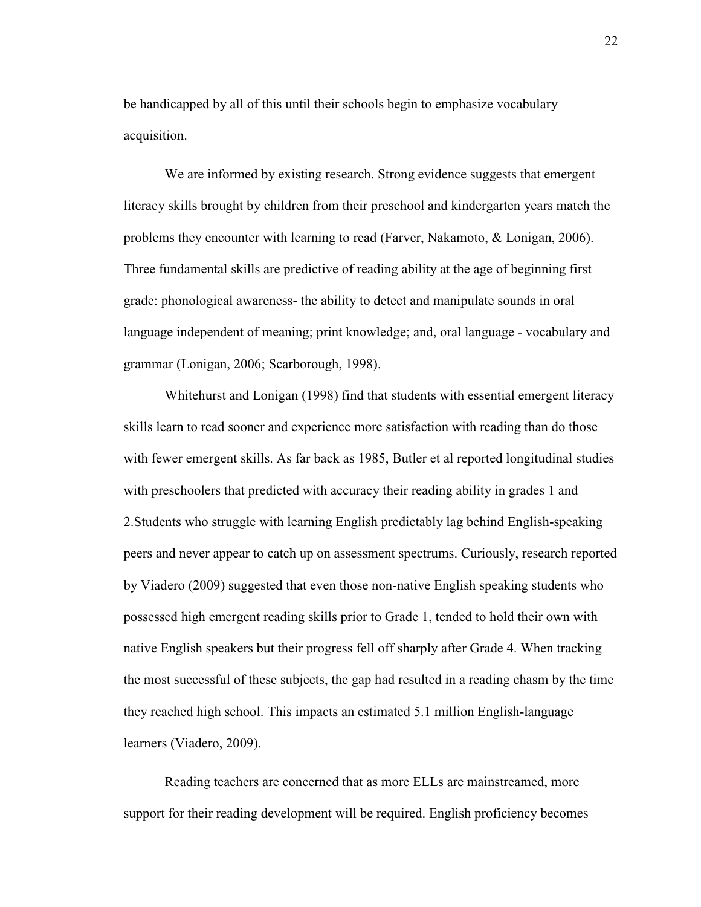be handicapped by all of this until their schools begin to emphasize vocabulary acquisition.

We are informed by existing research. Strong evidence suggests that emergent literacy skills brought by children from their preschool and kindergarten years match the problems they encounter with learning to read (Farver, Nakamoto, & Lonigan, 2006). Three fundamental skills are predictive of reading ability at the age of beginning first grade: phonological awareness- the ability to detect and manipulate sounds in oral language independent of meaning; print knowledge; and, oral language - vocabulary and grammar (Lonigan, 2006; Scarborough, 1998).

 Whitehurst and Lonigan (1998) find that students with essential emergent literacy skills learn to read sooner and experience more satisfaction with reading than do those with fewer emergent skills. As far back as 1985, Butler et al reported longitudinal studies with preschoolers that predicted with accuracy their reading ability in grades 1 and 2.Students who struggle with learning English predictably lag behind English-speaking peers and never appear to catch up on assessment spectrums. Curiously, research reported by Viadero (2009) suggested that even those non-native English speaking students who possessed high emergent reading skills prior to Grade 1, tended to hold their own with native English speakers but their progress fell off sharply after Grade 4. When tracking the most successful of these subjects, the gap had resulted in a reading chasm by the time they reached high school. This impacts an estimated 5.1 million English-language learners (Viadero, 2009).

Reading teachers are concerned that as more ELLs are mainstreamed, more support for their reading development will be required. English proficiency becomes 22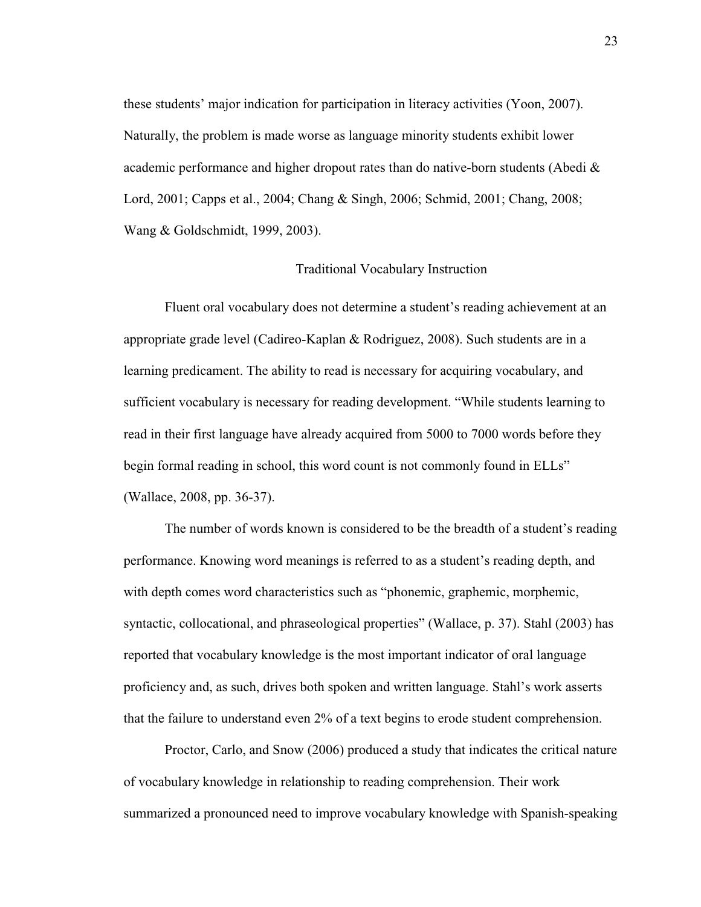these students' major indication for participation in literacy activities (Yoon, 2007). Naturally, the problem is made worse as language minority students exhibit lower academic performance and higher dropout rates than do native-born students (Abedi & Lord, 2001; Capps et al., 2004; Chang & Singh, 2006; Schmid, 2001; Chang, 2008; Wang & Goldschmidt, 1999, 2003).

#### Traditional Vocabulary Instruction

Fluent oral vocabulary does not determine a student's reading achievement at an appropriate grade level (Cadireo-Kaplan & Rodriguez, 2008). Such students are in a learning predicament. The ability to read is necessary for acquiring vocabulary, and sufficient vocabulary is necessary for reading development. "While students learning to read in their first language have already acquired from 5000 to 7000 words before they begin formal reading in school, this word count is not commonly found in ELLs" (Wallace, 2008, pp. 36-37).

 The number of words known is considered to be the breadth of a student's reading performance. Knowing word meanings is referred to as a student's reading depth, and with depth comes word characteristics such as "phonemic, graphemic, morphemic, syntactic, collocational, and phraseological properties" (Wallace, p. 37). Stahl (2003) has reported that vocabulary knowledge is the most important indicator of oral language proficiency and, as such, drives both spoken and written language. Stahl's work asserts that the failure to understand even 2% of a text begins to erode student comprehension.

 Proctor, Carlo, and Snow (2006) produced a study that indicates the critical nature of vocabulary knowledge in relationship to reading comprehension. Their work summarized a pronounced need to improve vocabulary knowledge with Spanish-speaking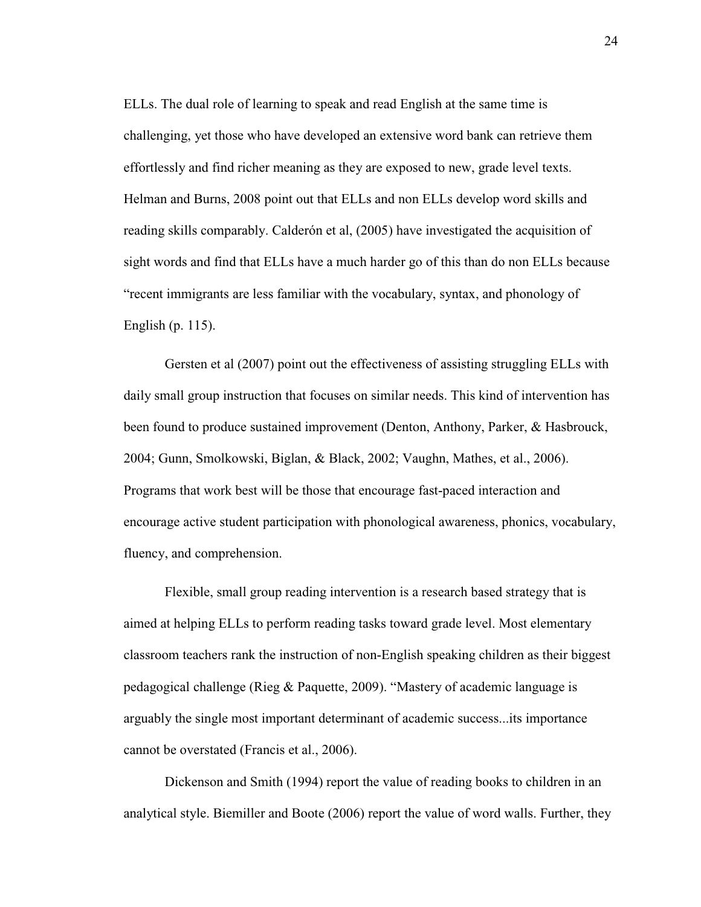ELLs. The dual role of learning to speak and read English at the same time is challenging, yet those who have developed an extensive word bank can retrieve them effortlessly and find richer meaning as they are exposed to new, grade level texts. Helman and Burns, 2008 point out that ELLs and non ELLs develop word skills and reading skills comparably. Calderón et al, (2005) have investigated the acquisition of sight words and find that ELLs have a much harder go of this than do non ELLs because "recent immigrants are less familiar with the vocabulary, syntax, and phonology of English (p. 115).

Gersten et al (2007) point out the effectiveness of assisting struggling ELLs with daily small group instruction that focuses on similar needs. This kind of intervention has been found to produce sustained improvement (Denton, Anthony, Parker, & Hasbrouck, 2004; Gunn, Smolkowski, Biglan, & Black, 2002; Vaughn, Mathes, et al., 2006). Programs that work best will be those that encourage fast-paced interaction and encourage active student participation with phonological awareness, phonics, vocabulary, fluency, and comprehension.

Flexible, small group reading intervention is a research based strategy that is aimed at helping ELLs to perform reading tasks toward grade level. Most elementary classroom teachers rank the instruction of non-English speaking children as their biggest pedagogical challenge (Rieg & Paquette, 2009). "Mastery of academic language is arguably the single most important determinant of academic success...its importance cannot be overstated (Francis et al., 2006).

 Dickenson and Smith (1994) report the value of reading books to children in an analytical style. Biemiller and Boote (2006) report the value of word walls. Further, they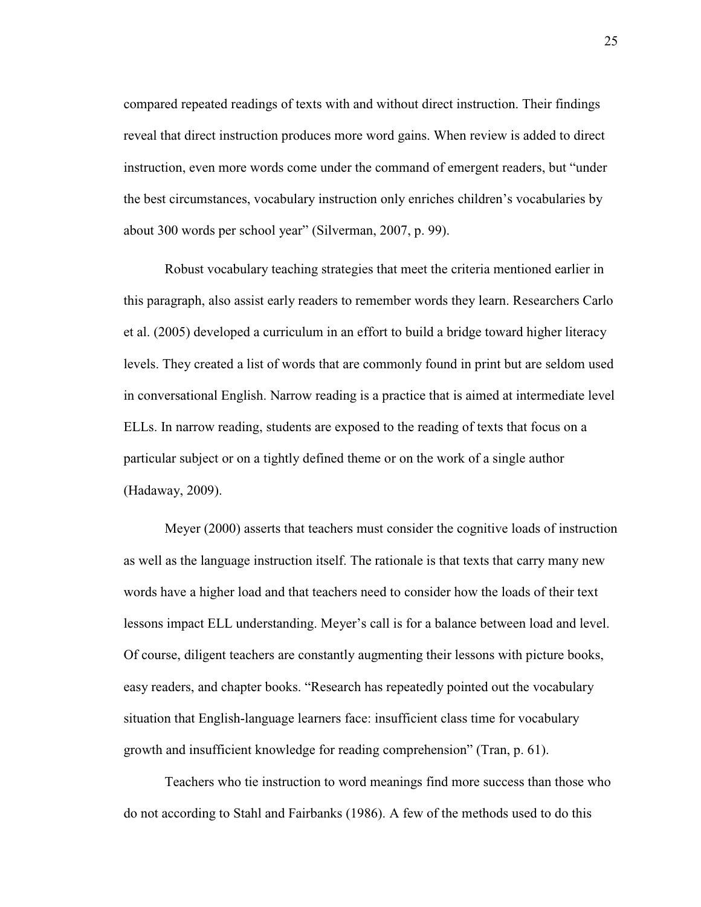compared repeated readings of texts with and without direct instruction. Their findings reveal that direct instruction produces more word gains. When review is added to direct instruction, even more words come under the command of emergent readers, but "under the best circumstances, vocabulary instruction only enriches children's vocabularies by about 300 words per school year" (Silverman, 2007, p. 99).

Robust vocabulary teaching strategies that meet the criteria mentioned earlier in this paragraph, also assist early readers to remember words they learn. Researchers Carlo et al. (2005) developed a curriculum in an effort to build a bridge toward higher literacy levels. They created a list of words that are commonly found in print but are seldom used in conversational English. Narrow reading is a practice that is aimed at intermediate level ELLs. In narrow reading, students are exposed to the reading of texts that focus on a particular subject or on a tightly defined theme or on the work of a single author (Hadaway, 2009).

Meyer (2000) asserts that teachers must consider the cognitive loads of instruction as well as the language instruction itself. The rationale is that texts that carry many new words have a higher load and that teachers need to consider how the loads of their text lessons impact ELL understanding. Meyer's call is for a balance between load and level. Of course, diligent teachers are constantly augmenting their lessons with picture books, easy readers, and chapter books. "Research has repeatedly pointed out the vocabulary situation that English-language learners face: insufficient class time for vocabulary growth and insufficient knowledge for reading comprehension" (Tran, p. 61).

 Teachers who tie instruction to word meanings find more success than those who do not according to Stahl and Fairbanks (1986). A few of the methods used to do this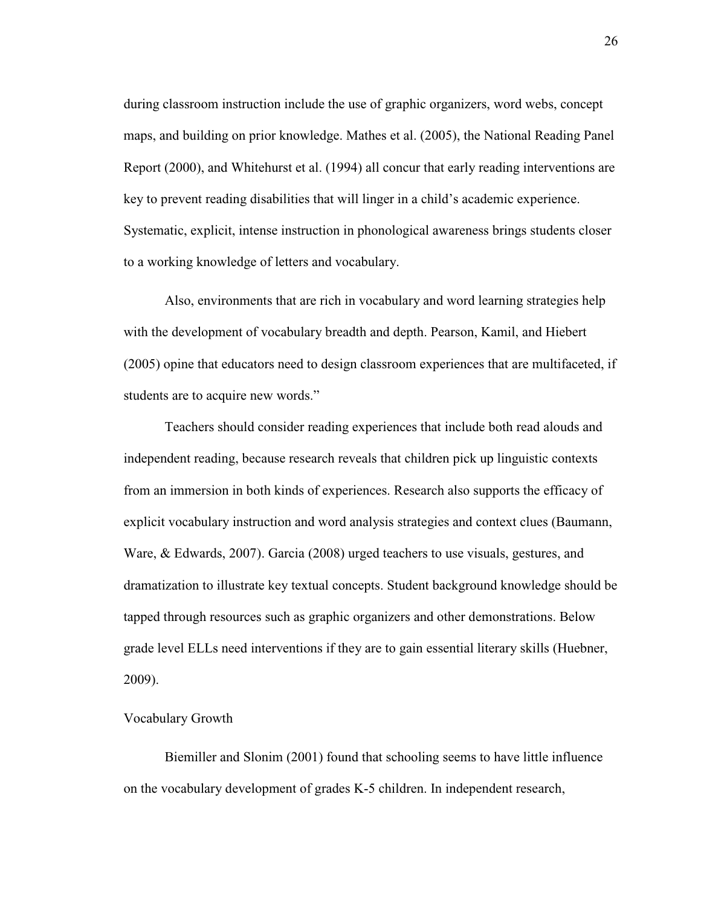during classroom instruction include the use of graphic organizers, word webs, concept maps, and building on prior knowledge. Mathes et al. (2005), the National Reading Panel Report (2000), and Whitehurst et al. (1994) all concur that early reading interventions are key to prevent reading disabilities that will linger in a child's academic experience. Systematic, explicit, intense instruction in phonological awareness brings students closer to a working knowledge of letters and vocabulary.

Also, environments that are rich in vocabulary and word learning strategies help with the development of vocabulary breadth and depth. Pearson, Kamil, and Hiebert (2005) opine that educators need to design classroom experiences that are multifaceted, if students are to acquire new words."

 Teachers should consider reading experiences that include both read alouds and independent reading, because research reveals that children pick up linguistic contexts from an immersion in both kinds of experiences. Research also supports the efficacy of explicit vocabulary instruction and word analysis strategies and context clues (Baumann, Ware, & Edwards, 2007). Garcia (2008) urged teachers to use visuals, gestures, and dramatization to illustrate key textual concepts. Student background knowledge should be tapped through resources such as graphic organizers and other demonstrations. Below grade level ELLs need interventions if they are to gain essential literary skills (Huebner, 2009).

### Vocabulary Growth

Biemiller and Slonim (2001) found that schooling seems to have little influence on the vocabulary development of grades K-5 children. In independent research,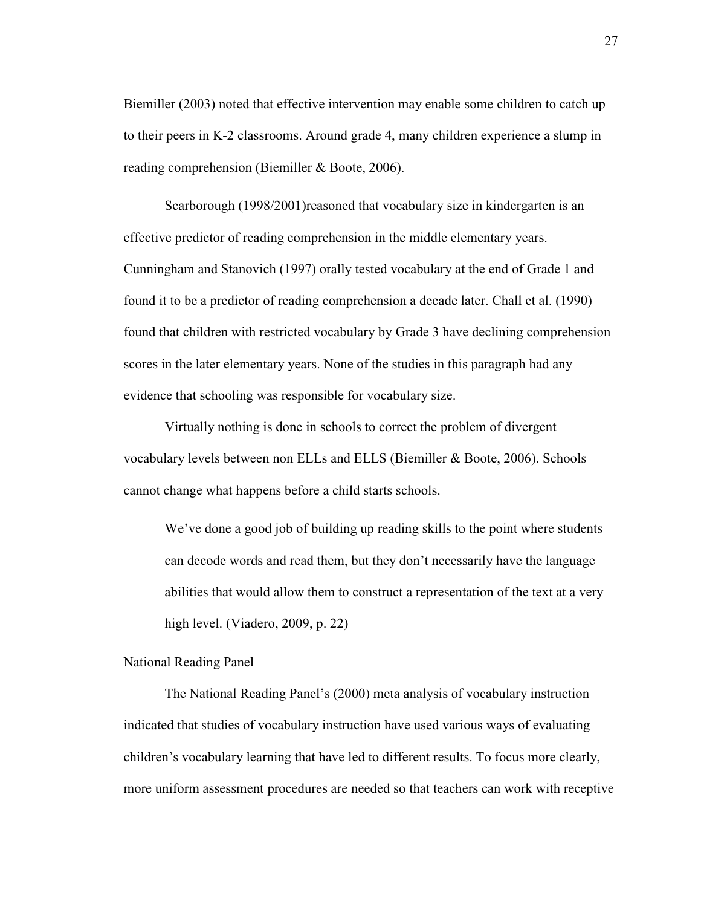Biemiller (2003) noted that effective intervention may enable some children to catch up to their peers in K-2 classrooms. Around grade 4, many children experience a slump in reading comprehension (Biemiller & Boote, 2006).

Scarborough (1998/2001)reasoned that vocabulary size in kindergarten is an effective predictor of reading comprehension in the middle elementary years. Cunningham and Stanovich (1997) orally tested vocabulary at the end of Grade 1 and found it to be a predictor of reading comprehension a decade later. Chall et al. (1990) found that children with restricted vocabulary by Grade 3 have declining comprehension scores in the later elementary years. None of the studies in this paragraph had any evidence that schooling was responsible for vocabulary size.

 Virtually nothing is done in schools to correct the problem of divergent vocabulary levels between non ELLs and ELLS (Biemiller & Boote, 2006). Schools cannot change what happens before a child starts schools.

We've done a good job of building up reading skills to the point where students can decode words and read them, but they don't necessarily have the language abilities that would allow them to construct a representation of the text at a very high level. (Viadero, 2009, p. 22)

### National Reading Panel

The National Reading Panel's (2000) meta analysis of vocabulary instruction indicated that studies of vocabulary instruction have used various ways of evaluating children's vocabulary learning that have led to different results. To focus more clearly, more uniform assessment procedures are needed so that teachers can work with receptive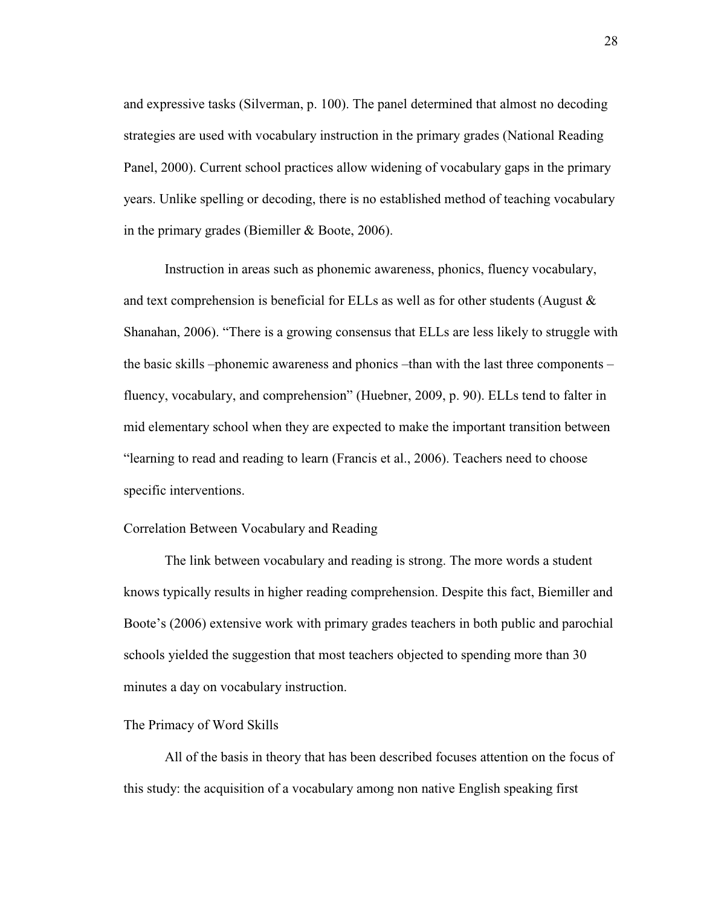and expressive tasks (Silverman, p. 100). The panel determined that almost no decoding strategies are used with vocabulary instruction in the primary grades (National Reading Panel, 2000). Current school practices allow widening of vocabulary gaps in the primary years. Unlike spelling or decoding, there is no established method of teaching vocabulary in the primary grades (Biemiller & Boote, 2006).

Instruction in areas such as phonemic awareness, phonics, fluency vocabulary, and text comprehension is beneficial for ELLs as well as for other students (August  $\&$ Shanahan, 2006). "There is a growing consensus that ELLs are less likely to struggle with the basic skills –phonemic awareness and phonics –than with the last three components – fluency, vocabulary, and comprehension" (Huebner, 2009, p. 90). ELLs tend to falter in mid elementary school when they are expected to make the important transition between "learning to read and reading to learn (Francis et al., 2006). Teachers need to choose specific interventions.

# Correlation Between Vocabulary and Reading

The link between vocabulary and reading is strong. The more words a student knows typically results in higher reading comprehension. Despite this fact, Biemiller and Boote's (2006) extensive work with primary grades teachers in both public and parochial schools yielded the suggestion that most teachers objected to spending more than 30 minutes a day on vocabulary instruction.

### The Primacy of Word Skills

All of the basis in theory that has been described focuses attention on the focus of this study: the acquisition of a vocabulary among non native English speaking first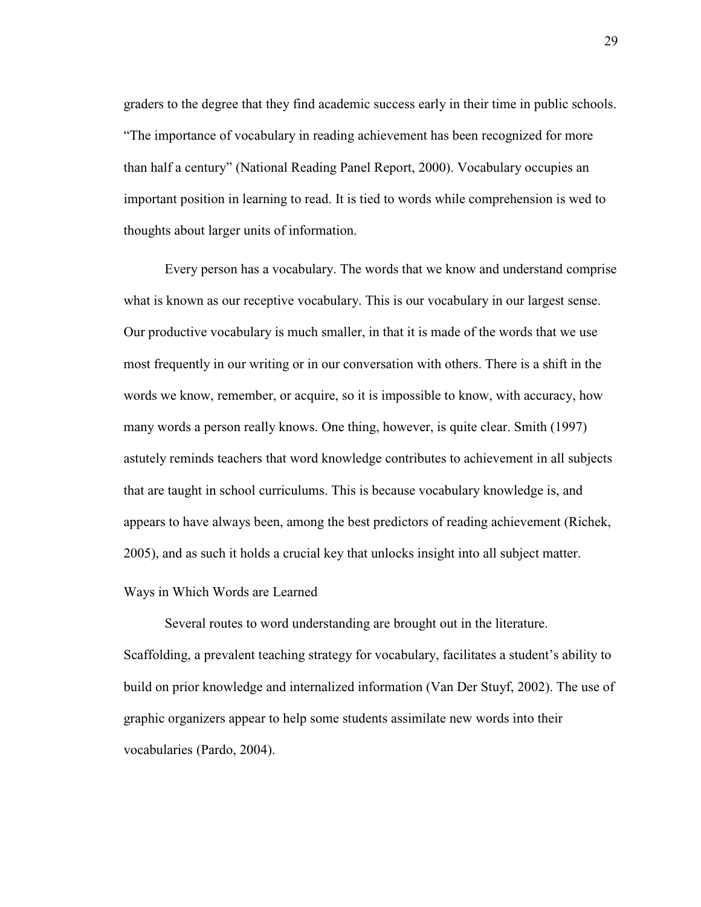graders to the degree that they find academic success early in their time in public schools. "The importance of vocabulary in reading achievement has been recognized for more than half a century" (National Reading Panel Report, 2000). Vocabulary occupies an important position in learning to read. It is tied to words while comprehension is wed to thoughts about larger units of information.

Every person has a vocabulary. The words that we know and understand comprise what is known as our receptive vocabulary. This is our vocabulary in our largest sense. Our productive vocabulary is much smaller, in that it is made of the words that we use most frequently in our writing or in our conversation with others. There is a shift in the words we know, remember, or acquire, so it is impossible to know, with accuracy, how many words a person really knows. One thing, however, is quite clear. Smith (1997) astutely reminds teachers that word knowledge contributes to achievement in all subjects that are taught in school curriculums. This is because vocabulary knowledge is, and appears to have always been, among the best predictors of reading achievement (Richek, 2005), and as such it holds a crucial key that unlocks insight into all subject matter.

### Ways in Which Words are Learned

Several routes to word understanding are brought out in the literature. Scaffolding, a prevalent teaching strategy for vocabulary, facilitates a student's ability to build on prior knowledge and internalized information (Van Der Stuyf, 2002). The use of graphic organizers appear to help some students assimilate new words into their vocabularies (Pardo, 2004).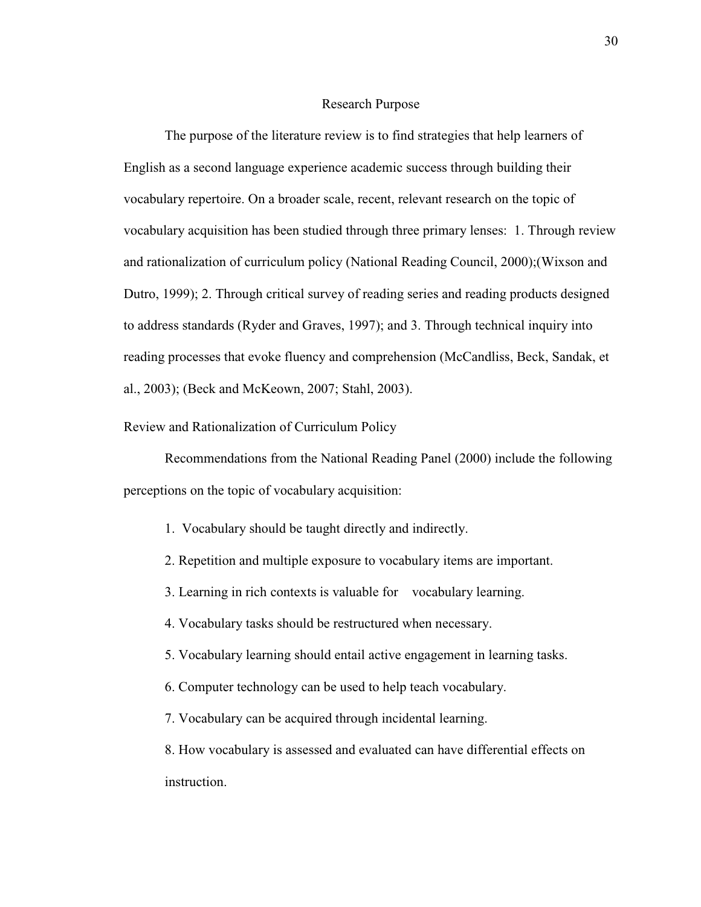### Research Purpose

The purpose of the literature review is to find strategies that help learners of English as a second language experience academic success through building their vocabulary repertoire. On a broader scale, recent, relevant research on the topic of vocabulary acquisition has been studied through three primary lenses: 1. Through review and rationalization of curriculum policy (National Reading Council, 2000);(Wixson and Dutro, 1999); 2. Through critical survey of reading series and reading products designed to address standards (Ryder and Graves, 1997); and 3. Through technical inquiry into reading processes that evoke fluency and comprehension (McCandliss, Beck, Sandak, et al., 2003); (Beck and McKeown, 2007; Stahl, 2003).

Review and Rationalization of Curriculum Policy

Recommendations from the National Reading Panel (2000) include the following perceptions on the topic of vocabulary acquisition:

- 1. Vocabulary should be taught directly and indirectly.
- 2. Repetition and multiple exposure to vocabulary items are important.
- 3. Learning in rich contexts is valuable for vocabulary learning.
- 4. Vocabulary tasks should be restructured when necessary.
- 5. Vocabulary learning should entail active engagement in learning tasks.
- 6. Computer technology can be used to help teach vocabulary.
- 7. Vocabulary can be acquired through incidental learning.

 8. How vocabulary is assessed and evaluated can have differential effects on instruction.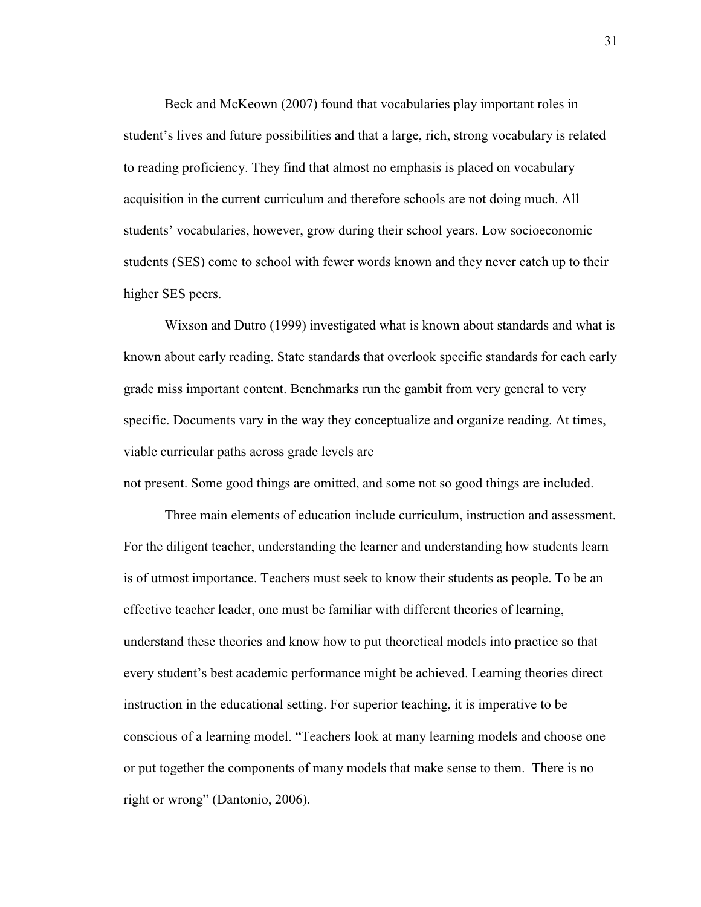Beck and McKeown (2007) found that vocabularies play important roles in student's lives and future possibilities and that a large, rich, strong vocabulary is related to reading proficiency. They find that almost no emphasis is placed on vocabulary acquisition in the current curriculum and therefore schools are not doing much. All students' vocabularies, however, grow during their school years. Low socioeconomic students (SES) come to school with fewer words known and they never catch up to their higher SES peers.

 Wixson and Dutro (1999) investigated what is known about standards and what is known about early reading. State standards that overlook specific standards for each early grade miss important content. Benchmarks run the gambit from very general to very specific. Documents vary in the way they conceptualize and organize reading. At times, viable curricular paths across grade levels are

not present. Some good things are omitted, and some not so good things are included.

 Three main elements of education include curriculum, instruction and assessment. For the diligent teacher, understanding the learner and understanding how students learn is of utmost importance. Teachers must seek to know their students as people. To be an effective teacher leader, one must be familiar with different theories of learning, understand these theories and know how to put theoretical models into practice so that every student's best academic performance might be achieved. Learning theories direct instruction in the educational setting. For superior teaching, it is imperative to be conscious of a learning model. "Teachers look at many learning models and choose one or put together the components of many models that make sense to them. There is no right or wrong" (Dantonio, 2006).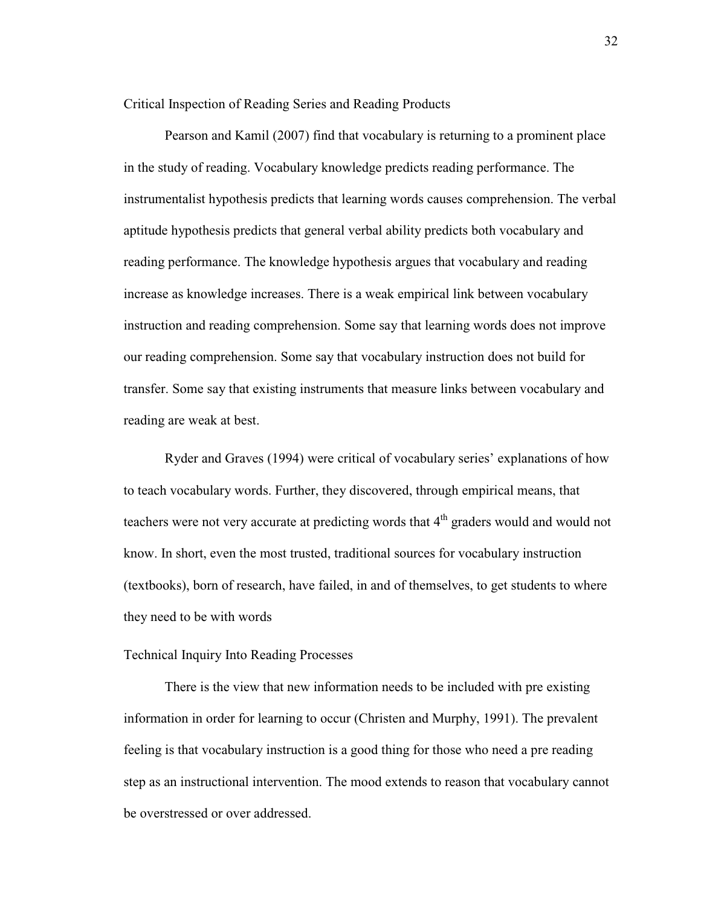Critical Inspection of Reading Series and Reading Products

Pearson and Kamil (2007) find that vocabulary is returning to a prominent place in the study of reading. Vocabulary knowledge predicts reading performance. The instrumentalist hypothesis predicts that learning words causes comprehension. The verbal aptitude hypothesis predicts that general verbal ability predicts both vocabulary and reading performance. The knowledge hypothesis argues that vocabulary and reading increase as knowledge increases. There is a weak empirical link between vocabulary instruction and reading comprehension. Some say that learning words does not improve our reading comprehension. Some say that vocabulary instruction does not build for transfer. Some say that existing instruments that measure links between vocabulary and reading are weak at best.

Ryder and Graves (1994) were critical of vocabulary series' explanations of how to teach vocabulary words. Further, they discovered, through empirical means, that teachers were not very accurate at predicting words that  $4<sup>th</sup>$  graders would and would not know. In short, even the most trusted, traditional sources for vocabulary instruction (textbooks), born of research, have failed, in and of themselves, to get students to where they need to be with words

## Technical Inquiry Into Reading Processes

There is the view that new information needs to be included with pre existing information in order for learning to occur (Christen and Murphy, 1991). The prevalent feeling is that vocabulary instruction is a good thing for those who need a pre reading step as an instructional intervention. The mood extends to reason that vocabulary cannot be overstressed or over addressed.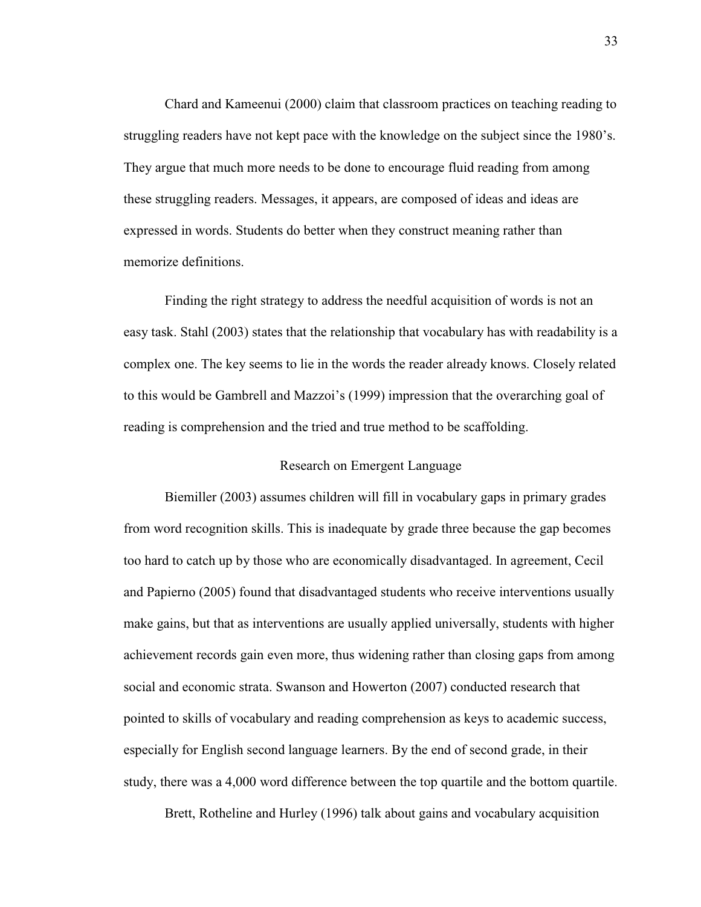Chard and Kameenui (2000) claim that classroom practices on teaching reading to struggling readers have not kept pace with the knowledge on the subject since the 1980's. They argue that much more needs to be done to encourage fluid reading from among these struggling readers. Messages, it appears, are composed of ideas and ideas are expressed in words. Students do better when they construct meaning rather than memorize definitions.

Finding the right strategy to address the needful acquisition of words is not an easy task. Stahl (2003) states that the relationship that vocabulary has with readability is a complex one. The key seems to lie in the words the reader already knows. Closely related to this would be Gambrell and Mazzoi's (1999) impression that the overarching goal of reading is comprehension and the tried and true method to be scaffolding.

# Research on Emergent Language

Biemiller (2003) assumes children will fill in vocabulary gaps in primary grades from word recognition skills. This is inadequate by grade three because the gap becomes too hard to catch up by those who are economically disadvantaged. In agreement, Cecil and Papierno (2005) found that disadvantaged students who receive interventions usually make gains, but that as interventions are usually applied universally, students with higher achievement records gain even more, thus widening rather than closing gaps from among social and economic strata. Swanson and Howerton (2007) conducted research that pointed to skills of vocabulary and reading comprehension as keys to academic success, especially for English second language learners. By the end of second grade, in their study, there was a 4,000 word difference between the top quartile and the bottom quartile.

Brett, Rotheline and Hurley (1996) talk about gains and vocabulary acquisition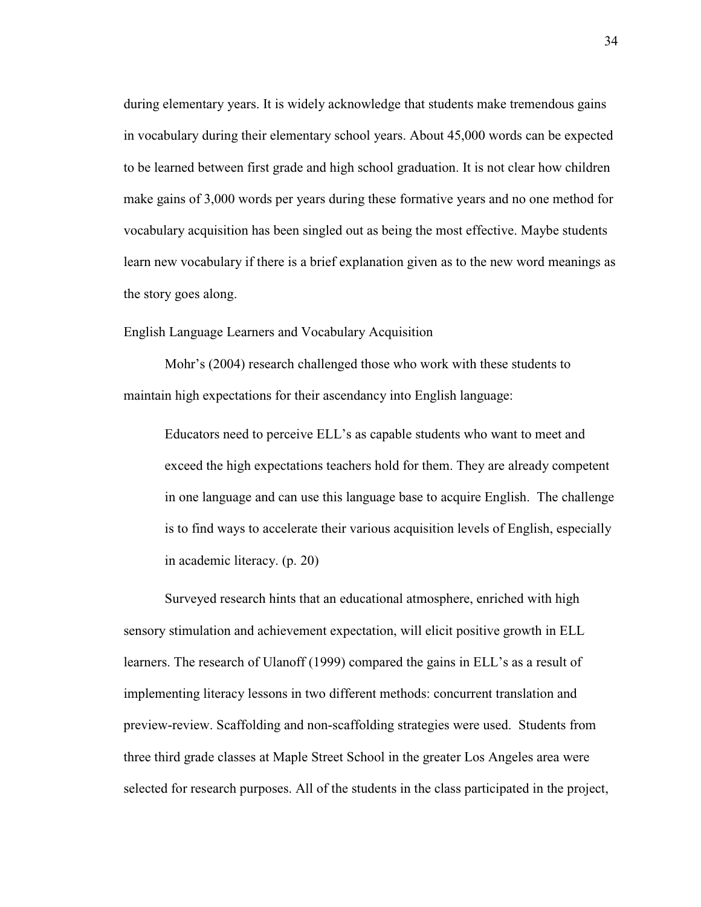during elementary years. It is widely acknowledge that students make tremendous gains in vocabulary during their elementary school years. About 45,000 words can be expected to be learned between first grade and high school graduation. It is not clear how children make gains of 3,000 words per years during these formative years and no one method for vocabulary acquisition has been singled out as being the most effective. Maybe students learn new vocabulary if there is a brief explanation given as to the new word meanings as the story goes along.

English Language Learners and Vocabulary Acquisition

Mohr's (2004) research challenged those who work with these students to maintain high expectations for their ascendancy into English language:

Educators need to perceive ELL's as capable students who want to meet and exceed the high expectations teachers hold for them. They are already competent in one language and can use this language base to acquire English. The challenge is to find ways to accelerate their various acquisition levels of English, especially in academic literacy. (p. 20)

Surveyed research hints that an educational atmosphere, enriched with high sensory stimulation and achievement expectation, will elicit positive growth in ELL learners. The research of Ulanoff (1999) compared the gains in ELL's as a result of implementing literacy lessons in two different methods: concurrent translation and preview-review. Scaffolding and non-scaffolding strategies were used. Students from three third grade classes at Maple Street School in the greater Los Angeles area were selected for research purposes. All of the students in the class participated in the project,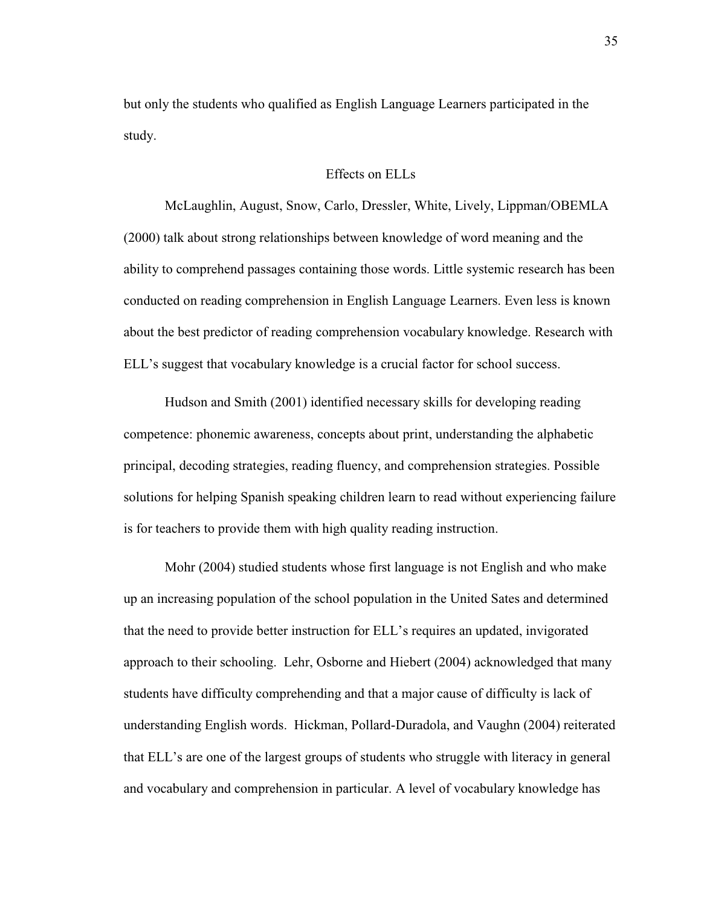but only the students who qualified as English Language Learners participated in the study.

### Effects on ELLs

McLaughlin, August, Snow, Carlo, Dressler, White, Lively, Lippman/OBEMLA (2000) talk about strong relationships between knowledge of word meaning and the ability to comprehend passages containing those words. Little systemic research has been conducted on reading comprehension in English Language Learners. Even less is known about the best predictor of reading comprehension vocabulary knowledge. Research with ELL's suggest that vocabulary knowledge is a crucial factor for school success.

Hudson and Smith (2001) identified necessary skills for developing reading competence: phonemic awareness, concepts about print, understanding the alphabetic principal, decoding strategies, reading fluency, and comprehension strategies. Possible solutions for helping Spanish speaking children learn to read without experiencing failure is for teachers to provide them with high quality reading instruction.

Mohr (2004) studied students whose first language is not English and who make up an increasing population of the school population in the United Sates and determined that the need to provide better instruction for ELL's requires an updated, invigorated approach to their schooling. Lehr, Osborne and Hiebert (2004) acknowledged that many students have difficulty comprehending and that a major cause of difficulty is lack of understanding English words. Hickman, Pollard-Duradola, and Vaughn (2004) reiterated that ELL's are one of the largest groups of students who struggle with literacy in general and vocabulary and comprehension in particular. A level of vocabulary knowledge has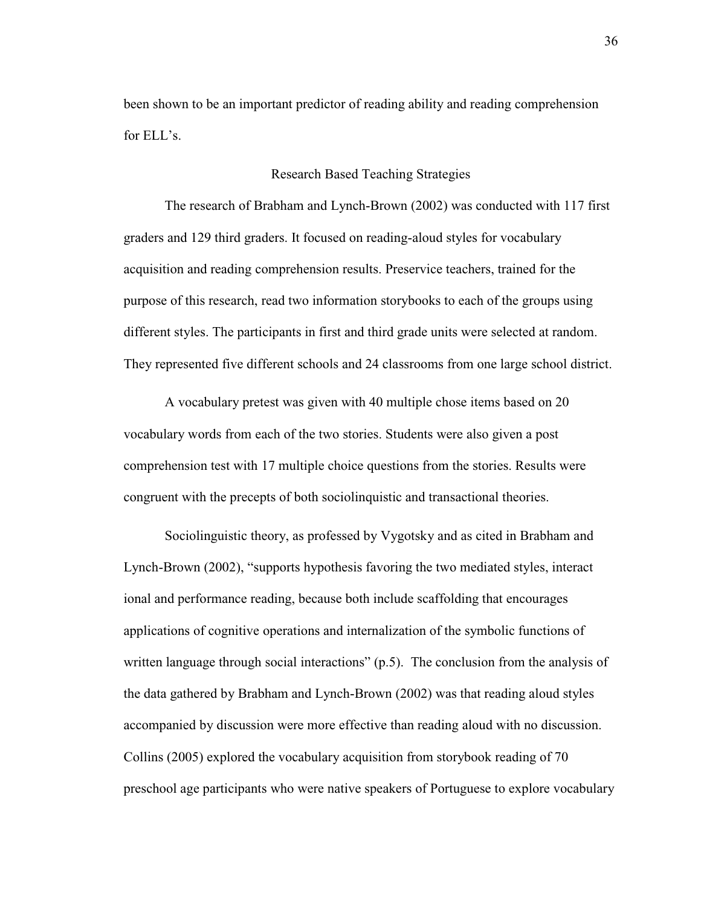been shown to be an important predictor of reading ability and reading comprehension for ELL's.

### Research Based Teaching Strategies

The research of Brabham and Lynch-Brown (2002) was conducted with 117 first graders and 129 third graders. It focused on reading-aloud styles for vocabulary acquisition and reading comprehension results. Preservice teachers, trained for the purpose of this research, read two information storybooks to each of the groups using different styles. The participants in first and third grade units were selected at random. They represented five different schools and 24 classrooms from one large school district.

A vocabulary pretest was given with 40 multiple chose items based on 20 vocabulary words from each of the two stories. Students were also given a post comprehension test with 17 multiple choice questions from the stories. Results were congruent with the precepts of both sociolinquistic and transactional theories.

Sociolinguistic theory, as professed by Vygotsky and as cited in Brabham and Lynch-Brown (2002), "supports hypothesis favoring the two mediated styles, interact ional and performance reading, because both include scaffolding that encourages applications of cognitive operations and internalization of the symbolic functions of written language through social interactions" (p.5). The conclusion from the analysis of the data gathered by Brabham and Lynch-Brown (2002) was that reading aloud styles accompanied by discussion were more effective than reading aloud with no discussion. Collins (2005) explored the vocabulary acquisition from storybook reading of 70 preschool age participants who were native speakers of Portuguese to explore vocabulary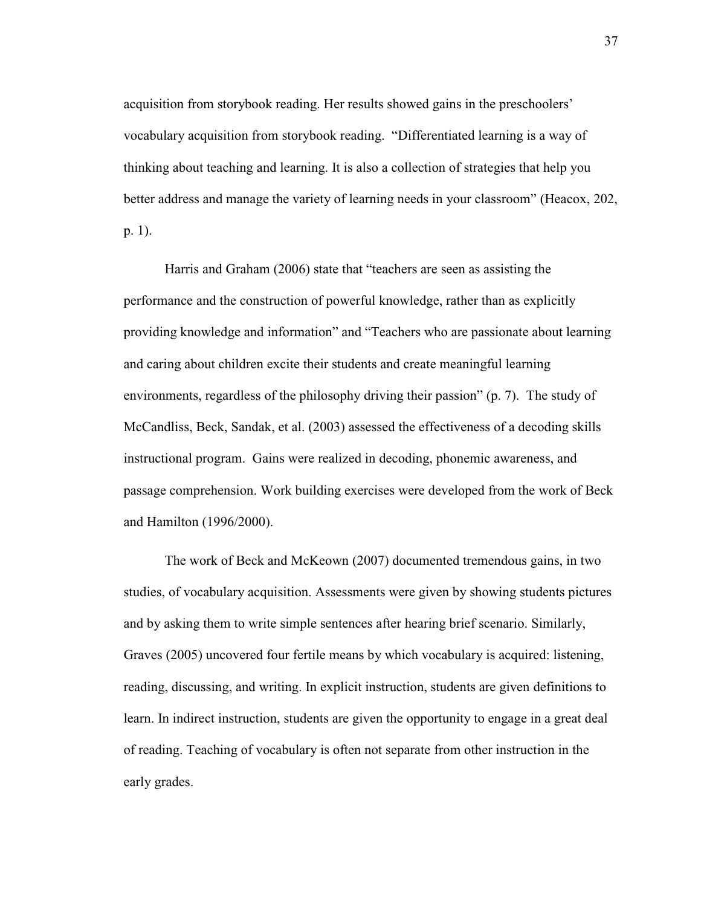acquisition from storybook reading. Her results showed gains in the preschoolers' vocabulary acquisition from storybook reading. "Differentiated learning is a way of thinking about teaching and learning. It is also a collection of strategies that help you better address and manage the variety of learning needs in your classroom" (Heacox, 202, p. 1).

Harris and Graham (2006) state that "teachers are seen as assisting the performance and the construction of powerful knowledge, rather than as explicitly providing knowledge and information" and "Teachers who are passionate about learning and caring about children excite their students and create meaningful learning environments, regardless of the philosophy driving their passion" (p. 7). The study of McCandliss, Beck, Sandak, et al. (2003) assessed the effectiveness of a decoding skills instructional program. Gains were realized in decoding, phonemic awareness, and passage comprehension. Work building exercises were developed from the work of Beck and Hamilton (1996/2000).

The work of Beck and McKeown (2007) documented tremendous gains, in two studies, of vocabulary acquisition. Assessments were given by showing students pictures and by asking them to write simple sentences after hearing brief scenario. Similarly, Graves (2005) uncovered four fertile means by which vocabulary is acquired: listening, reading, discussing, and writing. In explicit instruction, students are given definitions to learn. In indirect instruction, students are given the opportunity to engage in a great deal of reading. Teaching of vocabulary is often not separate from other instruction in the early grades.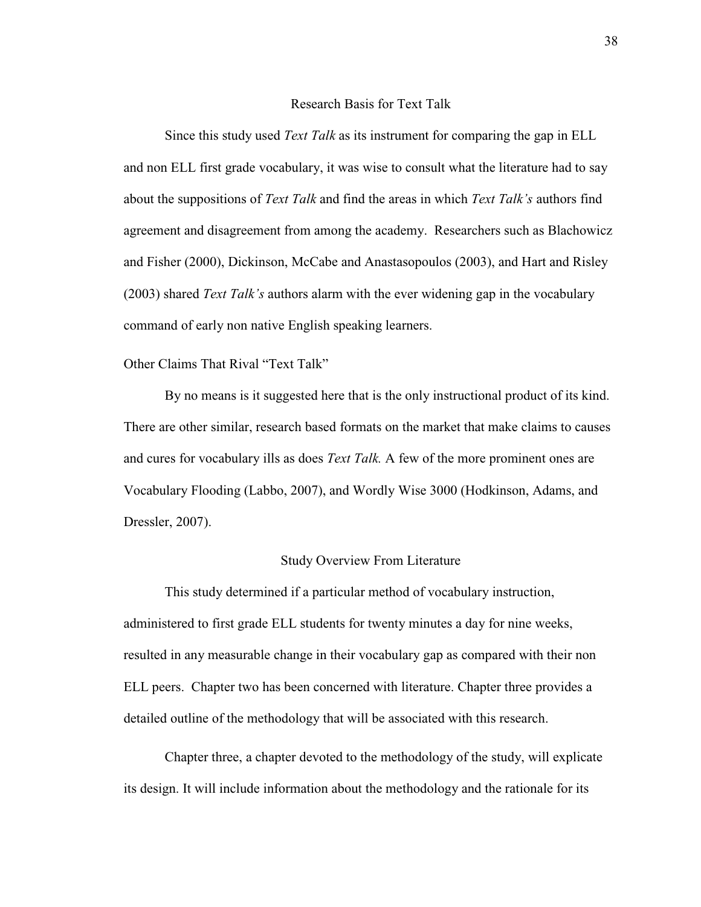### Research Basis for Text Talk

Since this study used *Text Talk* as its instrument for comparing the gap in ELL and non ELL first grade vocabulary, it was wise to consult what the literature had to say about the suppositions of *Text Talk* and find the areas in which *Text Talk's* authors find agreement and disagreement from among the academy. Researchers such as Blachowicz and Fisher (2000), Dickinson, McCabe and Anastasopoulos (2003), and Hart and Risley (2003) shared *Text Talk's* authors alarm with the ever widening gap in the vocabulary command of early non native English speaking learners.

### Other Claims That Rival "Text Talk"

By no means is it suggested here that is the only instructional product of its kind. There are other similar, research based formats on the market that make claims to causes and cures for vocabulary ills as does *Text Talk.* A few of the more prominent ones are Vocabulary Flooding (Labbo, 2007), and Wordly Wise 3000 (Hodkinson, Adams, and Dressler, 2007).

### Study Overview From Literature

This study determined if a particular method of vocabulary instruction, administered to first grade ELL students for twenty minutes a day for nine weeks, resulted in any measurable change in their vocabulary gap as compared with their non ELL peers. Chapter two has been concerned with literature. Chapter three provides a detailed outline of the methodology that will be associated with this research.

Chapter three, a chapter devoted to the methodology of the study, will explicate its design. It will include information about the methodology and the rationale for its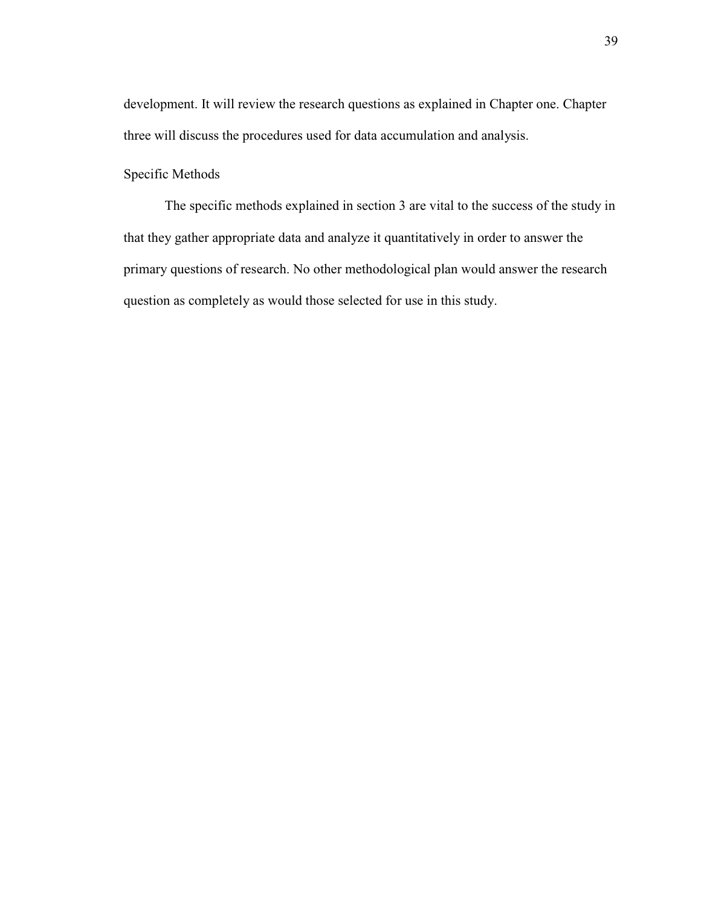development. It will review the research questions as explained in Chapter one. Chapter three will discuss the procedures used for data accumulation and analysis.

# Specific Methods

The specific methods explained in section 3 are vital to the success of the study in that they gather appropriate data and analyze it quantitatively in order to answer the primary questions of research. No other methodological plan would answer the research question as completely as would those selected for use in this study.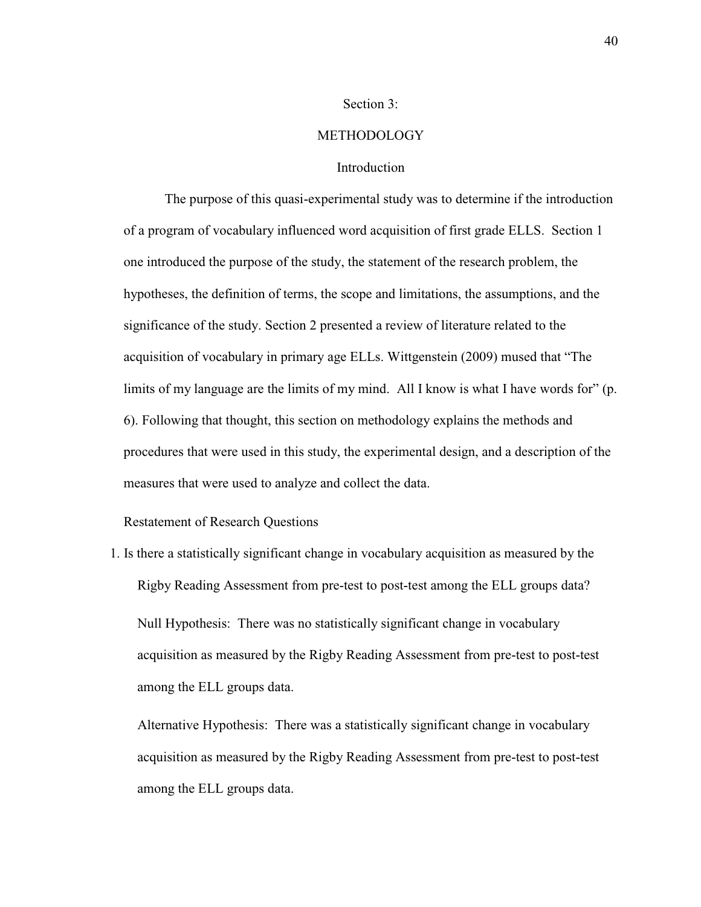### Section 3:

### **METHODOLOGY**

### Introduction

The purpose of this quasi-experimental study was to determine if the introduction of a program of vocabulary influenced word acquisition of first grade ELLS. Section 1 one introduced the purpose of the study, the statement of the research problem, the hypotheses, the definition of terms, the scope and limitations, the assumptions, and the significance of the study. Section 2 presented a review of literature related to the acquisition of vocabulary in primary age ELLs. Wittgenstein (2009) mused that "The limits of my language are the limits of my mind. All I know is what I have words for" (p. 6). Following that thought, this section on methodology explains the methods and procedures that were used in this study, the experimental design, and a description of the measures that were used to analyze and collect the data.

Restatement of Research Questions

1. Is there a statistically significant change in vocabulary acquisition as measured by the Rigby Reading Assessment from pre-test to post-test among the ELL groups data?

Null Hypothesis: There was no statistically significant change in vocabulary acquisition as measured by the Rigby Reading Assessment from pre-test to post-test among the ELL groups data.

Alternative Hypothesis: There was a statistically significant change in vocabulary acquisition as measured by the Rigby Reading Assessment from pre-test to post-test among the ELL groups data.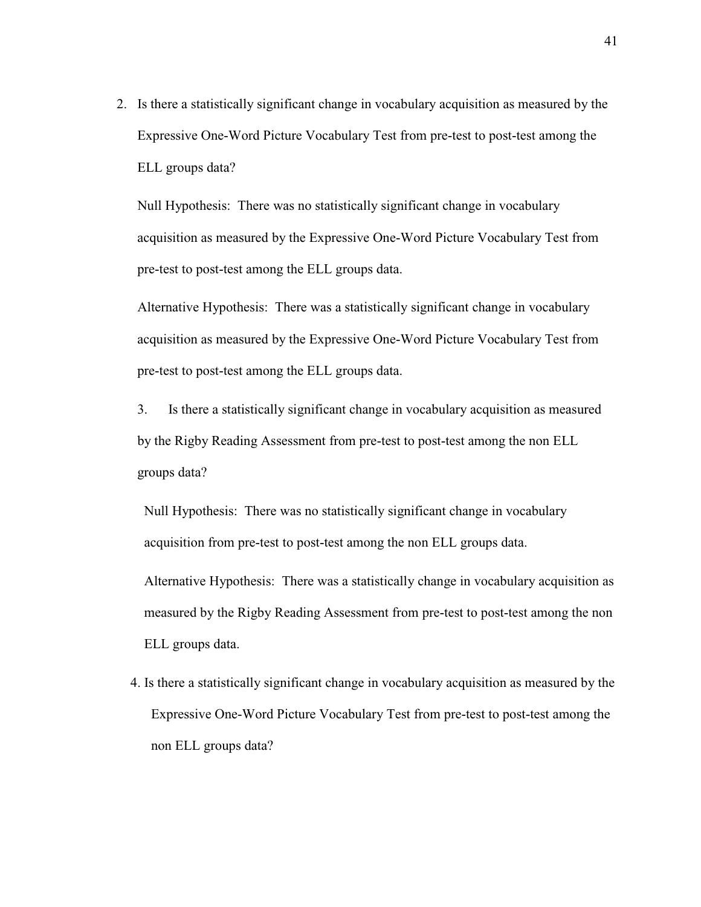2. Is there a statistically significant change in vocabulary acquisition as measured by the Expressive One-Word Picture Vocabulary Test from pre-test to post-test among the ELL groups data?

Null Hypothesis: There was no statistically significant change in vocabulary acquisition as measured by the Expressive One-Word Picture Vocabulary Test from pre-test to post-test among the ELL groups data.

Alternative Hypothesis: There was a statistically significant change in vocabulary acquisition as measured by the Expressive One-Word Picture Vocabulary Test from pre-test to post-test among the ELL groups data.

3. Is there a statistically significant change in vocabulary acquisition as measured by the Rigby Reading Assessment from pre-test to post-test among the non ELL groups data?

Null Hypothesis: There was no statistically significant change in vocabulary acquisition from pre-test to post-test among the non ELL groups data.

Alternative Hypothesis: There was a statistically change in vocabulary acquisition as measured by the Rigby Reading Assessment from pre-test to post-test among the non ELL groups data.

4. Is there a statistically significant change in vocabulary acquisition as measured by the Expressive One-Word Picture Vocabulary Test from pre-test to post-test among the non ELL groups data?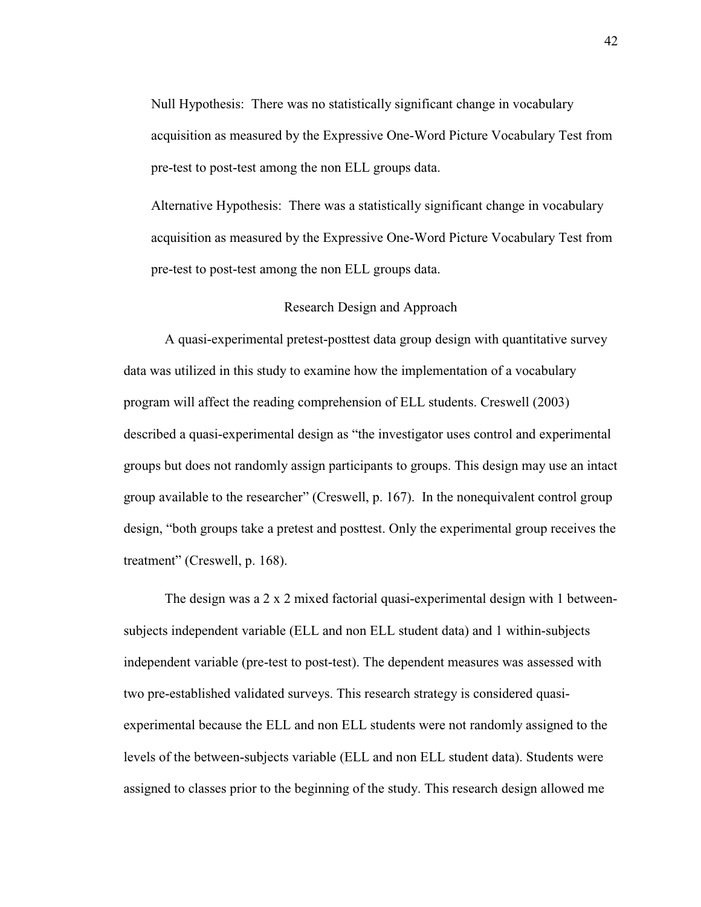Null Hypothesis: There was no statistically significant change in vocabulary acquisition as measured by the Expressive One-Word Picture Vocabulary Test from pre-test to post-test among the non ELL groups data.

Alternative Hypothesis: There was a statistically significant change in vocabulary acquisition as measured by the Expressive One-Word Picture Vocabulary Test from pre-test to post-test among the non ELL groups data.

#### Research Design and Approach

A quasi-experimental pretest-posttest data group design with quantitative survey data was utilized in this study to examine how the implementation of a vocabulary program will affect the reading comprehension of ELL students. Creswell (2003) described a quasi-experimental design as "the investigator uses control and experimental groups but does not randomly assign participants to groups. This design may use an intact group available to the researcher" (Creswell, p. 167). In the nonequivalent control group design, "both groups take a pretest and posttest. Only the experimental group receives the treatment" (Creswell, p. 168).

The design was a 2 x 2 mixed factorial quasi-experimental design with 1 betweensubjects independent variable (ELL and non ELL student data) and 1 within-subjects independent variable (pre-test to post-test). The dependent measures was assessed with two pre-established validated surveys. This research strategy is considered quasiexperimental because the ELL and non ELL students were not randomly assigned to the levels of the between-subjects variable (ELL and non ELL student data). Students were assigned to classes prior to the beginning of the study. This research design allowed me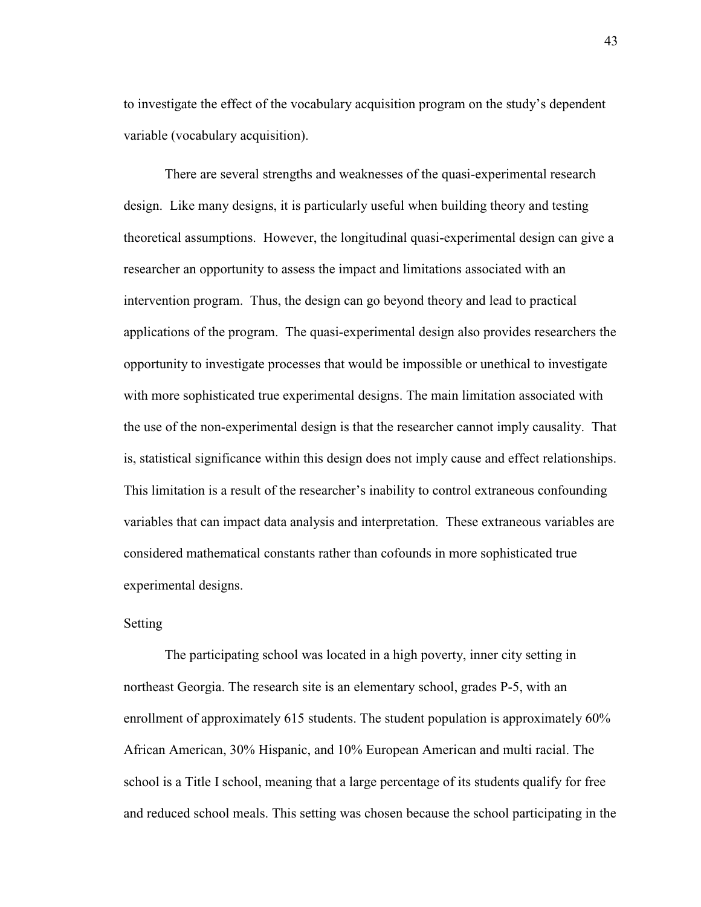to investigate the effect of the vocabulary acquisition program on the study's dependent variable (vocabulary acquisition).

There are several strengths and weaknesses of the quasi-experimental research design. Like many designs, it is particularly useful when building theory and testing theoretical assumptions. However, the longitudinal quasi-experimental design can give a researcher an opportunity to assess the impact and limitations associated with an intervention program. Thus, the design can go beyond theory and lead to practical applications of the program. The quasi-experimental design also provides researchers the opportunity to investigate processes that would be impossible or unethical to investigate with more sophisticated true experimental designs. The main limitation associated with the use of the non-experimental design is that the researcher cannot imply causality. That is, statistical significance within this design does not imply cause and effect relationships. This limitation is a result of the researcher's inability to control extraneous confounding variables that can impact data analysis and interpretation. These extraneous variables are considered mathematical constants rather than cofounds in more sophisticated true experimental designs.

# Setting

The participating school was located in a high poverty, inner city setting in northeast Georgia. The research site is an elementary school, grades P-5, with an enrollment of approximately 615 students. The student population is approximately 60% African American, 30% Hispanic, and 10% European American and multi racial. The school is a Title I school, meaning that a large percentage of its students qualify for free and reduced school meals. This setting was chosen because the school participating in the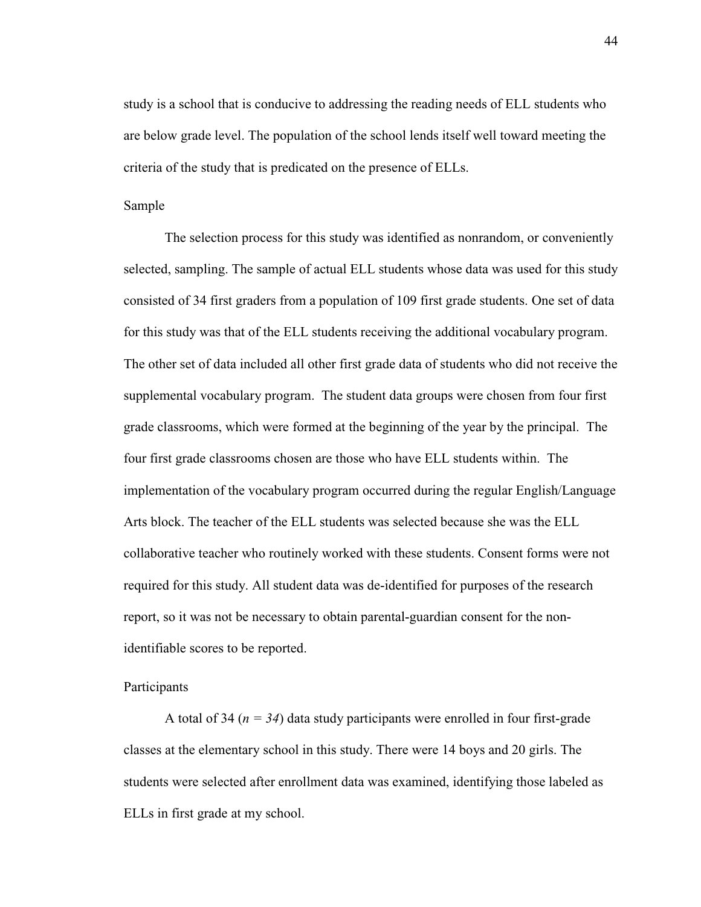study is a school that is conducive to addressing the reading needs of ELL students who are below grade level. The population of the school lends itself well toward meeting the criteria of the study that is predicated on the presence of ELLs.

#### Sample

The selection process for this study was identified as nonrandom, or conveniently selected, sampling. The sample of actual ELL students whose data was used for this study consisted of 34 first graders from a population of 109 first grade students. One set of data for this study was that of the ELL students receiving the additional vocabulary program. The other set of data included all other first grade data of students who did not receive the supplemental vocabulary program. The student data groups were chosen from four first grade classrooms, which were formed at the beginning of the year by the principal. The four first grade classrooms chosen are those who have ELL students within. The implementation of the vocabulary program occurred during the regular English/Language Arts block. The teacher of the ELL students was selected because she was the ELL collaborative teacher who routinely worked with these students. Consent forms were not required for this study. All student data was de-identified for purposes of the research report, so it was not be necessary to obtain parental-guardian consent for the nonidentifiable scores to be reported.

### Participants

A total of 34 (*n = 34*) data study participants were enrolled in four first-grade classes at the elementary school in this study. There were 14 boys and 20 girls. The students were selected after enrollment data was examined, identifying those labeled as ELLs in first grade at my school.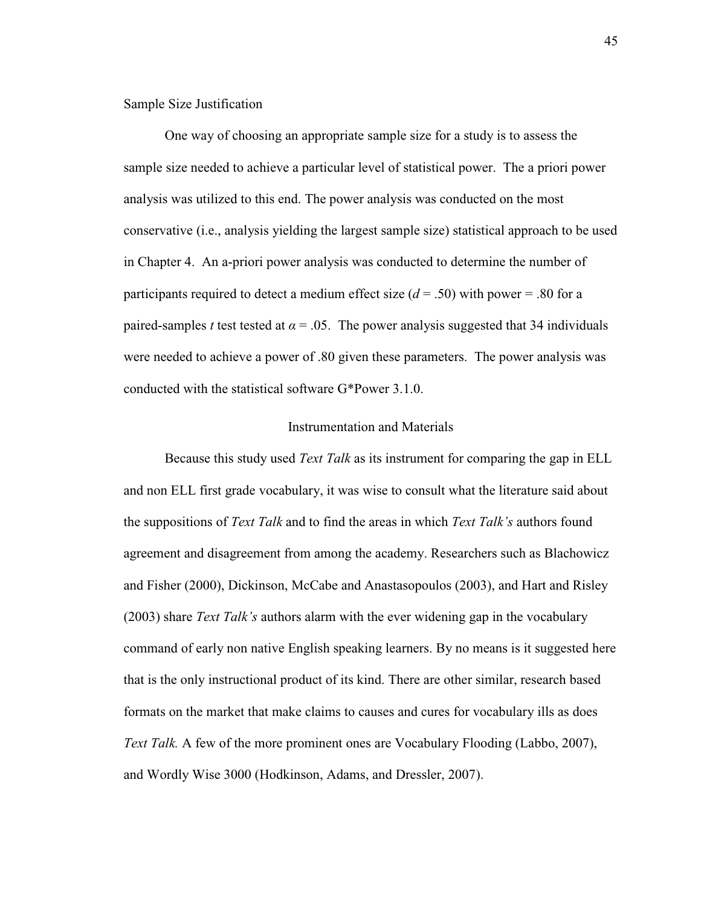Sample Size Justification

One way of choosing an appropriate sample size for a study is to assess the sample size needed to achieve a particular level of statistical power. The a priori power analysis was utilized to this end. The power analysis was conducted on the most conservative (i.e., analysis yielding the largest sample size) statistical approach to be used in Chapter 4. An a-priori power analysis was conducted to determine the number of participants required to detect a medium effect size (*d* = .50) with power = .80 for a paired-samples *t* test tested at  $\alpha = .05$ . The power analysis suggested that 34 individuals were needed to achieve a power of .80 given these parameters. The power analysis was conducted with the statistical software G\*Power 3.1.0.

#### Instrumentation and Materials

Because this study used *Text Talk* as its instrument for comparing the gap in ELL and non ELL first grade vocabulary, it was wise to consult what the literature said about the suppositions of *Text Talk* and to find the areas in which *Text Talk's* authors found agreement and disagreement from among the academy. Researchers such as Blachowicz and Fisher (2000), Dickinson, McCabe and Anastasopoulos (2003), and Hart and Risley (2003) share *Text Talk's* authors alarm with the ever widening gap in the vocabulary command of early non native English speaking learners. By no means is it suggested here that is the only instructional product of its kind. There are other similar, research based formats on the market that make claims to causes and cures for vocabulary ills as does *Text Talk.* A few of the more prominent ones are Vocabulary Flooding (Labbo, 2007), and Wordly Wise 3000 (Hodkinson, Adams, and Dressler, 2007).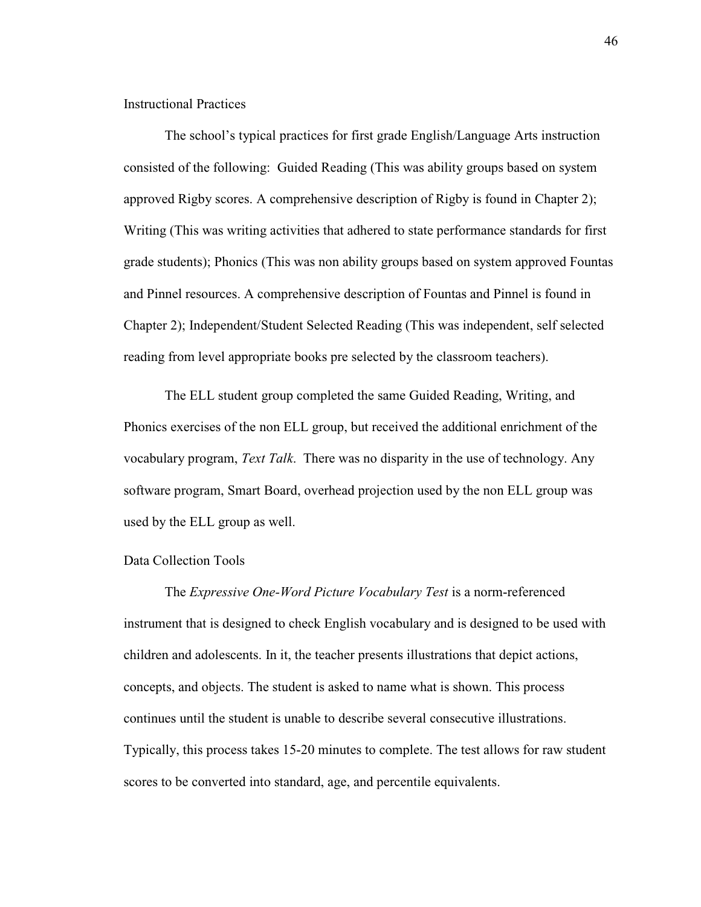Instructional Practices

The school's typical practices for first grade English/Language Arts instruction consisted of the following: Guided Reading (This was ability groups based on system approved Rigby scores. A comprehensive description of Rigby is found in Chapter 2); Writing (This was writing activities that adhered to state performance standards for first grade students); Phonics (This was non ability groups based on system approved Fountas and Pinnel resources. A comprehensive description of Fountas and Pinnel is found in Chapter 2); Independent/Student Selected Reading (This was independent, self selected reading from level appropriate books pre selected by the classroom teachers).

The ELL student group completed the same Guided Reading, Writing, and Phonics exercises of the non ELL group, but received the additional enrichment of the vocabulary program, *Text Talk*. There was no disparity in the use of technology. Any software program, Smart Board, overhead projection used by the non ELL group was used by the ELL group as well.

### Data Collection Tools

The *Expressive One-Word Picture Vocabulary Test* is a norm-referenced instrument that is designed to check English vocabulary and is designed to be used with children and adolescents. In it, the teacher presents illustrations that depict actions, concepts, and objects. The student is asked to name what is shown. This process continues until the student is unable to describe several consecutive illustrations. Typically, this process takes 15-20 minutes to complete. The test allows for raw student scores to be converted into standard, age, and percentile equivalents.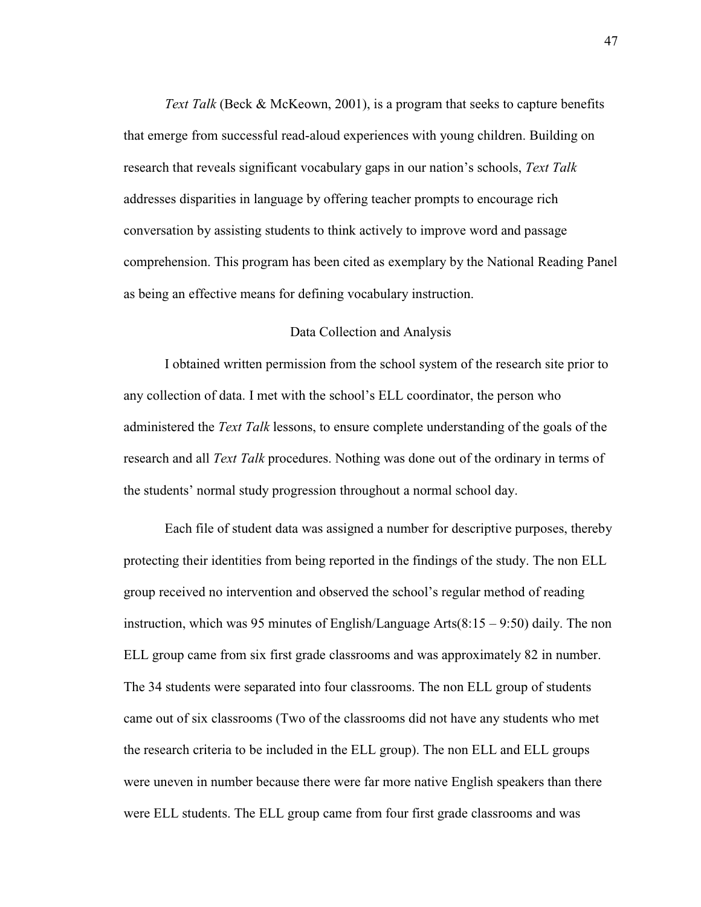*Text Talk* (Beck & McKeown, 2001), is a program that seeks to capture benefits that emerge from successful read-aloud experiences with young children. Building on research that reveals significant vocabulary gaps in our nation's schools, *Text Talk*  addresses disparities in language by offering teacher prompts to encourage rich conversation by assisting students to think actively to improve word and passage comprehension. This program has been cited as exemplary by the National Reading Panel as being an effective means for defining vocabulary instruction.

#### Data Collection and Analysis

I obtained written permission from the school system of the research site prior to any collection of data. I met with the school's ELL coordinator, the person who administered the *Text Talk* lessons, to ensure complete understanding of the goals of the research and all *Text Talk* procedures. Nothing was done out of the ordinary in terms of the students' normal study progression throughout a normal school day.

Each file of student data was assigned a number for descriptive purposes, thereby protecting their identities from being reported in the findings of the study. The non ELL group received no intervention and observed the school's regular method of reading instruction, which was 95 minutes of English/Language Arts(8:15 – 9:50) daily. The non ELL group came from six first grade classrooms and was approximately 82 in number. The 34 students were separated into four classrooms. The non ELL group of students came out of six classrooms (Two of the classrooms did not have any students who met the research criteria to be included in the ELL group). The non ELL and ELL groups were uneven in number because there were far more native English speakers than there were ELL students. The ELL group came from four first grade classrooms and was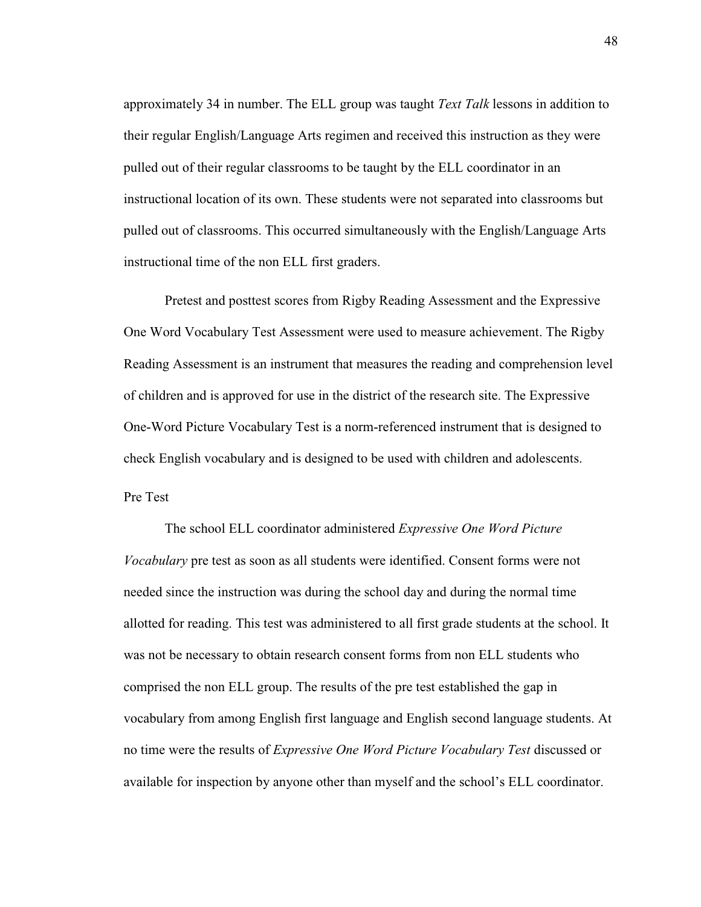approximately 34 in number. The ELL group was taught *Text Talk* lessons in addition to their regular English/Language Arts regimen and received this instruction as they were pulled out of their regular classrooms to be taught by the ELL coordinator in an instructional location of its own. These students were not separated into classrooms but pulled out of classrooms. This occurred simultaneously with the English/Language Arts instructional time of the non ELL first graders.

Pretest and posttest scores from Rigby Reading Assessment and the Expressive One Word Vocabulary Test Assessment were used to measure achievement. The Rigby Reading Assessment is an instrument that measures the reading and comprehension level of children and is approved for use in the district of the research site. The Expressive One-Word Picture Vocabulary Test is a norm-referenced instrument that is designed to check English vocabulary and is designed to be used with children and adolescents. Pre Test

The school ELL coordinator administered *Expressive One Word Picture Vocabulary* pre test as soon as all students were identified. Consent forms were not needed since the instruction was during the school day and during the normal time allotted for reading. This test was administered to all first grade students at the school. It was not be necessary to obtain research consent forms from non ELL students who comprised the non ELL group. The results of the pre test established the gap in vocabulary from among English first language and English second language students. At no time were the results of *Expressive One Word Picture Vocabulary Test* discussed or available for inspection by anyone other than myself and the school's ELL coordinator.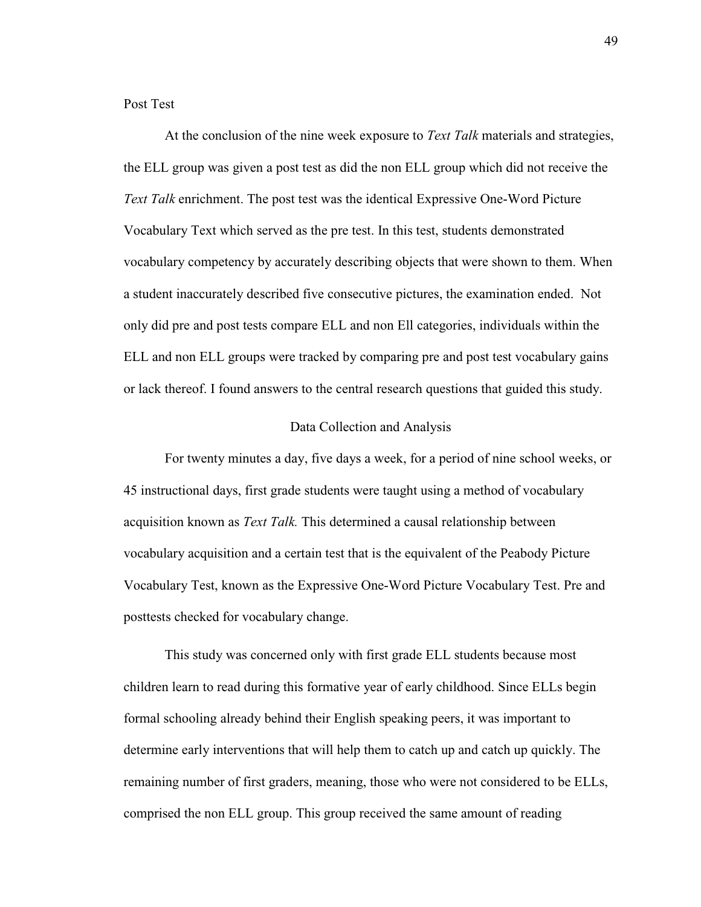Post Test

At the conclusion of the nine week exposure to *Text Talk* materials and strategies, the ELL group was given a post test as did the non ELL group which did not receive the *Text Talk* enrichment. The post test was the identical Expressive One-Word Picture Vocabulary Text which served as the pre test. In this test, students demonstrated vocabulary competency by accurately describing objects that were shown to them. When a student inaccurately described five consecutive pictures, the examination ended. Not only did pre and post tests compare ELL and non Ell categories, individuals within the ELL and non ELL groups were tracked by comparing pre and post test vocabulary gains or lack thereof. I found answers to the central research questions that guided this study.

#### Data Collection and Analysis

For twenty minutes a day, five days a week, for a period of nine school weeks, or 45 instructional days, first grade students were taught using a method of vocabulary acquisition known as *Text Talk.* This determined a causal relationship between vocabulary acquisition and a certain test that is the equivalent of the Peabody Picture Vocabulary Test, known as the Expressive One-Word Picture Vocabulary Test. Pre and posttests checked for vocabulary change.

This study was concerned only with first grade ELL students because most children learn to read during this formative year of early childhood. Since ELLs begin formal schooling already behind their English speaking peers, it was important to determine early interventions that will help them to catch up and catch up quickly. The remaining number of first graders, meaning, those who were not considered to be ELLs, comprised the non ELL group. This group received the same amount of reading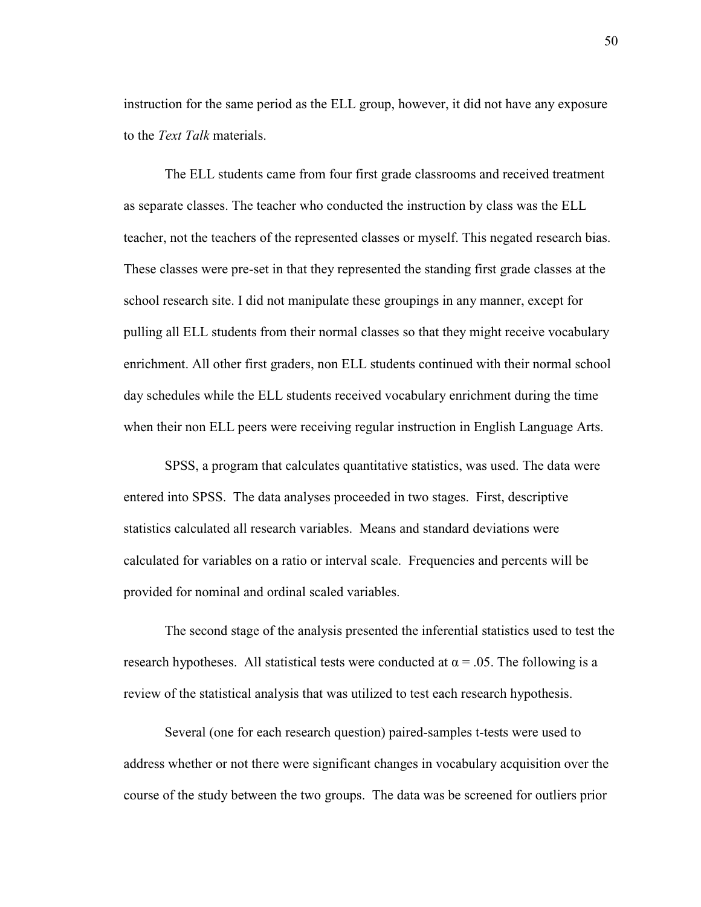instruction for the same period as the ELL group, however, it did not have any exposure to the *Text Talk* materials.

The ELL students came from four first grade classrooms and received treatment as separate classes. The teacher who conducted the instruction by class was the ELL teacher, not the teachers of the represented classes or myself. This negated research bias. These classes were pre-set in that they represented the standing first grade classes at the school research site. I did not manipulate these groupings in any manner, except for pulling all ELL students from their normal classes so that they might receive vocabulary enrichment. All other first graders, non ELL students continued with their normal school day schedules while the ELL students received vocabulary enrichment during the time when their non ELL peers were receiving regular instruction in English Language Arts.

SPSS, a program that calculates quantitative statistics, was used. The data were entered into SPSS. The data analyses proceeded in two stages. First, descriptive statistics calculated all research variables. Means and standard deviations were calculated for variables on a ratio or interval scale. Frequencies and percents will be provided for nominal and ordinal scaled variables.

The second stage of the analysis presented the inferential statistics used to test the research hypotheses. All statistical tests were conducted at  $\alpha = .05$ . The following is a review of the statistical analysis that was utilized to test each research hypothesis.

Several (one for each research question) paired-samples t-tests were used to address whether or not there were significant changes in vocabulary acquisition over the course of the study between the two groups. The data was be screened for outliers prior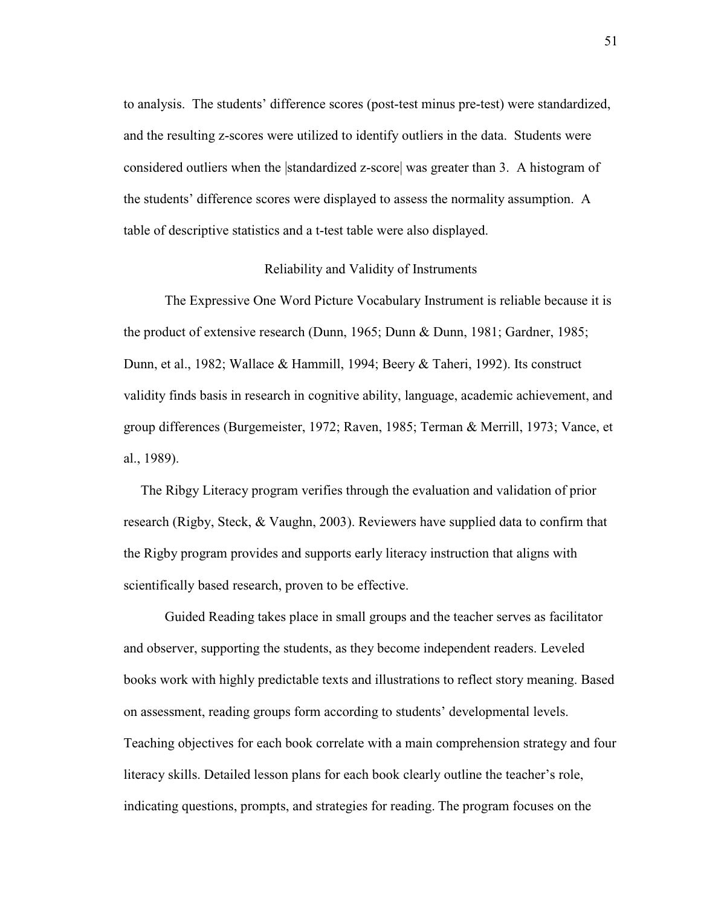to analysis. The students' difference scores (post-test minus pre-test) were standardized, and the resulting z-scores were utilized to identify outliers in the data. Students were considered outliers when the |standardized z-score| was greater than 3. A histogram of the students' difference scores were displayed to assess the normality assumption. A table of descriptive statistics and a t-test table were also displayed.

#### Reliability and Validity of Instruments

The Expressive One Word Picture Vocabulary Instrument is reliable because it is the product of extensive research (Dunn, 1965; Dunn & Dunn, 1981; Gardner, 1985; Dunn, et al., 1982; Wallace & Hammill, 1994; Beery & Taheri, 1992). Its construct validity finds basis in research in cognitive ability, language, academic achievement, and group differences (Burgemeister, 1972; Raven, 1985; Terman & Merrill, 1973; Vance, et al., 1989).

 The Ribgy Literacy program verifies through the evaluation and validation of prior research (Rigby, Steck, & Vaughn, 2003). Reviewers have supplied data to confirm that the Rigby program provides and supports early literacy instruction that aligns with scientifically based research, proven to be effective.

 Guided Reading takes place in small groups and the teacher serves as facilitator and observer, supporting the students, as they become independent readers. Leveled books work with highly predictable texts and illustrations to reflect story meaning. Based on assessment, reading groups form according to students' developmental levels. Teaching objectives for each book correlate with a main comprehension strategy and four literacy skills. Detailed lesson plans for each book clearly outline the teacher's role, indicating questions, prompts, and strategies for reading. The program focuses on the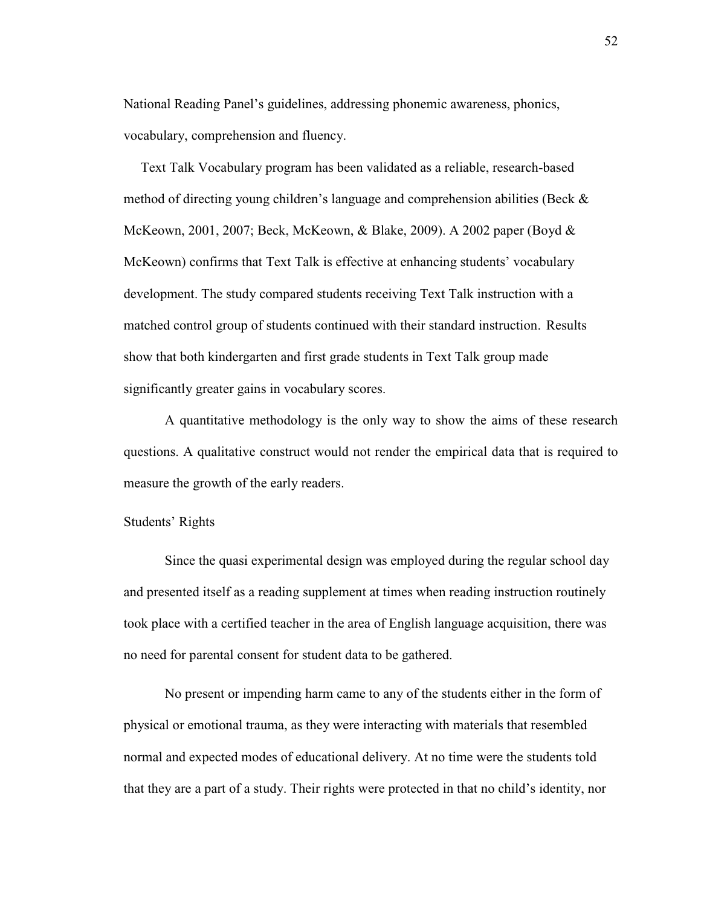National Reading Panel's guidelines, addressing phonemic awareness, phonics, vocabulary, comprehension and fluency.

 Text Talk Vocabulary program has been validated as a reliable, research-based method of directing young children's language and comprehension abilities (Beck  $\&$ McKeown, 2001, 2007; Beck, McKeown, & Blake, 2009). A 2002 paper (Boyd & McKeown) confirms that Text Talk is effective at enhancing students' vocabulary development. The study compared students receiving Text Talk instruction with a matched control group of students continued with their standard instruction. Results show that both kindergarten and first grade students in Text Talk group made significantly greater gains in vocabulary scores.

A quantitative methodology is the only way to show the aims of these research questions. A qualitative construct would not render the empirical data that is required to measure the growth of the early readers.

### Students' Rights

Since the quasi experimental design was employed during the regular school day and presented itself as a reading supplement at times when reading instruction routinely took place with a certified teacher in the area of English language acquisition, there was no need for parental consent for student data to be gathered.

No present or impending harm came to any of the students either in the form of physical or emotional trauma, as they were interacting with materials that resembled normal and expected modes of educational delivery. At no time were the students told that they are a part of a study. Their rights were protected in that no child's identity, nor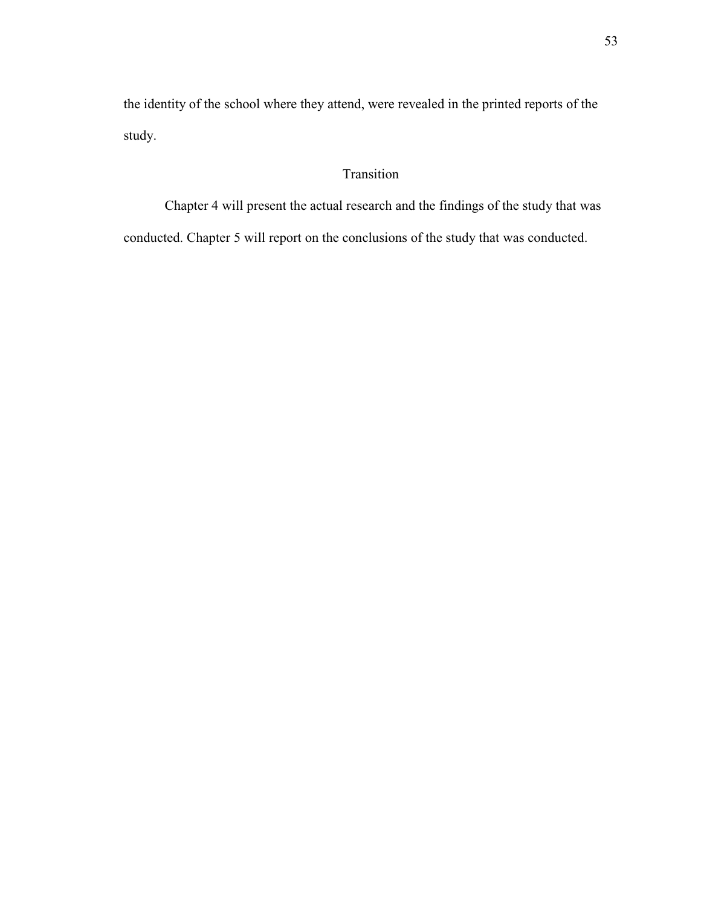the identity of the school where they attend, were revealed in the printed reports of the study.

# Transition

Chapter 4 will present the actual research and the findings of the study that was

conducted. Chapter 5 will report on the conclusions of the study that was conducted.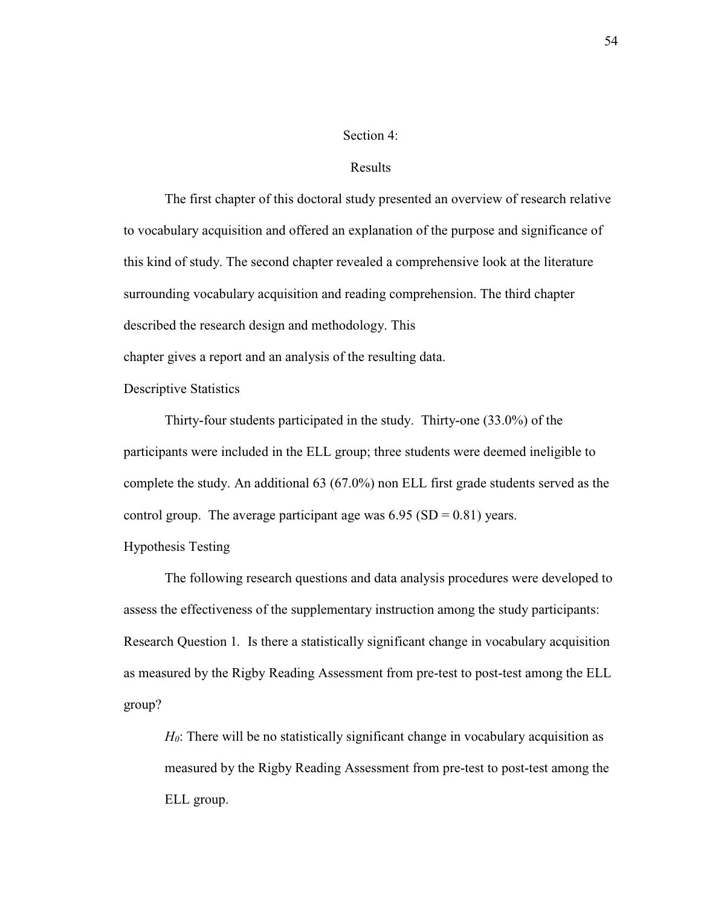### Section 4:

### Results

 The first chapter of this doctoral study presented an overview of research relative to vocabulary acquisition and offered an explanation of the purpose and significance of this kind of study. The second chapter revealed a comprehensive look at the literature surrounding vocabulary acquisition and reading comprehension. The third chapter described the research design and methodology. This

chapter gives a report and an analysis of the resulting data.

Descriptive Statistics

Thirty-four students participated in the study. Thirty-one (33.0%) of the participants were included in the ELL group; three students were deemed ineligible to complete the study. An additional 63 (67.0%) non ELL first grade students served as the control group. The average participant age was  $6.95$  (SD = 0.81) years.

Hypothesis Testing

The following research questions and data analysis procedures were developed to assess the effectiveness of the supplementary instruction among the study participants: Research Question 1*.* Is there a statistically significant change in vocabulary acquisition as measured by the Rigby Reading Assessment from pre-test to post-test among the ELL group?

*H*<sub>0</sub>: There will be no statistically significant change in vocabulary acquisition as measured by the Rigby Reading Assessment from pre-test to post-test among the ELL group.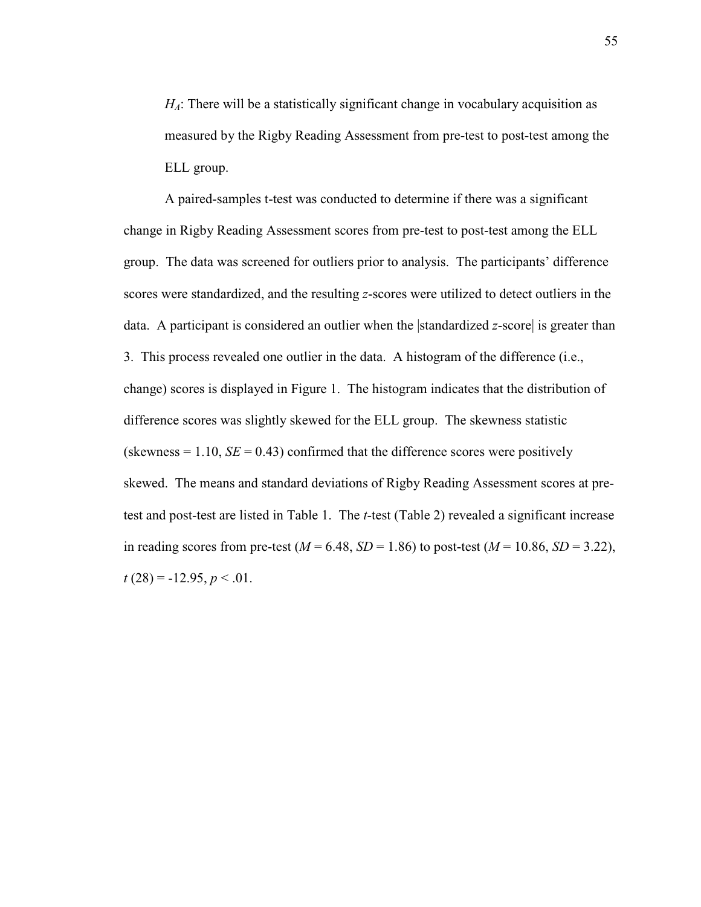*H*<sub>*A*</sub>: There will be a statistically significant change in vocabulary acquisition as measured by the Rigby Reading Assessment from pre-test to post-test among the ELL group.

A paired-samples t-test was conducted to determine if there was a significant change in Rigby Reading Assessment scores from pre-test to post-test among the ELL group. The data was screened for outliers prior to analysis. The participants' difference scores were standardized, and the resulting *z*-scores were utilized to detect outliers in the data. A participant is considered an outlier when the standardized *z*-score is greater than 3. This process revealed one outlier in the data. A histogram of the difference (i.e., change) scores is displayed in Figure 1. The histogram indicates that the distribution of difference scores was slightly skewed for the ELL group. The skewness statistic (skewness  $= 1.10$ ,  $SE = 0.43$ ) confirmed that the difference scores were positively skewed. The means and standard deviations of Rigby Reading Assessment scores at pretest and post-test are listed in Table 1. The *t*-test (Table 2) revealed a significant increase in reading scores from pre-test ( $M = 6.48$ ,  $SD = 1.86$ ) to post-test ( $M = 10.86$ ,  $SD = 3.22$ ),  $t(28) = -12.95, p < .01.$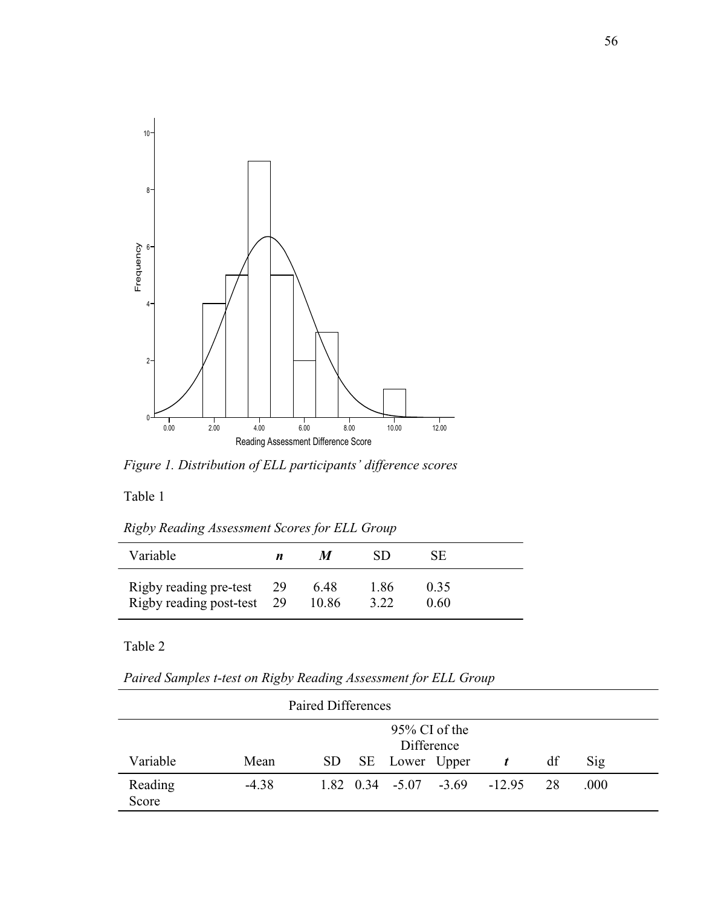

*Figure 1. Distribution of ELL participants' difference scores* 

Table 1

*Rigby Reading Assessment Scores for ELL Group* 

| Variable                                                | п | M             | SD           | SE           |  |
|---------------------------------------------------------|---|---------------|--------------|--------------|--|
| Rigby reading pre-test 29<br>Rigby reading post-test 29 |   | 6.48<br>10.86 | 1.86<br>3.22 | 0.35<br>0.60 |  |

Table 2

*Paired Samples t-test on Rigby Reading Assessment for ELL Group* 

| <b>Paired Differences</b> |                                |     |  |                |  |                                                        |    |      |  |
|---------------------------|--------------------------------|-----|--|----------------|--|--------------------------------------------------------|----|------|--|
|                           | $95\%$ CI of the<br>Difference |     |  |                |  |                                                        |    |      |  |
| Variable                  | Mean                           | SD. |  | SE Lower Upper |  | $\boldsymbol{t}$                                       | df | Sig  |  |
| Reading<br>Score          | $-4.38$                        |     |  |                |  | $1.82 \quad 0.34 \quad -5.07 \quad -3.69 \quad -12.95$ | 28 | .000 |  |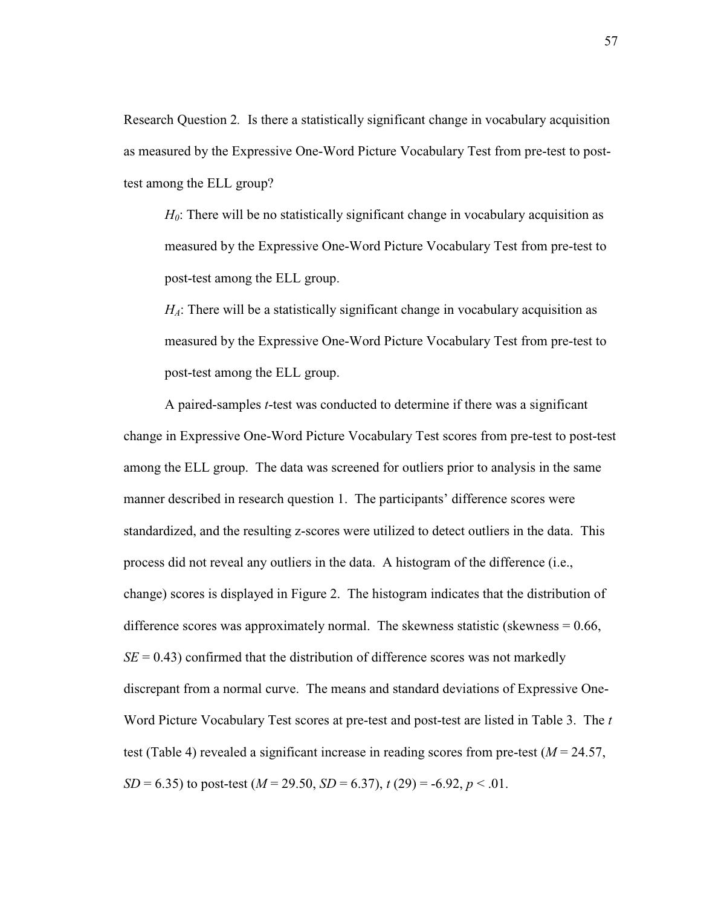Research Question 2*.* Is there a statistically significant change in vocabulary acquisition as measured by the Expressive One-Word Picture Vocabulary Test from pre-test to posttest among the ELL group?

*H*<sub>0</sub>: There will be no statistically significant change in vocabulary acquisition as measured by the Expressive One-Word Picture Vocabulary Test from pre-test to post-test among the ELL group.

*H*<sub>*A*</sub>: There will be a statistically significant change in vocabulary acquisition as measured by the Expressive One-Word Picture Vocabulary Test from pre-test to post-test among the ELL group.

A paired-samples *t*-test was conducted to determine if there was a significant change in Expressive One-Word Picture Vocabulary Test scores from pre-test to post-test among the ELL group. The data was screened for outliers prior to analysis in the same manner described in research question 1. The participants' difference scores were standardized, and the resulting z-scores were utilized to detect outliers in the data. This process did not reveal any outliers in the data. A histogram of the difference (i.e., change) scores is displayed in Figure 2. The histogram indicates that the distribution of difference scores was approximately normal. The skewness statistic (skewness  $= 0.66$ ,  $SE = 0.43$ ) confirmed that the distribution of difference scores was not markedly discrepant from a normal curve. The means and standard deviations of Expressive One-Word Picture Vocabulary Test scores at pre-test and post-test are listed in Table 3. The *t*  test (Table 4) revealed a significant increase in reading scores from pre-test  $(M = 24.57)$ , *SD* = 6.35) to post-test (*M* = 29.50, *SD* = 6.37),  $t(29)$  = -6.92,  $p < 01$ .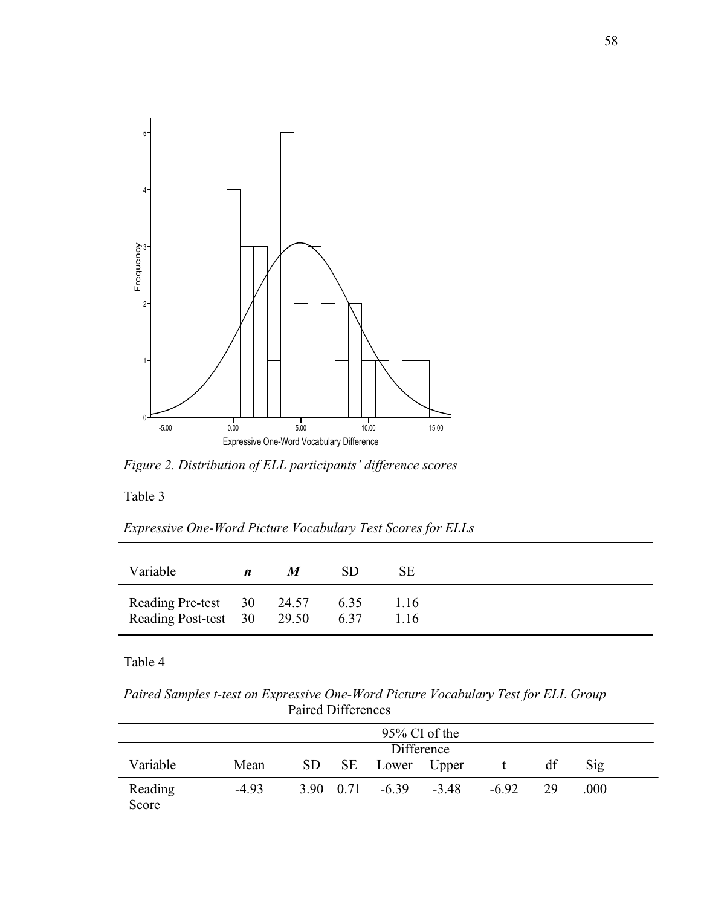

*Figure 2. Distribution of ELL participants' difference scores* 

Table 3

*Expressive One-Word Picture Vocabulary Test Scores for ELLs* 

| Variable                                                | $\boldsymbol{n}$ | M | SD.          | SЕ           |
|---------------------------------------------------------|------------------|---|--------------|--------------|
| Reading Pre-test 30 24.57<br>Reading Post-test 30 29.50 |                  |   | 6.35<br>6.37 | 1.16<br>1.16 |

Table 4

*Paired Samples t-test on Expressive One-Word Picture Vocabulary Test for ELL Group* Paired Differences

|                  | $95\%$ CI of the |    |           |                |         |         |    |                |  |  |  |
|------------------|------------------|----|-----------|----------------|---------|---------|----|----------------|--|--|--|
|                  | Difference       |    |           |                |         |         |    |                |  |  |  |
| Variable         | Mean             | SD |           | SE Lower Upper |         |         | df | $\mathrm{Sig}$ |  |  |  |
| Reading<br>Score | $-4.93$          |    | 3.90 0.71 | $-6.39$        | $-3.48$ | $-6.92$ | 29 | .000           |  |  |  |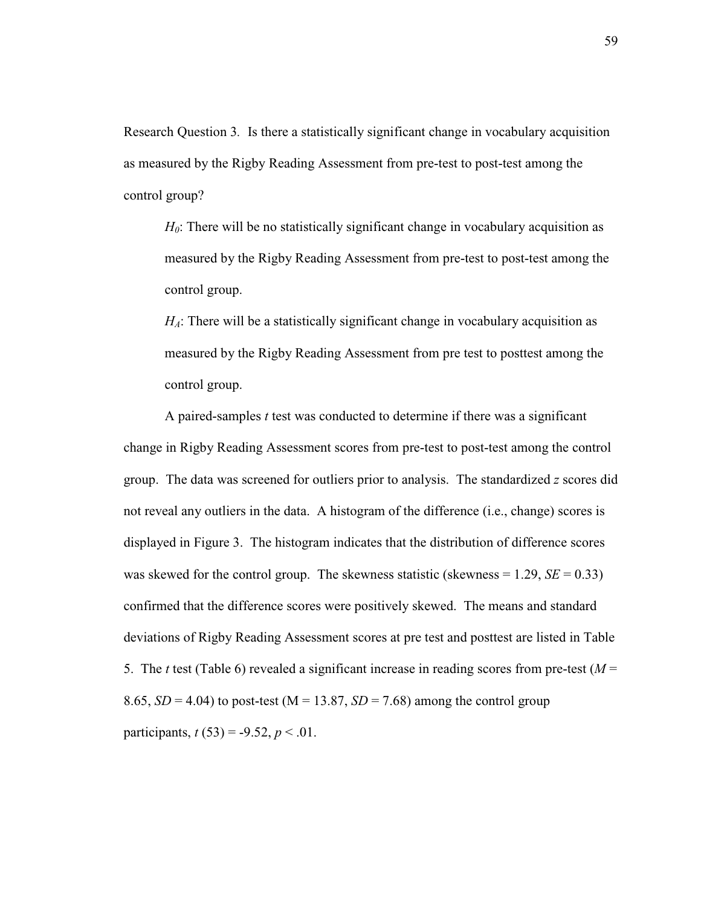Research Question 3*.* Is there a statistically significant change in vocabulary acquisition as measured by the Rigby Reading Assessment from pre-test to post-test among the control group?

*H*<sub>0</sub>: There will be no statistically significant change in vocabulary acquisition as measured by the Rigby Reading Assessment from pre-test to post-test among the control group.

*H*<sub>*A*</sub>: There will be a statistically significant change in vocabulary acquisition as measured by the Rigby Reading Assessment from pre test to posttest among the control group.

A paired-samples *t* test was conducted to determine if there was a significant change in Rigby Reading Assessment scores from pre-test to post-test among the control group. The data was screened for outliers prior to analysis. The standardized *z* scores did not reveal any outliers in the data. A histogram of the difference (i.e., change) scores is displayed in Figure 3. The histogram indicates that the distribution of difference scores was skewed for the control group. The skewness statistic (skewness  $= 1.29$ ,  $SE = 0.33$ ) confirmed that the difference scores were positively skewed. The means and standard deviations of Rigby Reading Assessment scores at pre test and posttest are listed in Table 5. The *t* test (Table 6) revealed a significant increase in reading scores from pre-test ( $M =$ 8.65,  $SD = 4.04$ ) to post-test (M = 13.87,  $SD = 7.68$ ) among the control group participants,  $t(53) = -9.52$ ,  $p < .01$ .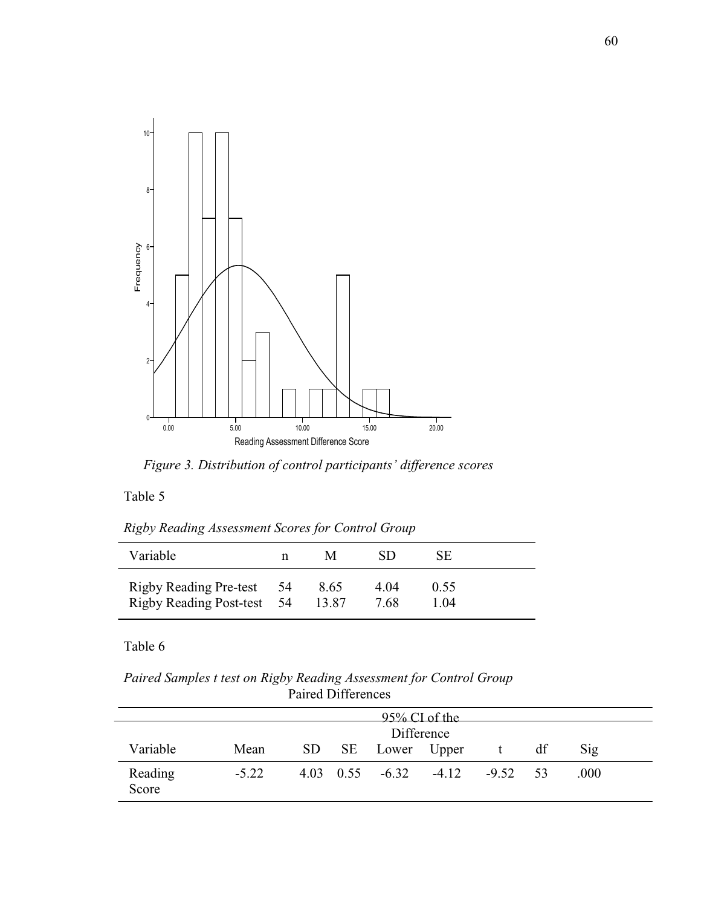

*Figure 3. Distribution of control participants' difference scores* 

## Table 5

*Rigby Reading Assessment Scores for Control Group* 

| Variable                                                | n | M             | SD           | SЕ           |  |
|---------------------------------------------------------|---|---------------|--------------|--------------|--|
| Rigby Reading Pre-test 54<br>Rigby Reading Post-test 54 |   | 8.65<br>13.87 | 4.04<br>7.68 | 0.55<br>1.04 |  |

## Table 6

*Paired Samples t test on Rigby Reading Assessment for Control Group* Paired Differences

|                  |            |  |  |                                           | $95\%$ CI of the |            |    |      |  |
|------------------|------------|--|--|-------------------------------------------|------------------|------------|----|------|--|
|                  | Difference |  |  |                                           |                  |            |    |      |  |
| Variable         | Mean       |  |  | SD SE Lower Upper                         |                  |            | df | Sig  |  |
| Reading<br>Score | $-5.22$    |  |  | $4.03 \quad 0.55 \quad -6.32 \quad -4.12$ |                  | $-9.52$ 53 |    | .000 |  |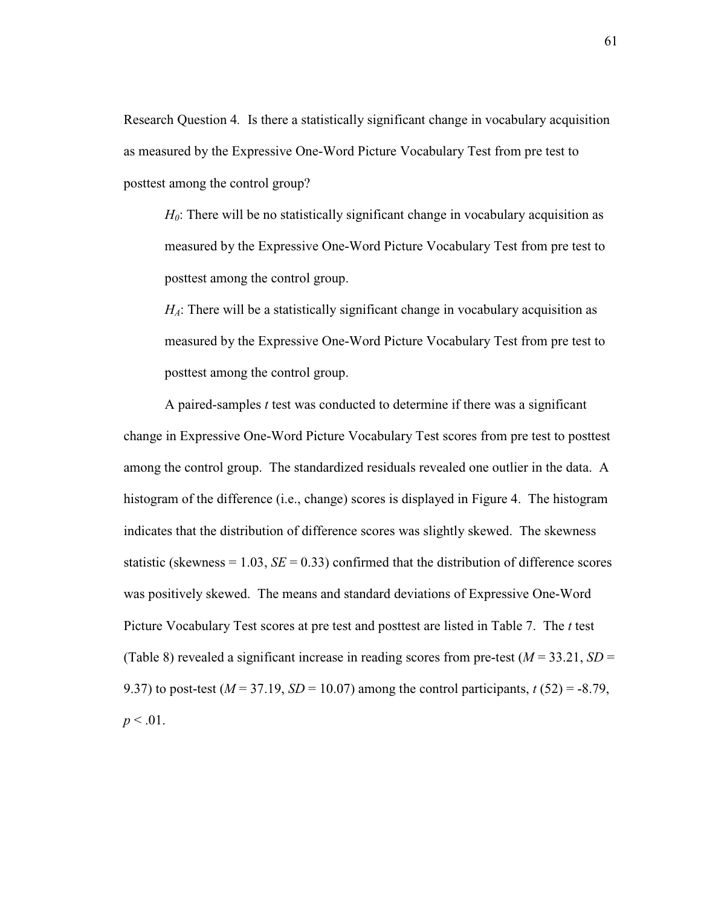Research Question 4*.* Is there a statistically significant change in vocabulary acquisition as measured by the Expressive One-Word Picture Vocabulary Test from pre test to posttest among the control group?

*H*<sub>0</sub>: There will be no statistically significant change in vocabulary acquisition as measured by the Expressive One-Word Picture Vocabulary Test from pre test to posttest among the control group.

*H*<sub>*A*</sub>: There will be a statistically significant change in vocabulary acquisition as measured by the Expressive One-Word Picture Vocabulary Test from pre test to posttest among the control group.

A paired-samples *t* test was conducted to determine if there was a significant change in Expressive One-Word Picture Vocabulary Test scores from pre test to posttest among the control group. The standardized residuals revealed one outlier in the data. A histogram of the difference (i.e., change) scores is displayed in Figure 4. The histogram indicates that the distribution of difference scores was slightly skewed. The skewness statistic (skewness  $= 1.03$ , *SE*  $= 0.33$ ) confirmed that the distribution of difference scores was positively skewed. The means and standard deviations of Expressive One-Word Picture Vocabulary Test scores at pre test and posttest are listed in Table 7. The *t* test (Table 8) revealed a significant increase in reading scores from pre-test  $(M = 33.21, SD =$ 9.37) to post-test ( $M = 37.19$ ,  $SD = 10.07$ ) among the control participants,  $t(52) = -8.79$ ,  $p < .01$ .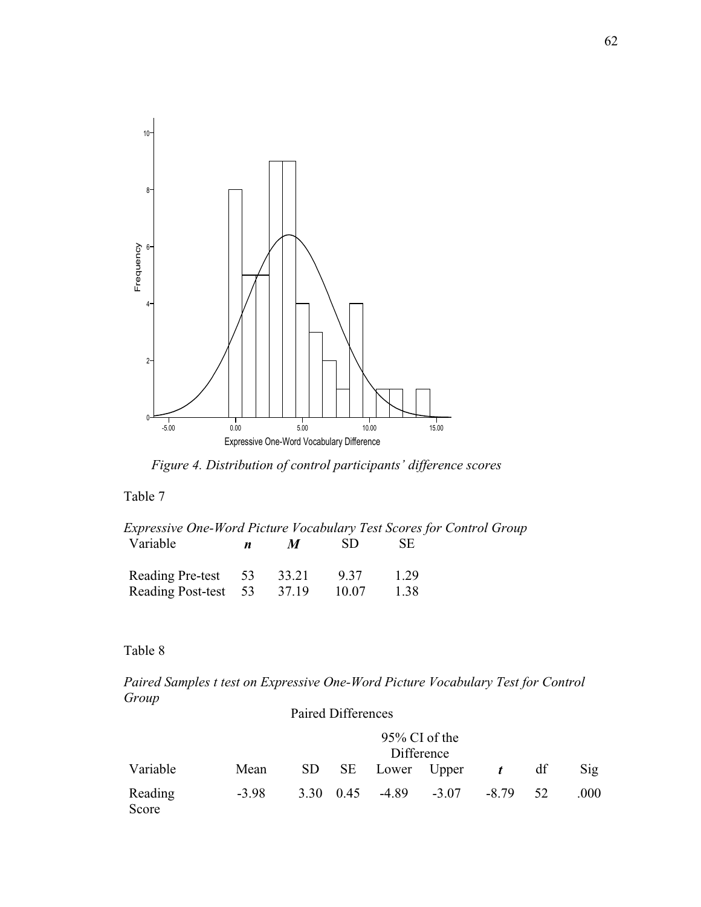

*Figure 4. Distribution of control participants' difference scores* 

# Table 7

| Expressive One-Word Picture Vocabulary Test Scores for Control Group |                  |                  |       |      |  |
|----------------------------------------------------------------------|------------------|------------------|-------|------|--|
| Variable                                                             | $\boldsymbol{n}$ | $\boldsymbol{M}$ | -SD.  | SE.  |  |
| Reading Pre-test 53                                                  |                  | 33.21            | 9.37  | 1 29 |  |
| Reading Post-test 53 37.19                                           |                  |                  | 10.07 | 1.38 |  |

# Table 8

*Paired Samples t test on Expressive One-Word Picture Vocabulary Test for Control Group*

|                  |         |      | Paired Differences |                  |                   |                  |    |      |
|------------------|---------|------|--------------------|------------------|-------------------|------------------|----|------|
|                  |         |      |                    | $95\%$ CI of the | Difference        |                  |    |      |
| Variable         | Mean    |      |                    |                  | SD SE Lower Upper | $\boldsymbol{t}$ | df | Sig  |
| Reading<br>Score | $-3.98$ | 3.30 | 0.45               | $-4.89$          | $-3.07$           | -8.79            | 52 | .000 |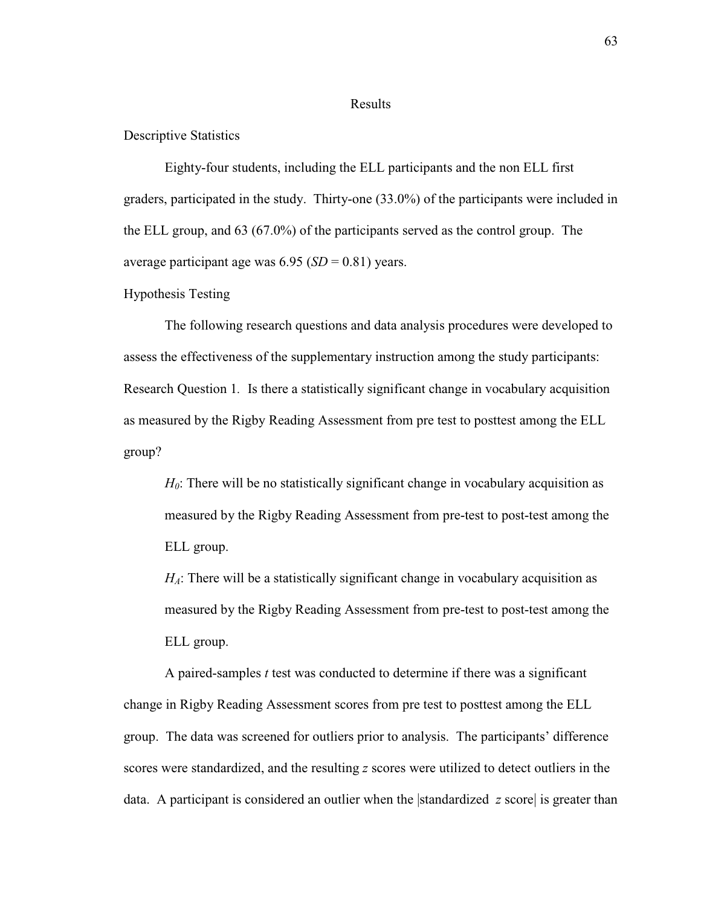#### Results

## Descriptive Statistics

Eighty-four students, including the ELL participants and the non ELL first graders, participated in the study. Thirty-one (33.0%) of the participants were included in the ELL group, and 63 (67.0%) of the participants served as the control group. The average participant age was  $6.95$  (*SD* = 0.81) years.

### Hypothesis Testing

The following research questions and data analysis procedures were developed to assess the effectiveness of the supplementary instruction among the study participants: Research Question 1*.* Is there a statistically significant change in vocabulary acquisition as measured by the Rigby Reading Assessment from pre test to posttest among the ELL group?

*H*<sub>0</sub>: There will be no statistically significant change in vocabulary acquisition as measured by the Rigby Reading Assessment from pre-test to post-test among the ELL group.

*H<sub>A</sub>*: There will be a statistically significant change in vocabulary acquisition as measured by the Rigby Reading Assessment from pre-test to post-test among the ELL group.

A paired-samples *t* test was conducted to determine if there was a significant change in Rigby Reading Assessment scores from pre test to posttest among the ELL group. The data was screened for outliers prior to analysis. The participants' difference scores were standardized, and the resulting *z* scores were utilized to detect outliers in the data. A participant is considered an outlier when the |standardized *z* score| is greater than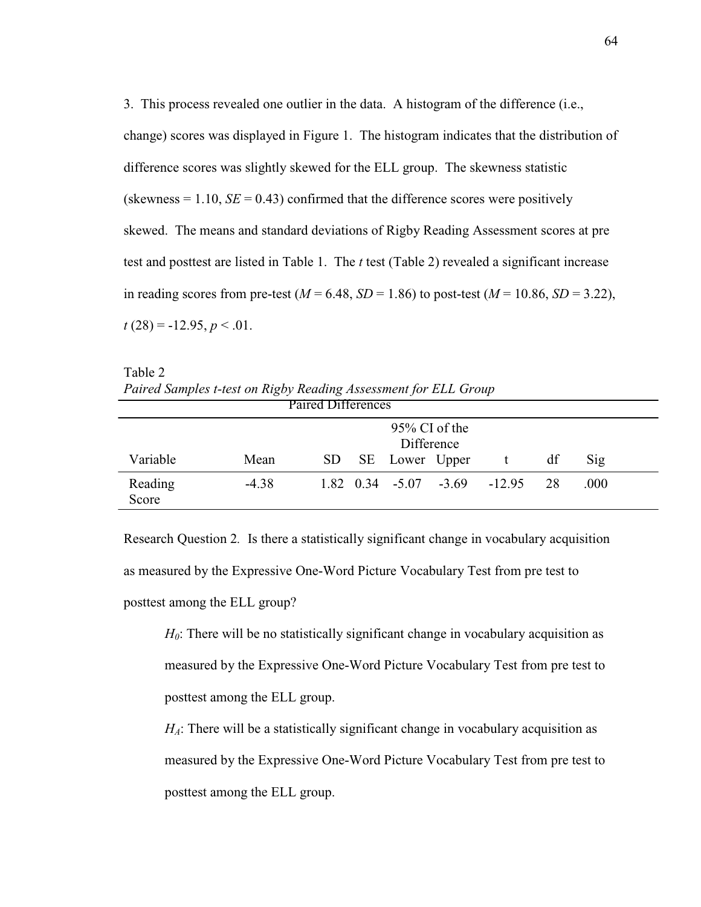3. This process revealed one outlier in the data. A histogram of the difference (i.e., change) scores was displayed in Figure 1. The histogram indicates that the distribution of difference scores was slightly skewed for the ELL group. The skewness statistic (skewness  $= 1.10$ ,  $SE = 0.43$ ) confirmed that the difference scores were positively skewed. The means and standard deviations of Rigby Reading Assessment scores at pre test and posttest are listed in Table 1. The *t* test (Table 2) revealed a significant increase in reading scores from pre-test ( $M = 6.48$ ,  $SD = 1.86$ ) to post-test ( $M = 10.86$ ,  $SD = 3.22$ ),  $t(28) = -12.95, p < 0.01$ .

Table 2 *Paired Samples t-test on Rigby Reading Assessment for ELL Group* Paired Differences

|                  | T alluu Dhitutuuus |     |  |                                |  |                                                        |    |                |  |  |
|------------------|--------------------|-----|--|--------------------------------|--|--------------------------------------------------------|----|----------------|--|--|
|                  |                    |     |  | $95\%$ CI of the<br>Difference |  |                                                        |    |                |  |  |
| Variable         | Mean               | SD. |  | SE Lower Upper                 |  |                                                        | df | $\mathrm{Sig}$ |  |  |
| Reading<br>Score | $-4.38$            |     |  |                                |  | $1.82 \quad 0.34 \quad -5.07 \quad -3.69 \quad -12.95$ | 28 | .000           |  |  |

Research Question 2*.* Is there a statistically significant change in vocabulary acquisition as measured by the Expressive One-Word Picture Vocabulary Test from pre test to posttest among the ELL group?

*H*<sub>0</sub>: There will be no statistically significant change in vocabulary acquisition as measured by the Expressive One-Word Picture Vocabulary Test from pre test to posttest among the ELL group.

*H<sub>A</sub>*: There will be a statistically significant change in vocabulary acquisition as measured by the Expressive One-Word Picture Vocabulary Test from pre test to posttest among the ELL group.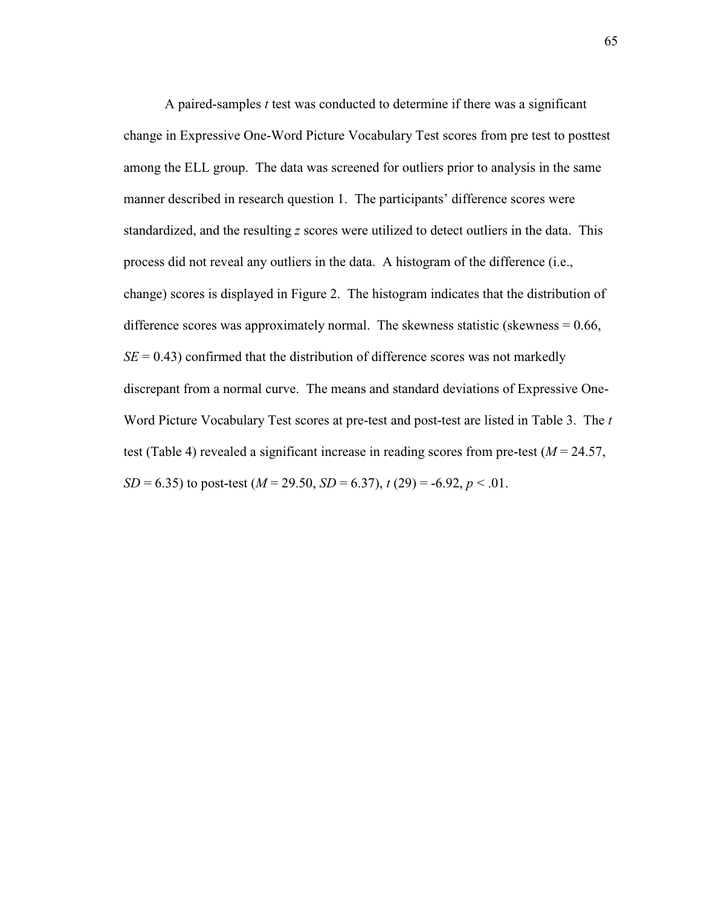A paired-samples *t* test was conducted to determine if there was a significant change in Expressive One-Word Picture Vocabulary Test scores from pre test to posttest among the ELL group. The data was screened for outliers prior to analysis in the same manner described in research question 1. The participants' difference scores were standardized, and the resulting *z* scores were utilized to detect outliers in the data. This process did not reveal any outliers in the data. A histogram of the difference (i.e., change) scores is displayed in Figure 2. The histogram indicates that the distribution of difference scores was approximately normal. The skewness statistic (skewness  $= 0.66$ ,  $SE = 0.43$ ) confirmed that the distribution of difference scores was not markedly discrepant from a normal curve. The means and standard deviations of Expressive One-Word Picture Vocabulary Test scores at pre-test and post-test are listed in Table 3. The *t*  test (Table 4) revealed a significant increase in reading scores from pre-test (*M* = 24.57, *SD* = 6.35) to post-test (*M* = 29.50, *SD* = 6.37), *t* (29) = -6.92, *p* < .01.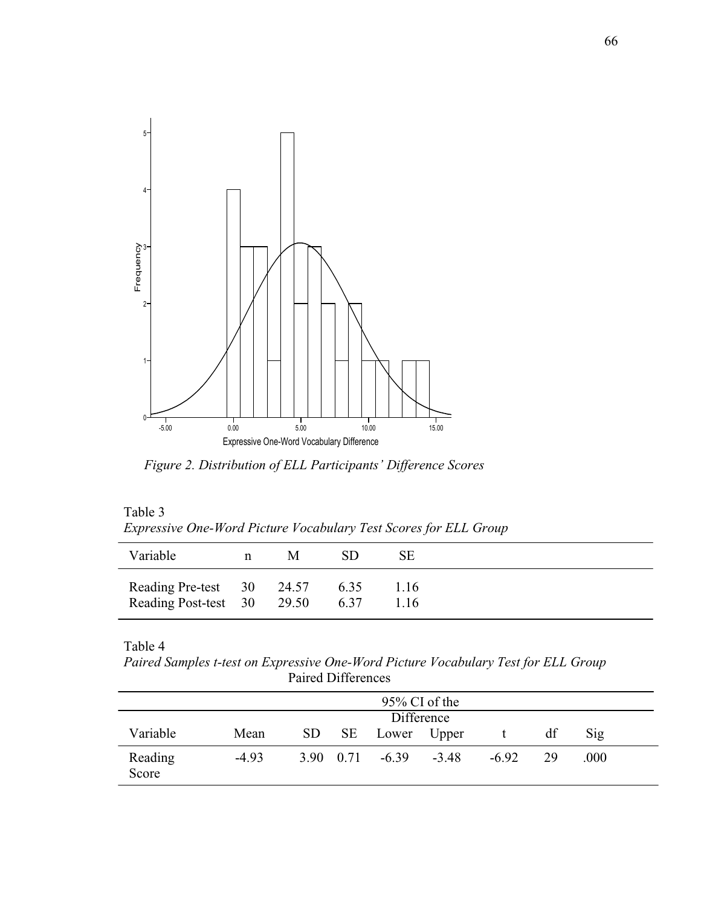

*Figure 2. Distribution of ELL Participants' Difference Scores* 

| Table 3                                                          |  |
|------------------------------------------------------------------|--|
| Expressive One-Word Picture Vocabulary Test Scores for ELL Group |  |

| Variable                                                | n | M | SD           | SЕ           |
|---------------------------------------------------------|---|---|--------------|--------------|
| Reading Pre-test 30 24.57<br>Reading Post-test 30 29.50 |   |   | 6.35<br>6.37 | 1.16<br>1.16 |

Table 4

*Paired Samples t-test on Expressive One-Word Picture Vocabulary Test for ELL Group* Paired Differences

| $95\%$ CI of the |            |  |  |                               |         |         |    |      |  |
|------------------|------------|--|--|-------------------------------|---------|---------|----|------|--|
|                  | Difference |  |  |                               |         |         |    |      |  |
| Variable         | Mean       |  |  | SD SE Lower Upper             |         |         | df | Sig  |  |
| Reading<br>Score | $-4.93$    |  |  | $3.90 \quad 0.71 \quad -6.39$ | $-3.48$ | $-6.92$ | 29 | .000 |  |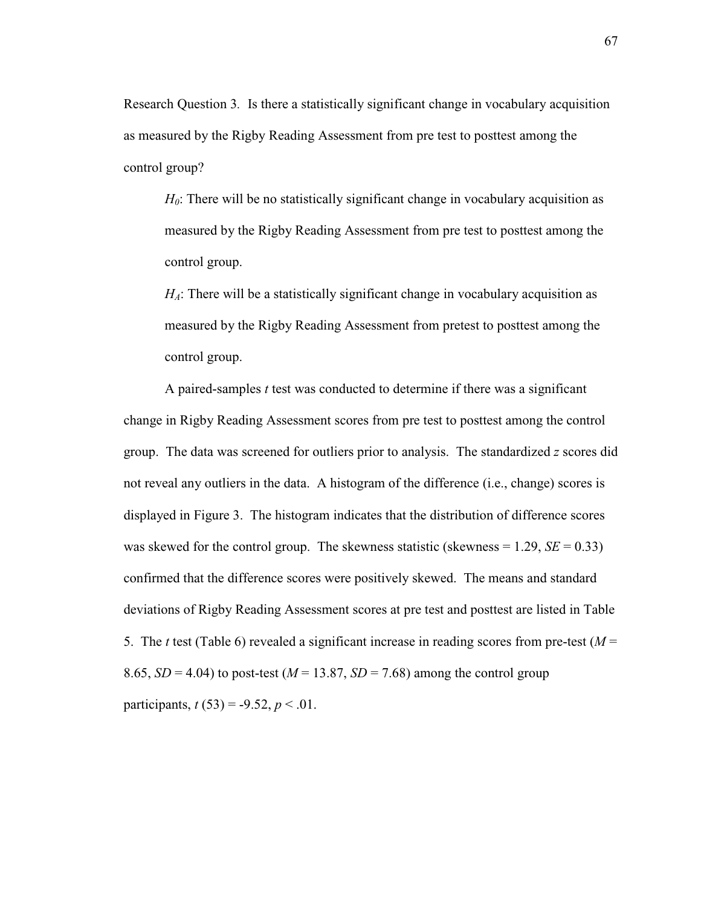Research Question 3*.* Is there a statistically significant change in vocabulary acquisition as measured by the Rigby Reading Assessment from pre test to posttest among the control group?

*H*<sub>0</sub>: There will be no statistically significant change in vocabulary acquisition as measured by the Rigby Reading Assessment from pre test to posttest among the control group.

*H*<sub>*A*</sub>: There will be a statistically significant change in vocabulary acquisition as measured by the Rigby Reading Assessment from pretest to posttest among the control group.

A paired-samples *t* test was conducted to determine if there was a significant change in Rigby Reading Assessment scores from pre test to posttest among the control group. The data was screened for outliers prior to analysis. The standardized *z* scores did not reveal any outliers in the data. A histogram of the difference (i.e., change) scores is displayed in Figure 3. The histogram indicates that the distribution of difference scores was skewed for the control group. The skewness statistic (skewness  $= 1.29$ ,  $SE = 0.33$ ) confirmed that the difference scores were positively skewed. The means and standard deviations of Rigby Reading Assessment scores at pre test and posttest are listed in Table 5. The *t* test (Table 6) revealed a significant increase in reading scores from pre-test ( $M =$ 8.65,  $SD = 4.04$ ) to post-test ( $M = 13.87$ ,  $SD = 7.68$ ) among the control group participants,  $t(53) = -9.52, p < .01$ .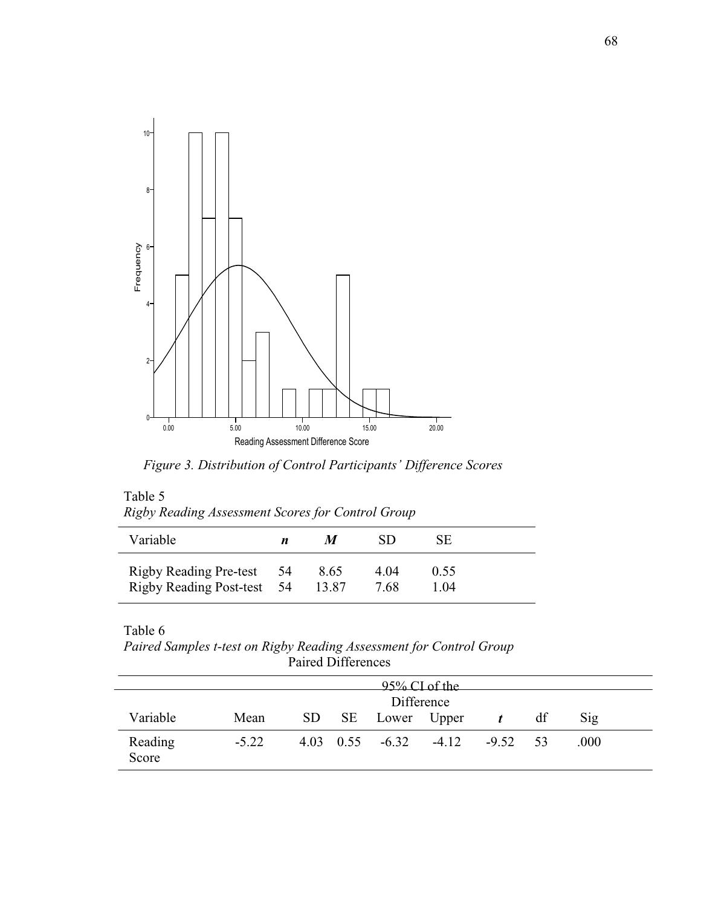

*Figure 3. Distribution of Control Participants' Difference Scores* 

| Table 5<br>Rigby Reading Assessment Scores for Control Group |   |   |    |    |
|--------------------------------------------------------------|---|---|----|----|
| Variable                                                     | n | M | SD | SE |

| v ariable                                               |               | , י           |             |  |
|---------------------------------------------------------|---------------|---------------|-------------|--|
| Rigby Reading Pre-test 54<br>Rigby Reading Post-test 54 | 8.65<br>13.87 | 4 ()4<br>7.68 | 0.55<br>104 |  |

Table 6

*Paired Samples t-test on Rigby Reading Assessment for Control Group* Paired Differences

|                  | 95% CI of the |  |  |                                           |  |                  |    |                |  |  |  |
|------------------|---------------|--|--|-------------------------------------------|--|------------------|----|----------------|--|--|--|
|                  | Difference    |  |  |                                           |  |                  |    |                |  |  |  |
| Variable         | Mean          |  |  | SD SE Lower Upper                         |  | $\boldsymbol{t}$ | df | $\mathrm{Sig}$ |  |  |  |
| Reading<br>Score | $-5.22$       |  |  | $4.03 \quad 0.55 \quad -6.32 \quad -4.12$ |  | $-9.52$ 53       |    | .000           |  |  |  |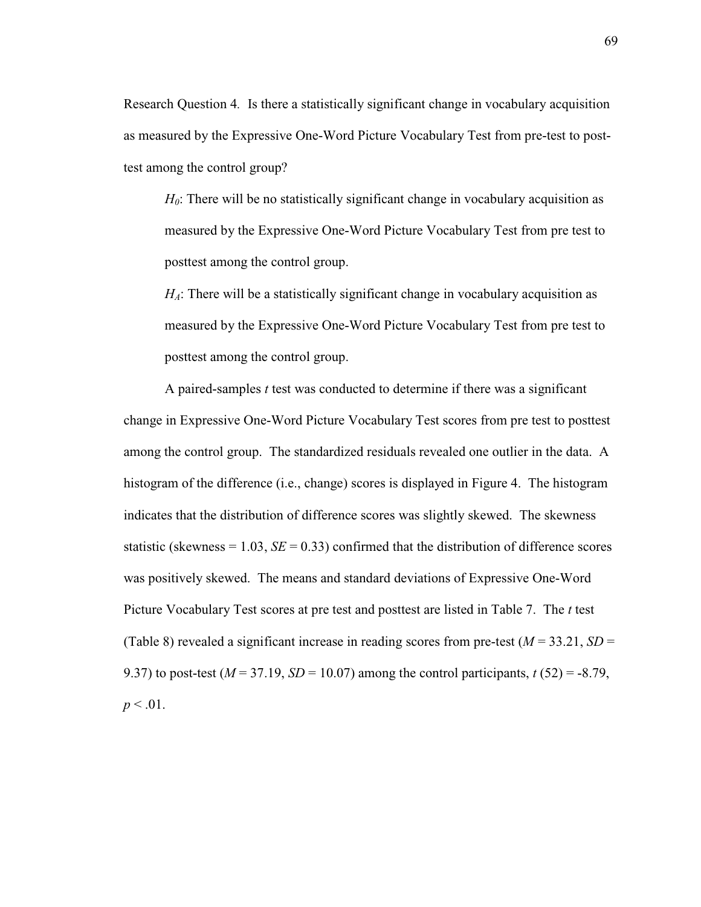Research Question 4*.* Is there a statistically significant change in vocabulary acquisition as measured by the Expressive One-Word Picture Vocabulary Test from pre-test to posttest among the control group?

*H*<sub>0</sub>: There will be no statistically significant change in vocabulary acquisition as measured by the Expressive One-Word Picture Vocabulary Test from pre test to posttest among the control group.

*H*<sub>*A*</sub>: There will be a statistically significant change in vocabulary acquisition as measured by the Expressive One-Word Picture Vocabulary Test from pre test to posttest among the control group.

A paired-samples *t* test was conducted to determine if there was a significant change in Expressive One-Word Picture Vocabulary Test scores from pre test to posttest among the control group. The standardized residuals revealed one outlier in the data. A histogram of the difference (i.e., change) scores is displayed in Figure 4. The histogram indicates that the distribution of difference scores was slightly skewed. The skewness statistic (skewness =  $1.03$ , *SE* =  $0.33$ ) confirmed that the distribution of difference scores was positively skewed. The means and standard deviations of Expressive One-Word Picture Vocabulary Test scores at pre test and posttest are listed in Table 7. The *t* test (Table 8) revealed a significant increase in reading scores from pre-test  $(M = 33.21, SD =$ 9.37) to post-test ( $M = 37.19$ ,  $SD = 10.07$ ) among the control participants,  $t(52) = -8.79$ ,  $p < .01$ .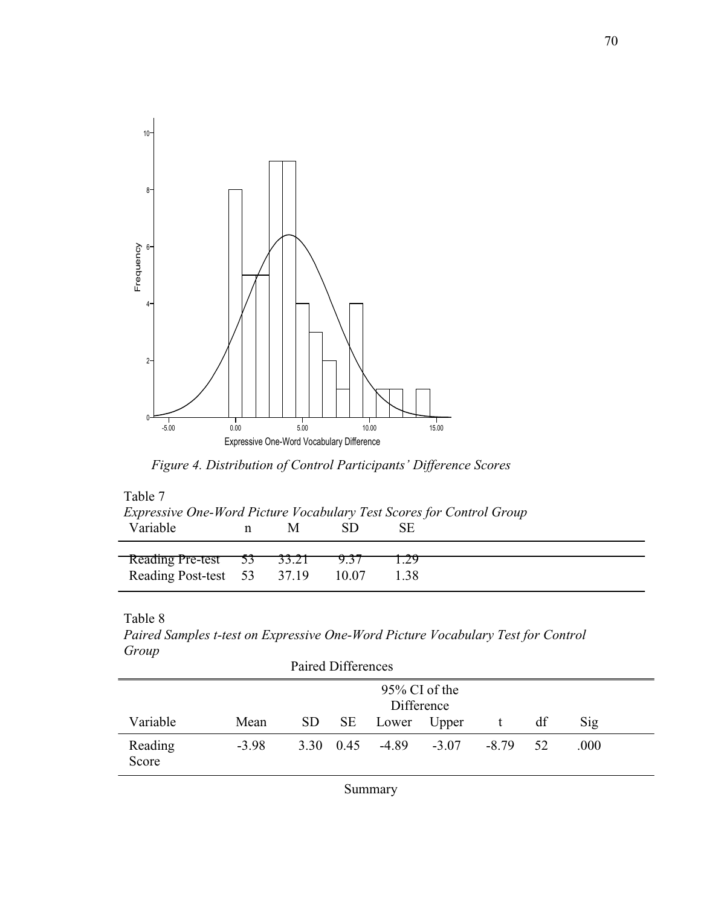

*Figure 4. Distribution of Control Participants' Difference Scores* 

| Table 7                                                              |   |   |       |      |  |  |  |  |  |
|----------------------------------------------------------------------|---|---|-------|------|--|--|--|--|--|
| Expressive One-Word Picture Vocabulary Test Scores for Control Group |   |   |       |      |  |  |  |  |  |
| Variable                                                             | n | M |       | SE   |  |  |  |  |  |
|                                                                      |   |   |       |      |  |  |  |  |  |
| Reading Pre-test 53 33.21                                            |   |   | 9.31  |      |  |  |  |  |  |
| Reading Post-test 53 37.19                                           |   |   | 10.07 | 1.38 |  |  |  |  |  |

Table 8

*Paired Samples t-test on Expressive One-Word Picture Vocabulary Test for Control Group*

| Paired Differences |                             |  |  |                               |         |       |     |      |  |
|--------------------|-----------------------------|--|--|-------------------------------|---------|-------|-----|------|--|
|                    | 95% CI of the<br>Difference |  |  |                               |         |       |     |      |  |
| Variable           | Mean                        |  |  | SD SE Lower Upper             |         |       | df  | Sig  |  |
| Reading<br>Score   | $-3.98$                     |  |  | $3.30 \quad 0.45 \quad -4.89$ | $-3.07$ | -8.79 | .52 | .000 |  |

Summary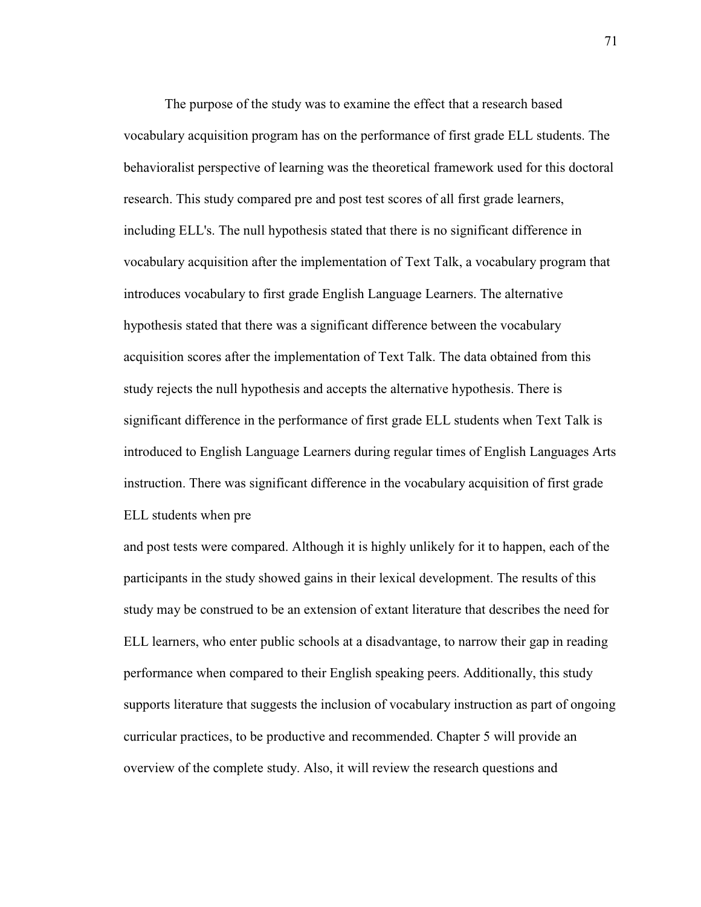The purpose of the study was to examine the effect that a research based vocabulary acquisition program has on the performance of first grade ELL students. The behavioralist perspective of learning was the theoretical framework used for this doctoral research. This study compared pre and post test scores of all first grade learners, including ELL's. The null hypothesis stated that there is no significant difference in vocabulary acquisition after the implementation of Text Talk, a vocabulary program that introduces vocabulary to first grade English Language Learners. The alternative hypothesis stated that there was a significant difference between the vocabulary acquisition scores after the implementation of Text Talk. The data obtained from this study rejects the null hypothesis and accepts the alternative hypothesis. There is significant difference in the performance of first grade ELL students when Text Talk is introduced to English Language Learners during regular times of English Languages Arts instruction. There was significant difference in the vocabulary acquisition of first grade ELL students when pre

and post tests were compared. Although it is highly unlikely for it to happen, each of the participants in the study showed gains in their lexical development. The results of this study may be construed to be an extension of extant literature that describes the need for ELL learners, who enter public schools at a disadvantage, to narrow their gap in reading performance when compared to their English speaking peers. Additionally, this study supports literature that suggests the inclusion of vocabulary instruction as part of ongoing curricular practices, to be productive and recommended. Chapter 5 will provide an overview of the complete study. Also, it will review the research questions and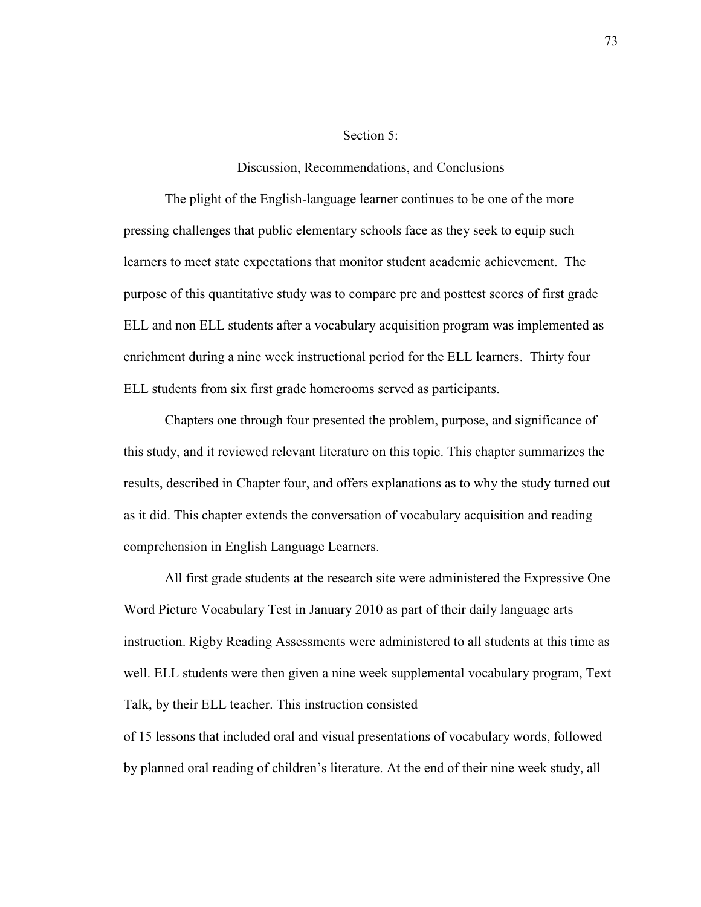### Section 5:

#### Discussion, Recommendations, and Conclusions

 The plight of the English-language learner continues to be one of the more pressing challenges that public elementary schools face as they seek to equip such learners to meet state expectations that monitor student academic achievement. The purpose of this quantitative study was to compare pre and posttest scores of first grade ELL and non ELL students after a vocabulary acquisition program was implemented as enrichment during a nine week instructional period for the ELL learners. Thirty four ELL students from six first grade homerooms served as participants.

 Chapters one through four presented the problem, purpose, and significance of this study, and it reviewed relevant literature on this topic. This chapter summarizes the results, described in Chapter four, and offers explanations as to why the study turned out as it did. This chapter extends the conversation of vocabulary acquisition and reading comprehension in English Language Learners.

 All first grade students at the research site were administered the Expressive One Word Picture Vocabulary Test in January 2010 as part of their daily language arts instruction. Rigby Reading Assessments were administered to all students at this time as well. ELL students were then given a nine week supplemental vocabulary program, Text Talk, by their ELL teacher. This instruction consisted of 15 lessons that included oral and visual presentations of vocabulary words, followed

by planned oral reading of children's literature. At the end of their nine week study, all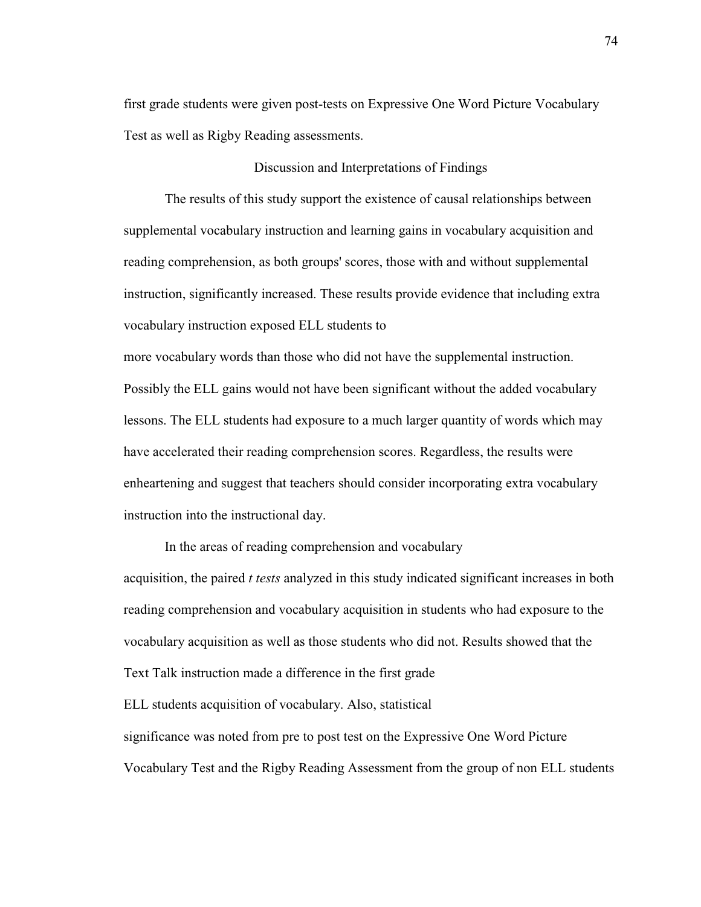first grade students were given post-tests on Expressive One Word Picture Vocabulary Test as well as Rigby Reading assessments.

Discussion and Interpretations of Findings

 The results of this study support the existence of causal relationships between supplemental vocabulary instruction and learning gains in vocabulary acquisition and reading comprehension, as both groups' scores, those with and without supplemental instruction, significantly increased. These results provide evidence that including extra vocabulary instruction exposed ELL students to

more vocabulary words than those who did not have the supplemental instruction. Possibly the ELL gains would not have been significant without the added vocabulary lessons. The ELL students had exposure to a much larger quantity of words which may have accelerated their reading comprehension scores. Regardless, the results were enheartening and suggest that teachers should consider incorporating extra vocabulary instruction into the instructional day.

 In the areas of reading comprehension and vocabulary acquisition, the paired *t tests* analyzed in this study indicated significant increases in both reading comprehension and vocabulary acquisition in students who had exposure to the vocabulary acquisition as well as those students who did not. Results showed that the Text Talk instruction made a difference in the first grade ELL students acquisition of vocabulary. Also, statistical significance was noted from pre to post test on the Expressive One Word Picture Vocabulary Test and the Rigby Reading Assessment from the group of non ELL students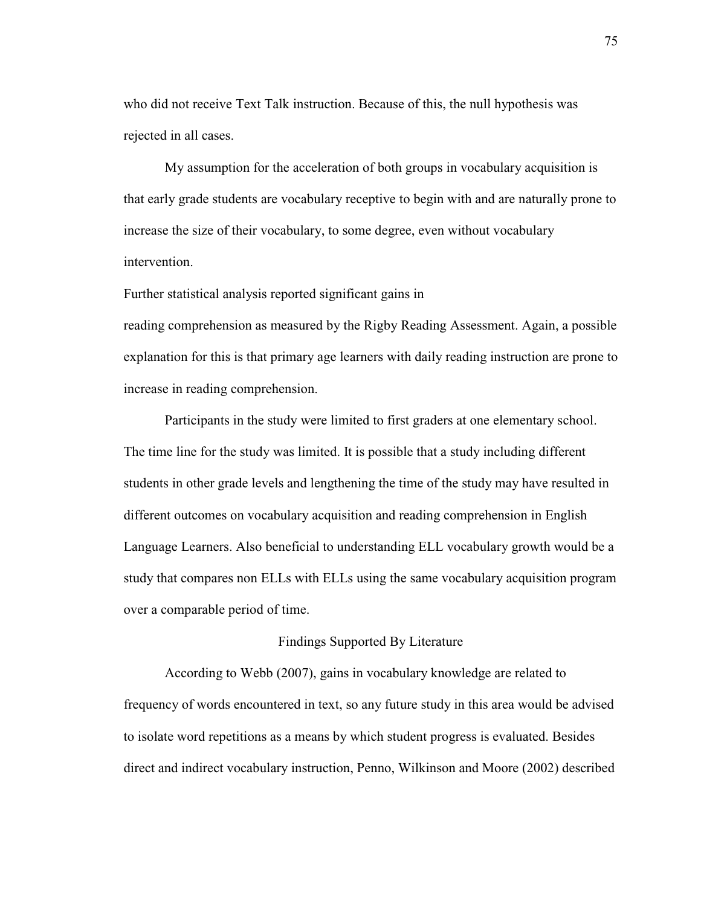who did not receive Text Talk instruction. Because of this, the null hypothesis was rejected in all cases.

 My assumption for the acceleration of both groups in vocabulary acquisition is that early grade students are vocabulary receptive to begin with and are naturally prone to increase the size of their vocabulary, to some degree, even without vocabulary intervention.

Further statistical analysis reported significant gains in

reading comprehension as measured by the Rigby Reading Assessment. Again, a possible explanation for this is that primary age learners with daily reading instruction are prone to increase in reading comprehension.

 Participants in the study were limited to first graders at one elementary school. The time line for the study was limited. It is possible that a study including different students in other grade levels and lengthening the time of the study may have resulted in different outcomes on vocabulary acquisition and reading comprehension in English Language Learners. Also beneficial to understanding ELL vocabulary growth would be a study that compares non ELLs with ELLs using the same vocabulary acquisition program over a comparable period of time.

## Findings Supported By Literature

 According to Webb (2007), gains in vocabulary knowledge are related to frequency of words encountered in text, so any future study in this area would be advised to isolate word repetitions as a means by which student progress is evaluated. Besides direct and indirect vocabulary instruction, Penno, Wilkinson and Moore (2002) described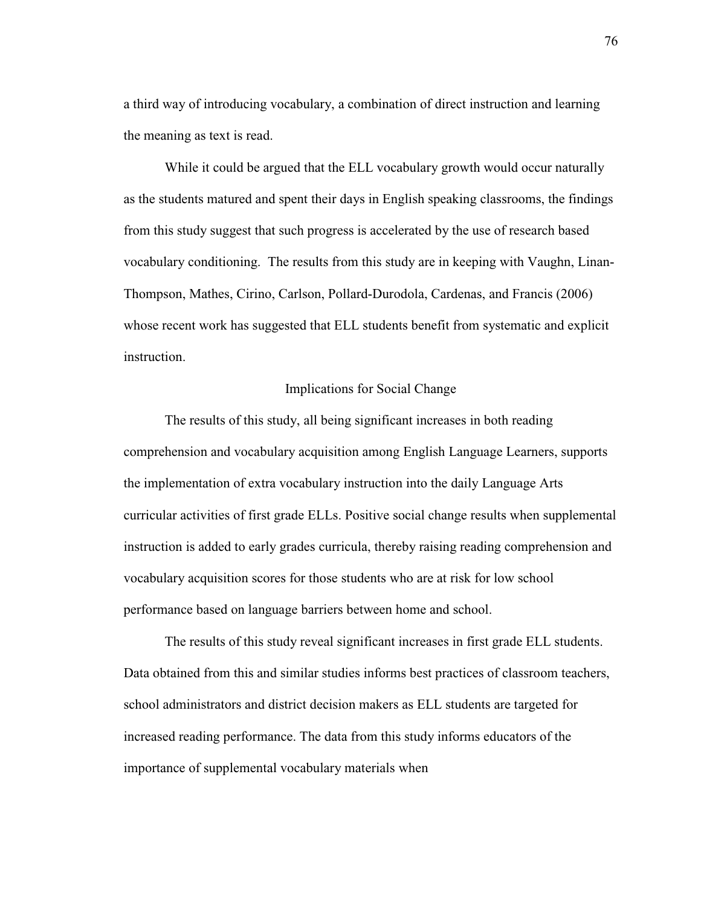a third way of introducing vocabulary, a combination of direct instruction and learning the meaning as text is read.

 While it could be argued that the ELL vocabulary growth would occur naturally as the students matured and spent their days in English speaking classrooms, the findings from this study suggest that such progress is accelerated by the use of research based vocabulary conditioning. The results from this study are in keeping with Vaughn, Linan-Thompson, Mathes, Cirino, Carlson, Pollard-Durodola, Cardenas, and Francis (2006) whose recent work has suggested that ELL students benefit from systematic and explicit instruction.

## Implications for Social Change

 The results of this study, all being significant increases in both reading comprehension and vocabulary acquisition among English Language Learners, supports the implementation of extra vocabulary instruction into the daily Language Arts curricular activities of first grade ELLs. Positive social change results when supplemental instruction is added to early grades curricula, thereby raising reading comprehension and vocabulary acquisition scores for those students who are at risk for low school performance based on language barriers between home and school.

 The results of this study reveal significant increases in first grade ELL students. Data obtained from this and similar studies informs best practices of classroom teachers, school administrators and district decision makers as ELL students are targeted for increased reading performance. The data from this study informs educators of the importance of supplemental vocabulary materials when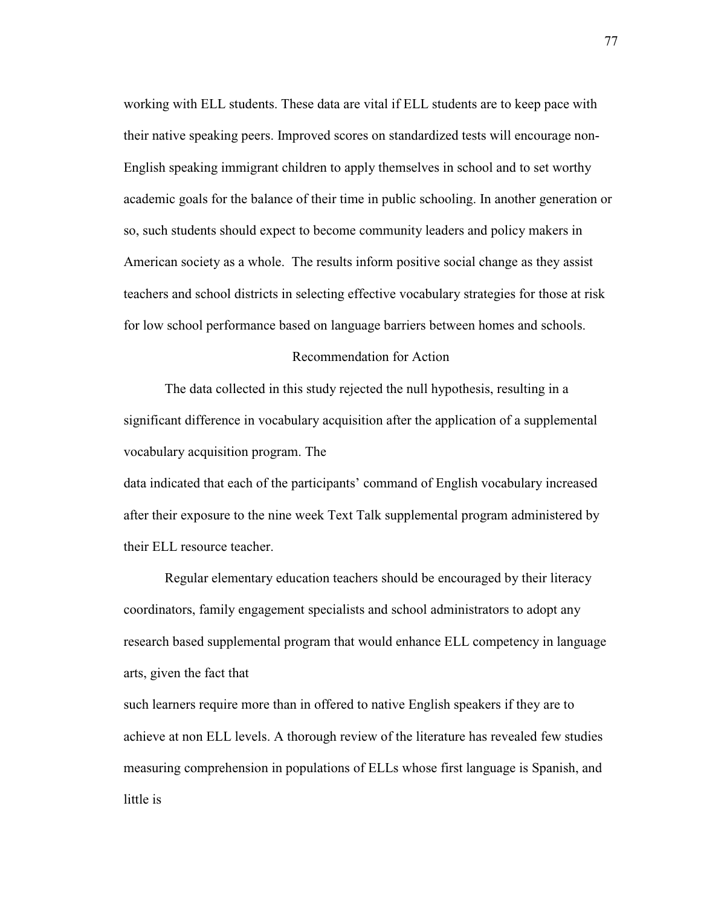working with ELL students. These data are vital if ELL students are to keep pace with their native speaking peers. Improved scores on standardized tests will encourage non-English speaking immigrant children to apply themselves in school and to set worthy academic goals for the balance of their time in public schooling. In another generation or so, such students should expect to become community leaders and policy makers in American society as a whole. The results inform positive social change as they assist teachers and school districts in selecting effective vocabulary strategies for those at risk for low school performance based on language barriers between homes and schools.

#### Recommendation for Action

 The data collected in this study rejected the null hypothesis, resulting in a significant difference in vocabulary acquisition after the application of a supplemental vocabulary acquisition program. The

data indicated that each of the participants' command of English vocabulary increased after their exposure to the nine week Text Talk supplemental program administered by their ELL resource teacher.

 Regular elementary education teachers should be encouraged by their literacy coordinators, family engagement specialists and school administrators to adopt any research based supplemental program that would enhance ELL competency in language arts, given the fact that

such learners require more than in offered to native English speakers if they are to achieve at non ELL levels. A thorough review of the literature has revealed few studies measuring comprehension in populations of ELLs whose first language is Spanish, and little is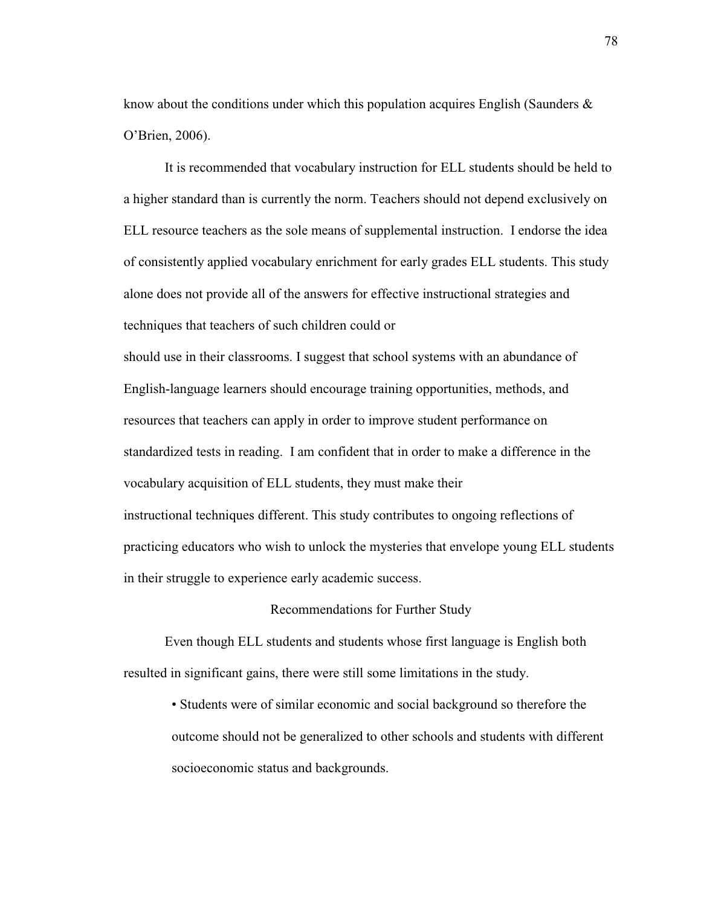know about the conditions under which this population acquires English (Saunders  $\&$ O'Brien, 2006).

 It is recommended that vocabulary instruction for ELL students should be held to a higher standard than is currently the norm. Teachers should not depend exclusively on ELL resource teachers as the sole means of supplemental instruction. I endorse the idea of consistently applied vocabulary enrichment for early grades ELL students. This study alone does not provide all of the answers for effective instructional strategies and techniques that teachers of such children could or

should use in their classrooms. I suggest that school systems with an abundance of English-language learners should encourage training opportunities, methods, and resources that teachers can apply in order to improve student performance on standardized tests in reading. I am confident that in order to make a difference in the vocabulary acquisition of ELL students, they must make their instructional techniques different. This study contributes to ongoing reflections of practicing educators who wish to unlock the mysteries that envelope young ELL students in their struggle to experience early academic success.

#### Recommendations for Further Study

 Even though ELL students and students whose first language is English both resulted in significant gains, there were still some limitations in the study.

 • Students were of similar economic and social background so therefore the outcome should not be generalized to other schools and students with different socioeconomic status and backgrounds.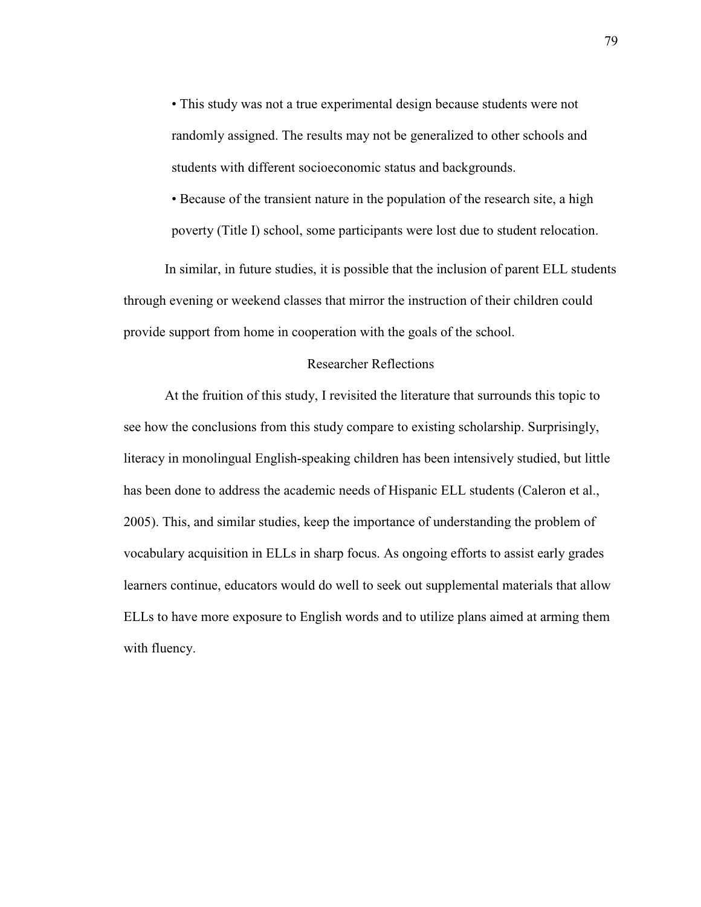• This study was not a true experimental design because students were not randomly assigned. The results may not be generalized to other schools and students with different socioeconomic status and backgrounds.

• Because of the transient nature in the population of the research site, a high poverty (Title I) school, some participants were lost due to student relocation.

 In similar, in future studies, it is possible that the inclusion of parent ELL students through evening or weekend classes that mirror the instruction of their children could provide support from home in cooperation with the goals of the school.

## Researcher Reflections

 At the fruition of this study, I revisited the literature that surrounds this topic to see how the conclusions from this study compare to existing scholarship. Surprisingly, literacy in monolingual English-speaking children has been intensively studied, but little has been done to address the academic needs of Hispanic ELL students (Caleron et al., 2005). This, and similar studies, keep the importance of understanding the problem of vocabulary acquisition in ELLs in sharp focus. As ongoing efforts to assist early grades learners continue, educators would do well to seek out supplemental materials that allow ELLs to have more exposure to English words and to utilize plans aimed at arming them with fluency.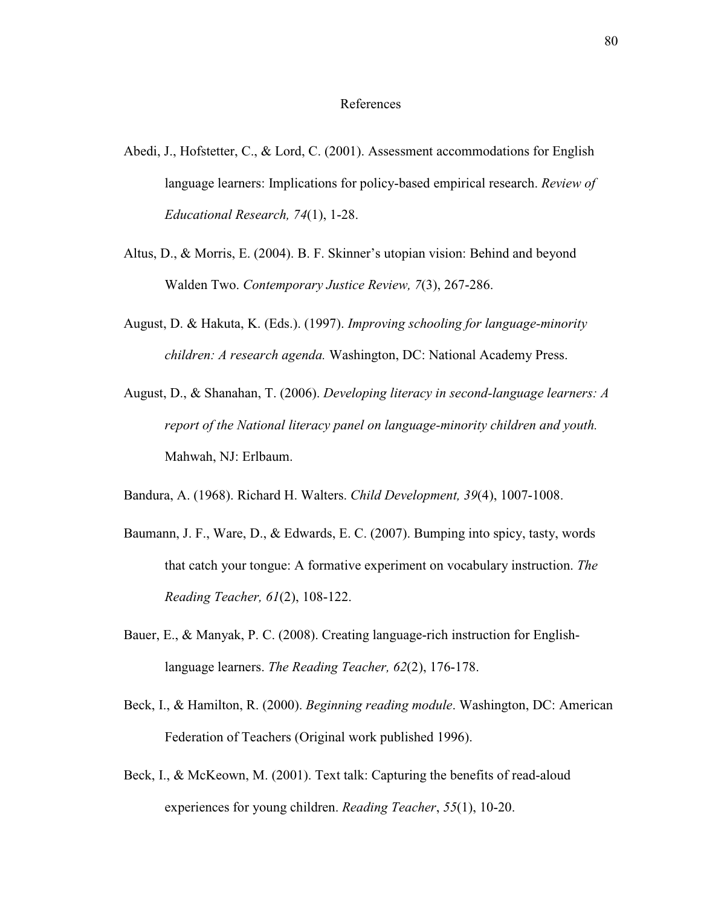## References

- Abedi, J., Hofstetter, C., & Lord, C. (2001). Assessment accommodations for English language learners: Implications for policy-based empirical research. *Review of Educational Research, 74*(1), 1-28.
- Altus, D., & Morris, E. (2004). B. F. Skinner's utopian vision: Behind and beyond Walden Two. *Contemporary Justice Review, 7*(3), 267-286.
- August, D. & Hakuta, K. (Eds.). (1997). *Improving schooling for language-minority children: A research agenda.* Washington, DC: National Academy Press.
- August, D., & Shanahan, T. (2006). *Developing literacy in second-language learners: A report of the National literacy panel on language-minority children and youth.*  Mahwah, NJ: Erlbaum.

Bandura, A. (1968). Richard H. Walters. *Child Development, 39*(4), 1007-1008.

- Baumann, J. F., Ware, D., & Edwards, E. C. (2007). Bumping into spicy, tasty, words that catch your tongue: A formative experiment on vocabulary instruction. *The Reading Teacher, 61*(2), 108-122.
- Bauer, E., & Manyak, P. C. (2008). Creating language-rich instruction for Englishlanguage learners. *The Reading Teacher, 62*(2), 176-178.
- Beck, I., & Hamilton, R. (2000). *Beginning reading module*. Washington, DC: American Federation of Teachers (Original work published 1996).
- Beck, I., & McKeown, M. (2001). Text talk: Capturing the benefits of read-aloud experiences for young children. *Reading Teacher*, *55*(1), 10-20.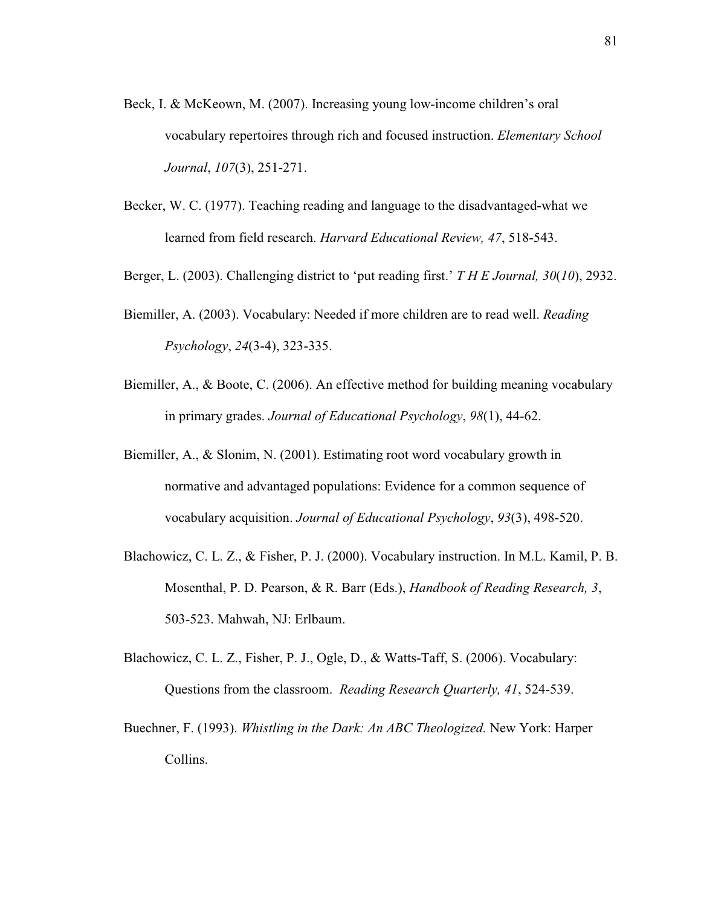- Beck, I. & McKeown, M. (2007). Increasing young low-income children's oral vocabulary repertoires through rich and focused instruction. *Elementary School Journal*, *107*(3), 251-271.
- Becker, W. C. (1977). Teaching reading and language to the disadvantaged-what we learned from field research. *Harvard Educational Review, 47*, 518-543.
- Berger, L. (2003). Challenging district to 'put reading first.' *T H E Journal, 30*(*10*), 2932.
- Biemiller, A. (2003). Vocabulary: Needed if more children are to read well. *Reading Psychology*, *24*(3-4), 323-335.
- Biemiller, A., & Boote, C. (2006). An effective method for building meaning vocabulary in primary grades. *Journal of Educational Psychology*, *98*(1), 44-62.
- Biemiller, A., & Slonim, N. (2001). Estimating root word vocabulary growth in normative and advantaged populations: Evidence for a common sequence of vocabulary acquisition. *Journal of Educational Psychology*, *93*(3), 498-520.
- Blachowicz, C. L. Z., & Fisher, P. J. (2000). Vocabulary instruction. In M.L. Kamil, P. B. Mosenthal, P. D. Pearson, & R. Barr (Eds.), *Handbook of Reading Research, 3*, 503-523. Mahwah, NJ: Erlbaum.
- Blachowicz, C. L. Z., Fisher, P. J., Ogle, D., & Watts-Taff, S. (2006). Vocabulary: Questions from the classroom. *Reading Research Quarterly, 41*, 524-539.
- Buechner, F. (1993). *Whistling in the Dark: An ABC Theologized.* New York: Harper Collins.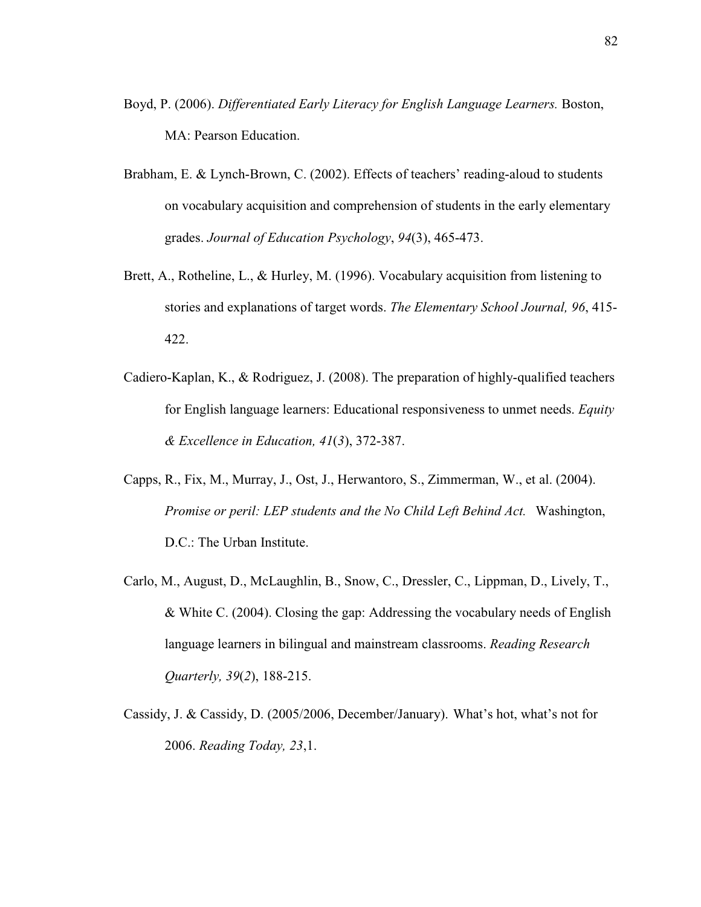- Boyd, P. (2006). *Differentiated Early Literacy for English Language Learners.* Boston, MA: Pearson Education.
- Brabham, E. & Lynch-Brown, C. (2002). Effects of teachers' reading-aloud to students on vocabulary acquisition and comprehension of students in the early elementary grades. *Journal of Education Psychology*, *94*(3), 465-473.
- Brett, A., Rotheline, L., & Hurley, M. (1996). Vocabulary acquisition from listening to stories and explanations of target words. *The Elementary School Journal, 96*, 415- 422.
- Cadiero-Kaplan, K., & Rodriguez, J. (2008). The preparation of highly-qualified teachers for English language learners: Educational responsiveness to unmet needs. *Equity & Excellence in Education, 41*(*3*), 372-387.
- Capps, R., Fix, M., Murray, J., Ost, J., Herwantoro, S., Zimmerman, W., et al. (2004). *Promise or peril: LEP students and the No Child Left Behind Act.* Washington, D.C.: The Urban Institute.
- Carlo, M., August, D., McLaughlin, B., Snow, C., Dressler, C., Lippman, D., Lively, T., & White C. (2004). Closing the gap: Addressing the vocabulary needs of English language learners in bilingual and mainstream classrooms. *Reading Research Quarterly, 39*(*2*), 188-215.
- Cassidy, J. & Cassidy, D. (2005/2006, December/January). What's hot, what's not for 2006. *Reading Today, 23*,1.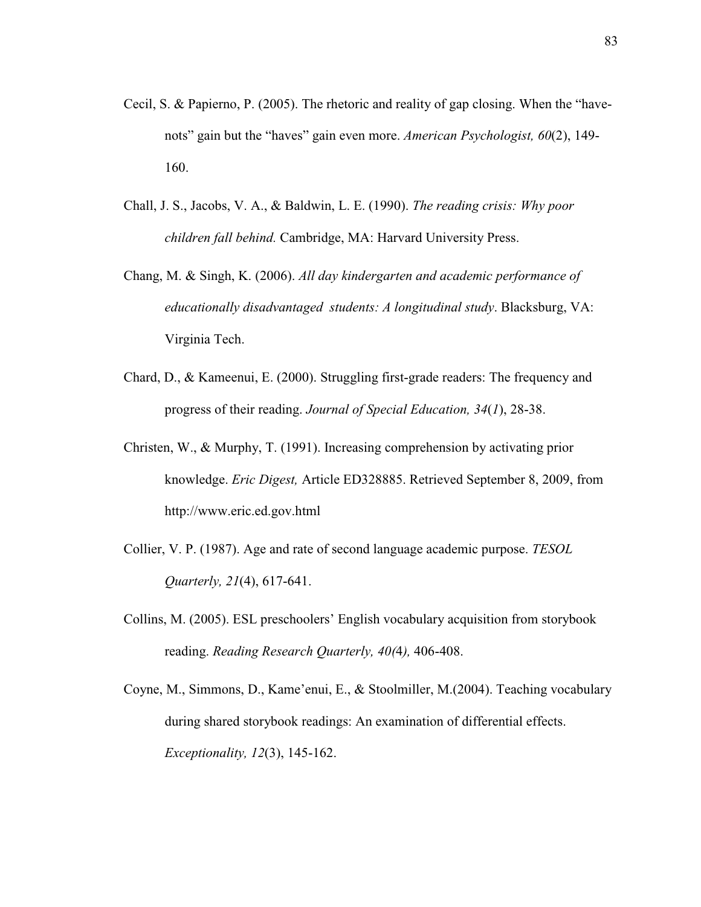- Cecil, S. & Papierno, P. (2005). The rhetoric and reality of gap closing. When the "havenots" gain but the "haves" gain even more. *American Psychologist, 60*(2), 149- 160.
- Chall, J. S., Jacobs, V. A., & Baldwin, L. E. (1990). *The reading crisis: Why poor children fall behind.* Cambridge, MA: Harvard University Press.
- Chang, M. & Singh, K. (2006). *All day kindergarten and academic performance of educationally disadvantaged students: A longitudinal study*. Blacksburg, VA: Virginia Tech.
- Chard, D., & Kameenui, E. (2000). Struggling first-grade readers: The frequency and progress of their reading. *Journal of Special Education, 34*(*1*), 28-38.
- Christen, W., & Murphy, T. (1991). Increasing comprehension by activating prior knowledge. *Eric Digest,* Article ED328885. Retrieved September 8, 2009, from http://www.eric.ed.gov.html
- Collier, V. P. (1987). Age and rate of second language academic purpose. *TESOL Quarterly, 21*(4), 617-641.
- Collins, M. (2005). ESL preschoolers' English vocabulary acquisition from storybook reading. *Reading Research Quarterly, 40(*4*),* 406-408.
- Coyne, M., Simmons, D., Kame'enui, E., & Stoolmiller, M.(2004). Teaching vocabulary during shared storybook readings: An examination of differential effects. *Exceptionality, 12*(3), 145-162.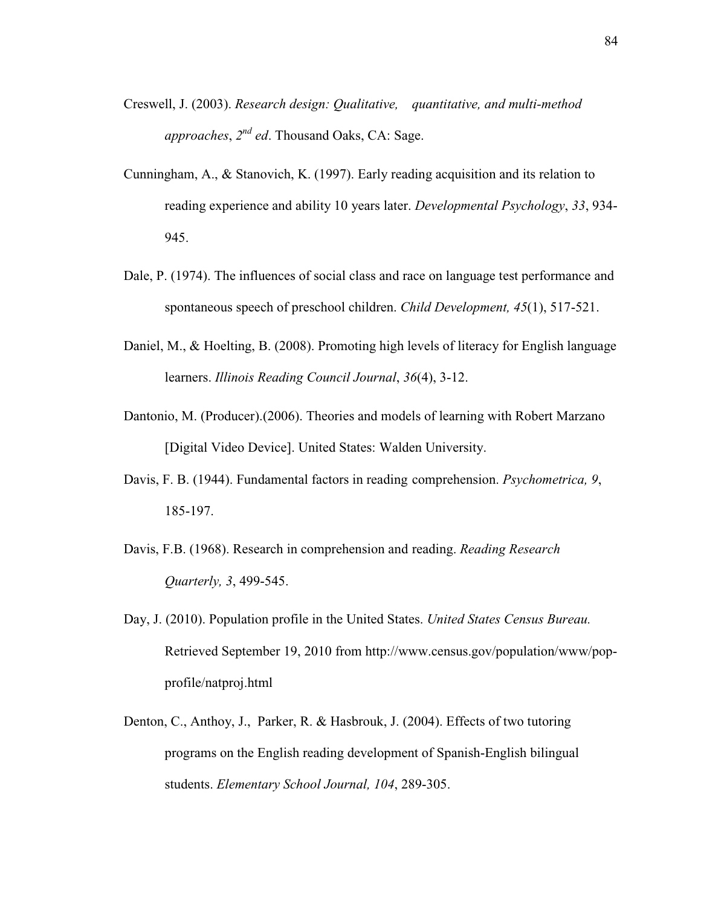- Creswell, J. (2003). *Research design: Qualitative, quantitative, and multi-method approaches*, *2 nd ed*. Thousand Oaks, CA: Sage.
- Cunningham, A., & Stanovich, K. (1997). Early reading acquisition and its relation to reading experience and ability 10 years later. *Developmental Psychology*, *33*, 934- 945.
- Dale, P. (1974). The influences of social class and race on language test performance and spontaneous speech of preschool children. *Child Development, 45*(1), 517-521.
- Daniel, M., & Hoelting, B. (2008). Promoting high levels of literacy for English language learners. *Illinois Reading Council Journal*, *36*(4), 3-12.
- Dantonio, M. (Producer).(2006). Theories and models of learning with Robert Marzano [Digital Video Device]. United States: Walden University.
- Davis, F. B. (1944). Fundamental factors in reading comprehension. *Psychometrica, 9*, 185-197.
- Davis, F.B. (1968). Research in comprehension and reading. *Reading Research Quarterly, 3*, 499-545.
- Day, J. (2010). Population profile in the United States. *United States Census Bureau.*  Retrieved September 19, 2010 from http://www.census.gov/population/www/popprofile/natproj.html
- Denton, C., Anthoy, J., Parker, R. & Hasbrouk, J. (2004). Effects of two tutoring programs on the English reading development of Spanish-English bilingual students. *Elementary School Journal, 104*, 289-305.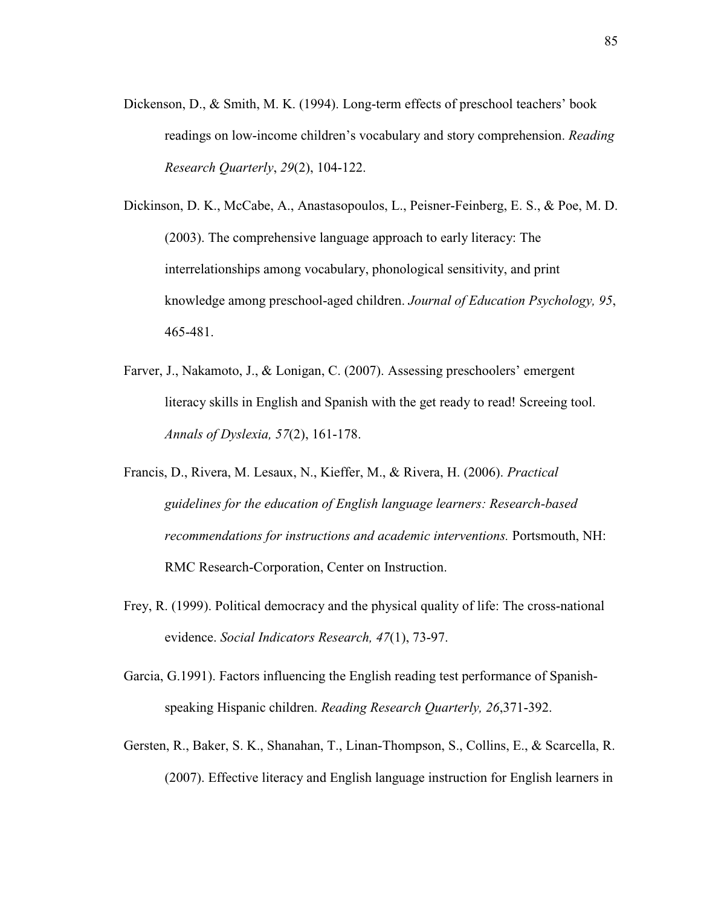- Dickenson, D., & Smith, M. K. (1994). Long-term effects of preschool teachers' book readings on low-income children's vocabulary and story comprehension. *Reading Research Quarterly*, *29*(2), 104-122.
- Dickinson, D. K., McCabe, A., Anastasopoulos, L., Peisner-Feinberg, E. S., & Poe, M. D. (2003). The comprehensive language approach to early literacy: The interrelationships among vocabulary, phonological sensitivity, and print knowledge among preschool-aged children. *Journal of Education Psychology, 95*, 465-481.
- Farver, J., Nakamoto, J., & Lonigan, C. (2007). Assessing preschoolers' emergent literacy skills in English and Spanish with the get ready to read! Screeing tool. *Annals of Dyslexia, 57*(2), 161-178.
- Francis, D., Rivera, M. Lesaux, N., Kieffer, M., & Rivera, H. (2006). *Practical guidelines for the education of English language learners: Research-based recommendations for instructions and academic interventions.* Portsmouth, NH: RMC Research-Corporation, Center on Instruction.
- Frey, R. (1999). Political democracy and the physical quality of life: The cross-national evidence. *Social Indicators Research, 47*(1), 73-97.
- Garcia, G.1991). Factors influencing the English reading test performance of Spanishspeaking Hispanic children. *Reading Research Quarterly, 26*,371-392.
- Gersten, R., Baker, S. K., Shanahan, T., Linan-Thompson, S., Collins, E., & Scarcella, R. (2007). Effective literacy and English language instruction for English learners in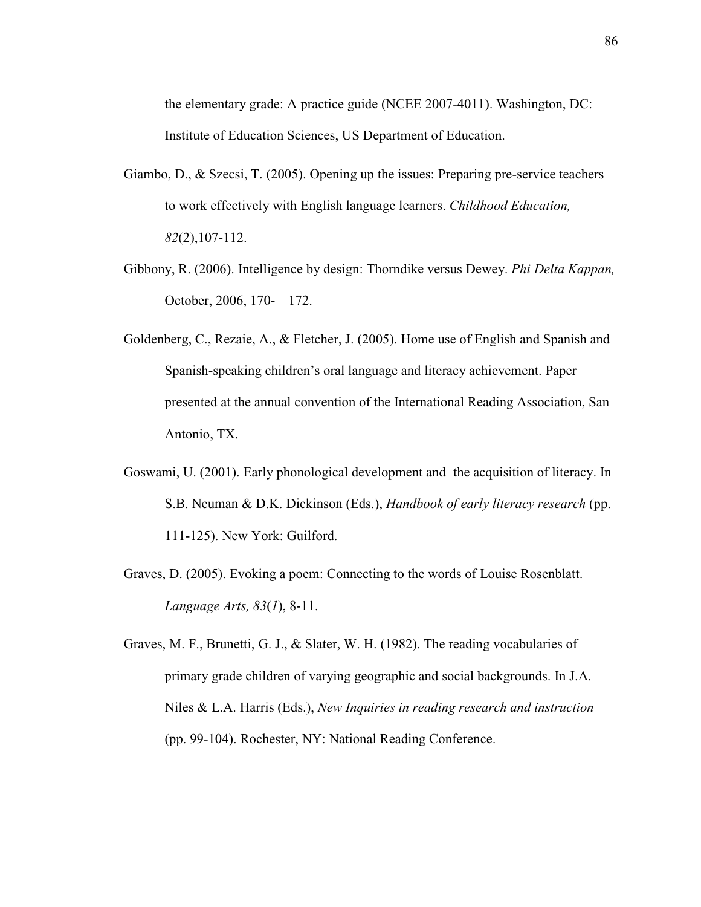the elementary grade: A practice guide (NCEE 2007-4011). Washington, DC: Institute of Education Sciences, US Department of Education.

- Giambo, D., & Szecsi, T. (2005). Opening up the issues: Preparing pre-service teachers to work effectively with English language learners. *Childhood Education, 82*(2),107-112.
- Gibbony, R. (2006). Intelligence by design: Thorndike versus Dewey. *Phi Delta Kappan,* October, 2006, 170- 172.
- Goldenberg, C., Rezaie, A., & Fletcher, J. (2005). Home use of English and Spanish and Spanish-speaking children's oral language and literacy achievement. Paper presented at the annual convention of the International Reading Association, San Antonio, TX.
- Goswami, U. (2001). Early phonological development and the acquisition of literacy. In S.B. Neuman & D.K. Dickinson (Eds.), *Handbook of early literacy research* (pp. 111-125). New York: Guilford.
- Graves, D. (2005). Evoking a poem: Connecting to the words of Louise Rosenblatt. *Language Arts, 83*(*1*), 8-11.
- Graves, M. F., Brunetti, G. J., & Slater, W. H. (1982). The reading vocabularies of primary grade children of varying geographic and social backgrounds. In J.A. Niles & L.A. Harris (Eds.), *New Inquiries in reading research and instruction*  (pp. 99-104). Rochester, NY: National Reading Conference.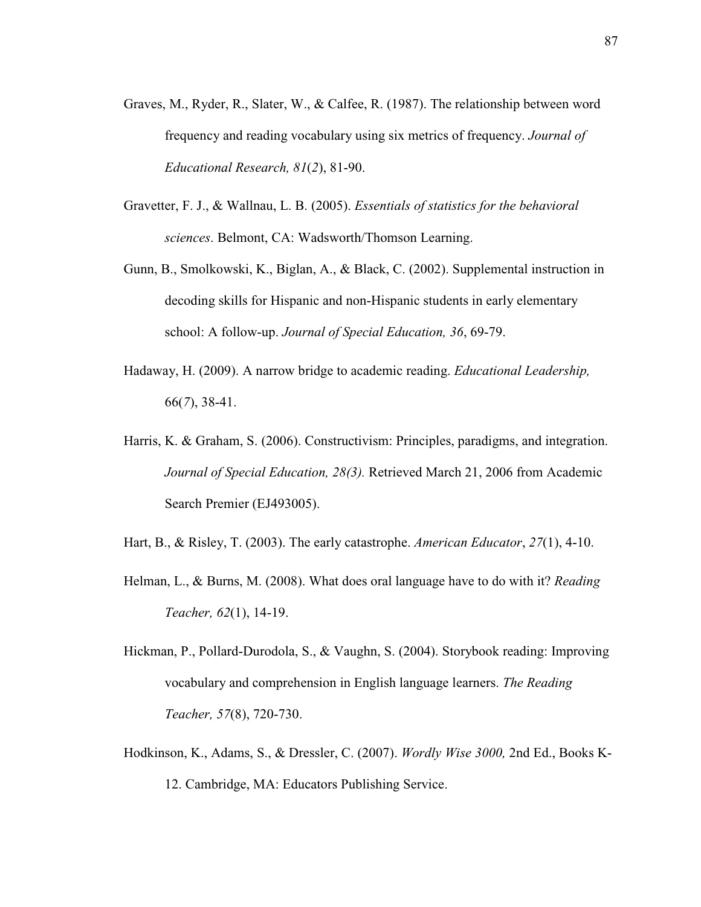- Graves, M., Ryder, R., Slater, W., & Calfee, R. (1987). The relationship between word frequency and reading vocabulary using six metrics of frequency. *Journal of Educational Research, 81*(*2*), 81-90.
- Gravetter, F. J., & Wallnau, L. B. (2005). *Essentials of statistics for the behavioral sciences*. Belmont, CA: Wadsworth/Thomson Learning.
- Gunn, B., Smolkowski, K., Biglan, A., & Black, C. (2002). Supplemental instruction in decoding skills for Hispanic and non-Hispanic students in early elementary school: A follow-up. *Journal of Special Education, 36*, 69-79.
- Hadaway, H. (2009). A narrow bridge to academic reading. *Educational Leadership,*  66(*7*), 38-41.
- Harris, K. & Graham, S. (2006). Constructivism: Principles, paradigms, and integration. *Journal of Special Education, 28(3).* Retrieved March 21, 2006 from Academic Search Premier (EJ493005).
- Hart, B., & Risley, T. (2003). The early catastrophe. *American Educator*, *27*(1), 4-10.
- Helman, L., & Burns, M. (2008). What does oral language have to do with it? *Reading Teacher, 62*(1), 14-19.
- Hickman, P., Pollard-Durodola, S., & Vaughn, S. (2004). Storybook reading: Improving vocabulary and comprehension in English language learners. *The Reading Teacher, 57*(8), 720-730.
- Hodkinson, K., Adams, S., & Dressler, C. (2007). *Wordly Wise 3000,* 2nd Ed., Books K-12. Cambridge, MA: Educators Publishing Service.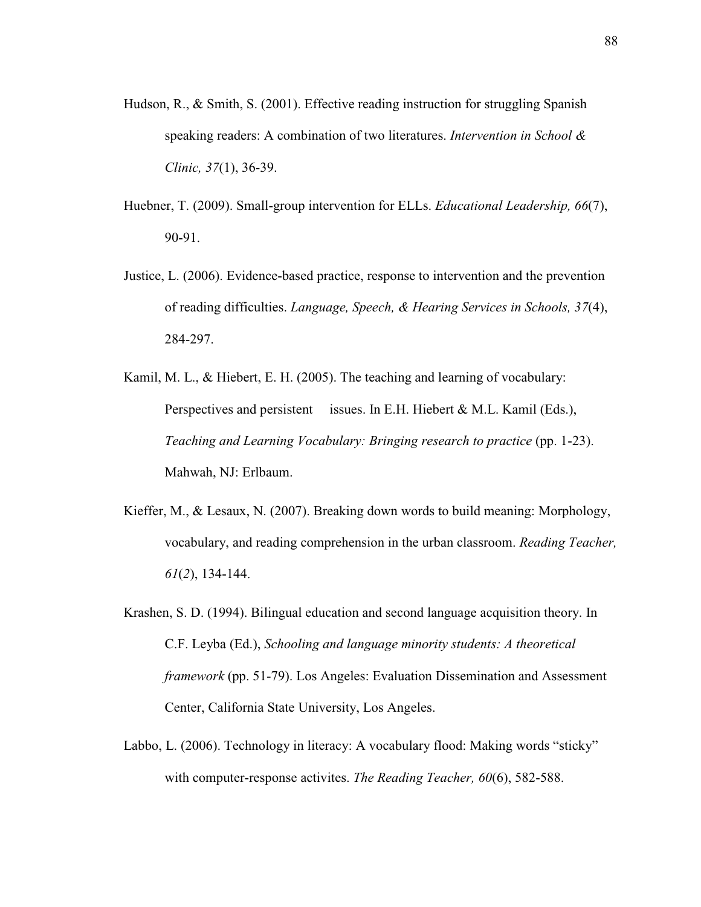- Hudson, R., & Smith, S. (2001). Effective reading instruction for struggling Spanish speaking readers: A combination of two literatures. *Intervention in School & Clinic, 37*(1), 36-39.
- Huebner, T. (2009). Small-group intervention for ELLs. *Educational Leadership, 66*(7), 90-91.
- Justice, L. (2006). Evidence-based practice, response to intervention and the prevention of reading difficulties. *Language, Speech, & Hearing Services in Schools, 37*(4), 284-297.
- Kamil, M. L., & Hiebert, E. H. (2005). The teaching and learning of vocabulary: Perspectives and persistent issues. In E.H. Hiebert & M.L. Kamil (Eds.), *Teaching and Learning Vocabulary: Bringing research to practice (pp. 1-23).* Mahwah, NJ: Erlbaum.
- Kieffer, M., & Lesaux, N. (2007). Breaking down words to build meaning: Morphology, vocabulary, and reading comprehension in the urban classroom. *Reading Teacher, 61*(*2*), 134-144.
- Krashen, S. D. (1994). Bilingual education and second language acquisition theory. In C.F. Leyba (Ed.), *Schooling and language minority students: A theoretical framework* (pp. 51-79). Los Angeles: Evaluation Dissemination and Assessment Center, California State University, Los Angeles.
- Labbo, L. (2006). Technology in literacy: A vocabulary flood: Making words "sticky" with computer-response activites. *The Reading Teacher, 60*(6), 582-588.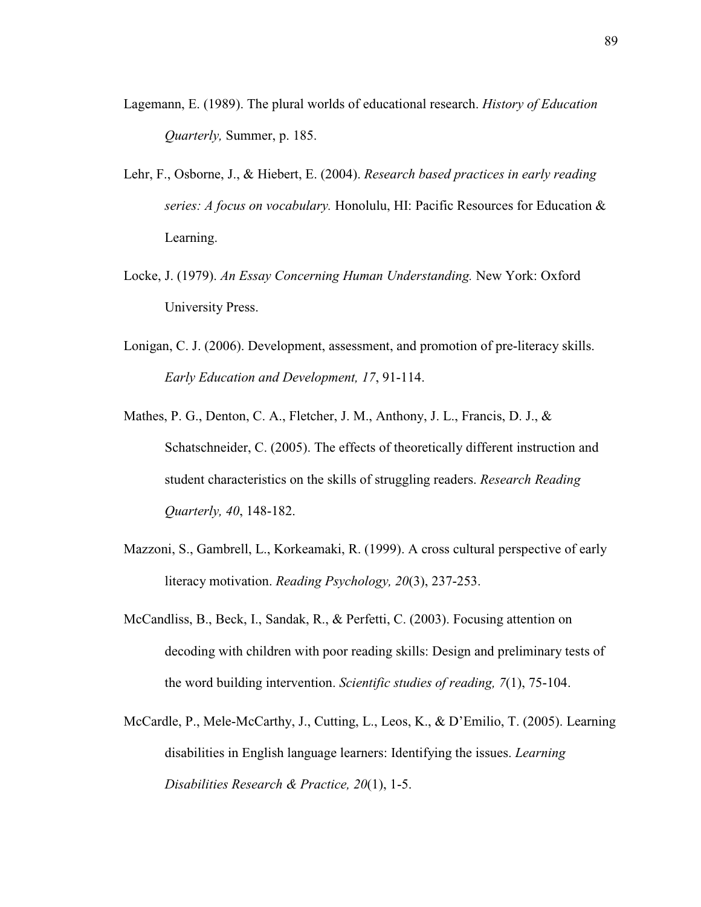- Lagemann, E. (1989). The plural worlds of educational research. *History of Education Quarterly,* Summer, p. 185.
- Lehr, F., Osborne, J., & Hiebert, E. (2004). *Research based practices in early reading series: A focus on vocabulary.* Honolulu, HI: Pacific Resources for Education & Learning.
- Locke, J. (1979). *An Essay Concerning Human Understanding.* New York: Oxford University Press.
- Lonigan, C. J. (2006). Development, assessment, and promotion of pre-literacy skills. *Early Education and Development, 17*, 91-114.
- Mathes, P. G., Denton, C. A., Fletcher, J. M., Anthony, J. L., Francis, D. J., & Schatschneider, C. (2005). The effects of theoretically different instruction and student characteristics on the skills of struggling readers. *Research Reading Quarterly, 40*, 148-182.
- Mazzoni, S., Gambrell, L., Korkeamaki, R. (1999). A cross cultural perspective of early literacy motivation. *Reading Psychology, 20*(3), 237-253.
- McCandliss, B., Beck, I., Sandak, R., & Perfetti, C. (2003). Focusing attention on decoding with children with poor reading skills: Design and preliminary tests of the word building intervention. *Scientific studies of reading, 7*(1), 75-104.
- McCardle, P., Mele-McCarthy, J., Cutting, L., Leos, K., & D'Emilio, T. (2005). Learning disabilities in English language learners: Identifying the issues. *Learning Disabilities Research & Practice, 20*(1), 1-5.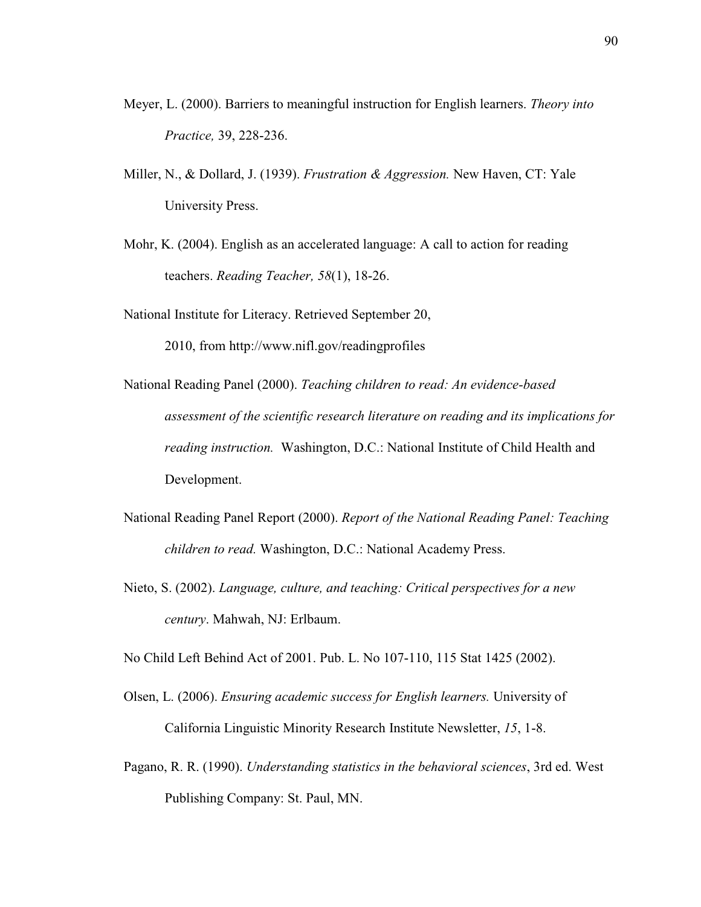- Meyer, L. (2000). Barriers to meaningful instruction for English learners. *Theory into Practice,* 39, 228-236.
- Miller, N., & Dollard, J. (1939). *Frustration & Aggression.* New Haven, CT: Yale University Press.
- Mohr, K. (2004). English as an accelerated language: A call to action for reading teachers. *Reading Teacher, 58*(1), 18-26.
- National Institute for Literacy. Retrieved September 20,

2010, from http://www.nifl.gov/readingprofiles

- National Reading Panel (2000). *Teaching children to read: An evidence-based assessment of the scientific research literature on reading and its implications for reading instruction.* Washington, D.C.: National Institute of Child Health and Development.
- National Reading Panel Report (2000). *Report of the National Reading Panel: Teaching children to read.* Washington, D.C.: National Academy Press.
- Nieto, S. (2002). *Language, culture, and teaching: Critical perspectives for a new century*. Mahwah, NJ: Erlbaum.

No Child Left Behind Act of 2001. Pub. L. No 107-110, 115 Stat 1425 (2002).

- Olsen, L. (2006). *Ensuring academic success for English learners.* University of California Linguistic Minority Research Institute Newsletter, *15*, 1-8.
- Pagano, R. R. (1990). *Understanding statistics in the behavioral sciences*, 3rd ed. West Publishing Company: St. Paul, MN.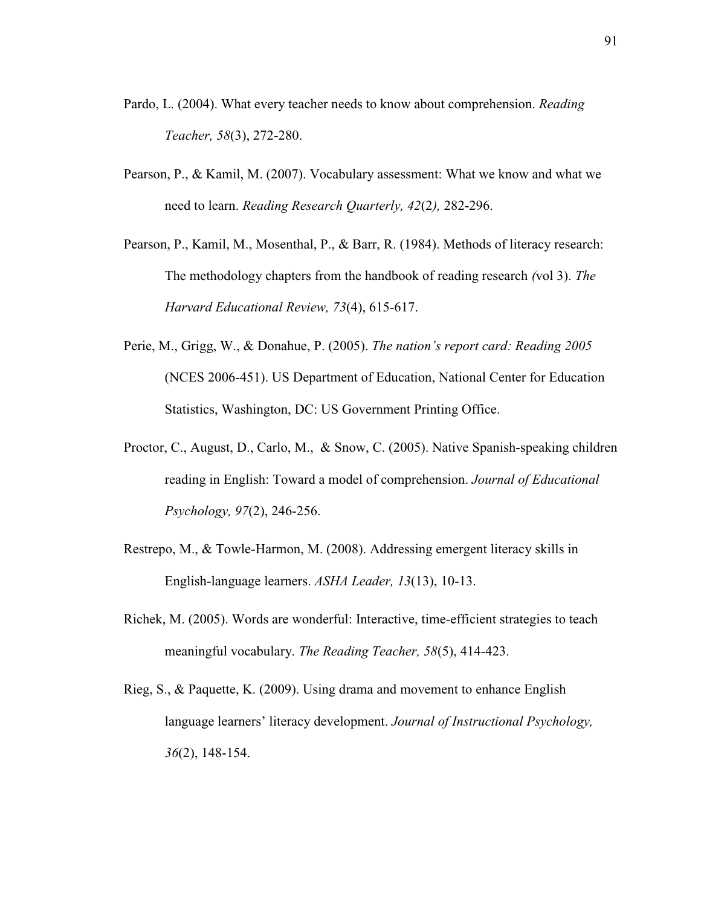- Pardo, L. (2004). What every teacher needs to know about comprehension. *Reading Teacher, 58*(3), 272-280.
- Pearson, P., & Kamil, M. (2007). Vocabulary assessment: What we know and what we need to learn. *Reading Research Quarterly, 42*(2*),* 282-296.
- Pearson, P., Kamil, M., Mosenthal, P., & Barr, R. (1984). Methods of literacy research: The methodology chapters from the handbook of reading research *(*vol 3). *The Harvard Educational Review, 73*(4), 615-617.
- Perie, M., Grigg, W., & Donahue, P. (2005). *The nation's report card: Reading 2005*  (NCES 2006-451). US Department of Education, National Center for Education Statistics, Washington, DC: US Government Printing Office.
- Proctor, C., August, D., Carlo, M., & Snow, C. (2005). Native Spanish-speaking children reading in English: Toward a model of comprehension. *Journal of Educational Psychology, 97*(2), 246-256.
- Restrepo, M., & Towle-Harmon, M. (2008). Addressing emergent literacy skills in English-language learners. *ASHA Leader, 13*(13), 10-13.
- Richek, M. (2005). Words are wonderful: Interactive, time-efficient strategies to teach meaningful vocabulary. *The Reading Teacher, 58*(5), 414-423.
- Rieg, S., & Paquette, K. (2009). Using drama and movement to enhance English language learners' literacy development. *Journal of Instructional Psychology, 36*(2), 148-154.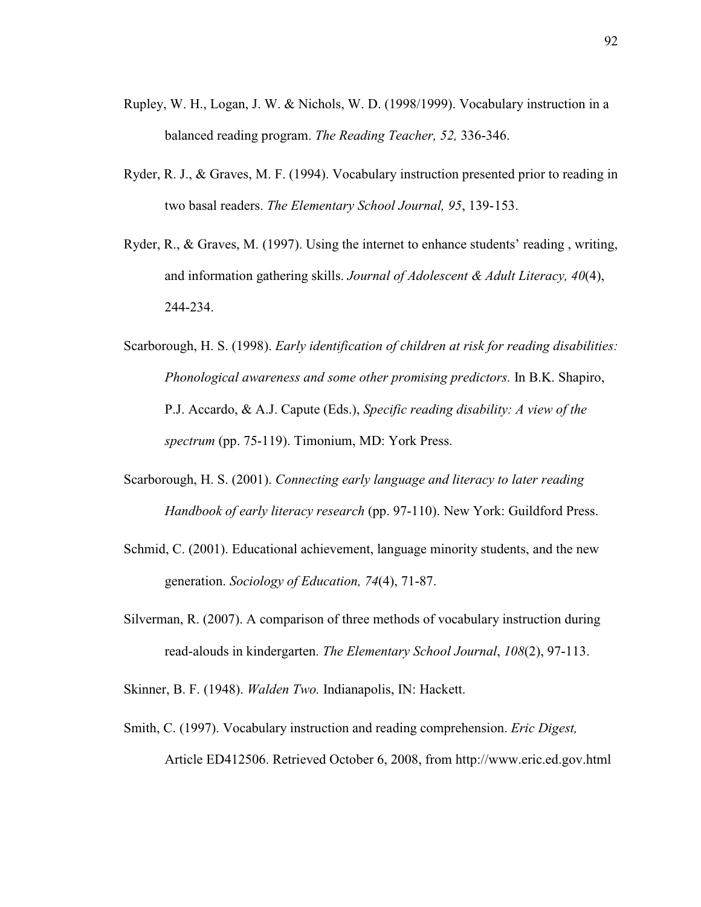- Rupley, W. H., Logan, J. W. & Nichols, W. D. (1998/1999). Vocabulary instruction in a balanced reading program. *The Reading Teacher, 52,* 336-346.
- Ryder, R. J., & Graves, M. F. (1994). Vocabulary instruction presented prior to reading in two basal readers. *The Elementary School Journal, 95*, 139- 153.
- Ryder, R., & Graves, M. (1997). Using the internet to enhance students' reading , writing, and information gathering skills. *Journal of Adolescent & Adult Literacy, 40*(4), 244-234.
- Scarborough, H. S. (1998). *Early identification of children at risk for reading disabilities: Phonological awareness and some other promising predictors.* In B.K. Shapiro, P.J. Accardo, & A.J. Capute (Eds.), *Specific reading disability: A view of the spectrum* (pp. 75-119). Timonium, MD: York Press.
- Scarborough, H. S. (2001). *Connecting early language and literacy to later reading Handbook of early literacy research* (pp. 97-110). New York: Guildford Press.
- Schmid, C. (2001). Educational achievement, language minority students, and the new generation. *Sociology of Education, 74*(4), 71-87.
- Silverman, R. (2007). A comparison of three methods of vocabulary instruction during read-alouds in kindergarten. *The Elementary School Journal*, *108*(2), 97-113.

Skinner, B. F. (1948). *Walden Two.* Indianapolis, IN: Hackett.

Smith, C. (1997). Vocabulary instruction and reading comprehension. *Eric Digest,*  Article ED412506. Retrieved October 6, 2008, from http://www.eric.ed.gov.html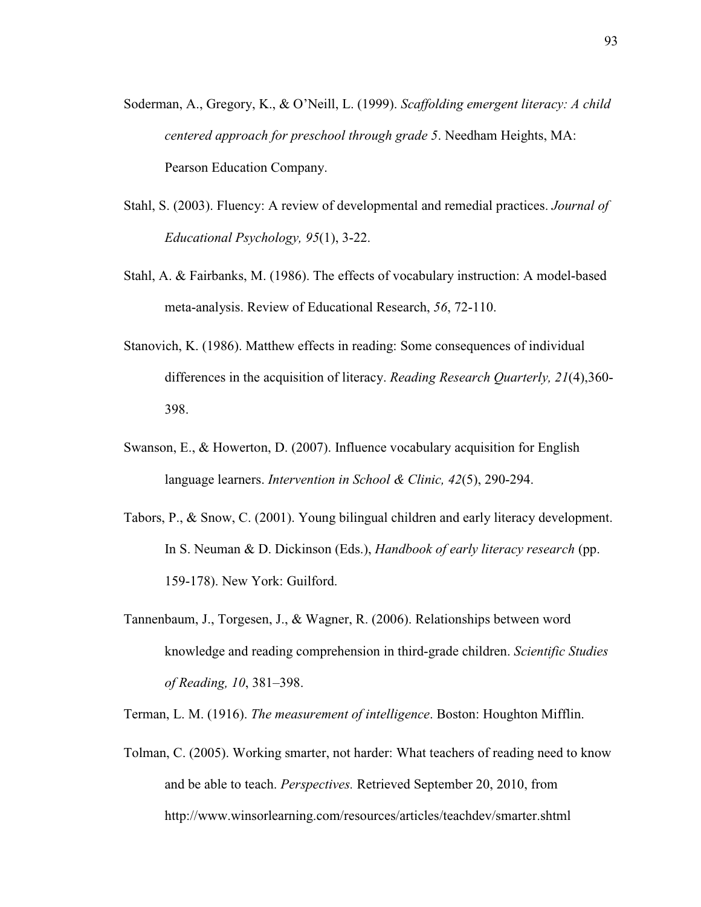- Soderman, A., Gregory, K., & O'Neill, L. (1999). *Scaffolding emergent literacy: A child centered approach for preschool through grade 5*. Needham Heights, MA: Pearson Education Company.
- Stahl, S. (2003). Fluency: A review of developmental and remedial practices. *Journal of Educational Psychology, 95*(1), 3-22.
- Stahl, A. & Fairbanks, M. (1986). The effects of vocabulary instruction: A model-based meta-analysis. Review of Educational Research, *56*, 72-110.
- Stanovich, K. (1986). Matthew effects in reading: Some consequences of individual differences in the acquisition of literacy. *Reading Research Quarterly, 21*(4),360- 398.
- Swanson, E., & Howerton, D. (2007). Influence vocabulary acquisition for English language learners. *Intervention in School & Clinic, 42*(5), 290-294.
- Tabors, P., & Snow, C. (2001). Young bilingual children and early literacy development. In S. Neuman & D. Dickinson (Eds.), *Handbook of early literacy research* (pp. 159-178). New York: Guilford.
- Tannenbaum, J., Torgesen, J., & Wagner, R. (2006). Relationships between word knowledge and reading comprehension in third-grade children. *Scientific Studies of Reading, 10*, 381–398.

Terman, L. M. (1916). *The measurement of intelligence*. Boston: Houghton Mifflin.

Tolman, C. (2005). Working smarter, not harder: What teachers of reading need to know and be able to teach. *Perspectives.* Retrieved September 20, 2010, from http://www.winsorlearning.com/resources/articles/teachdev/smarter.shtml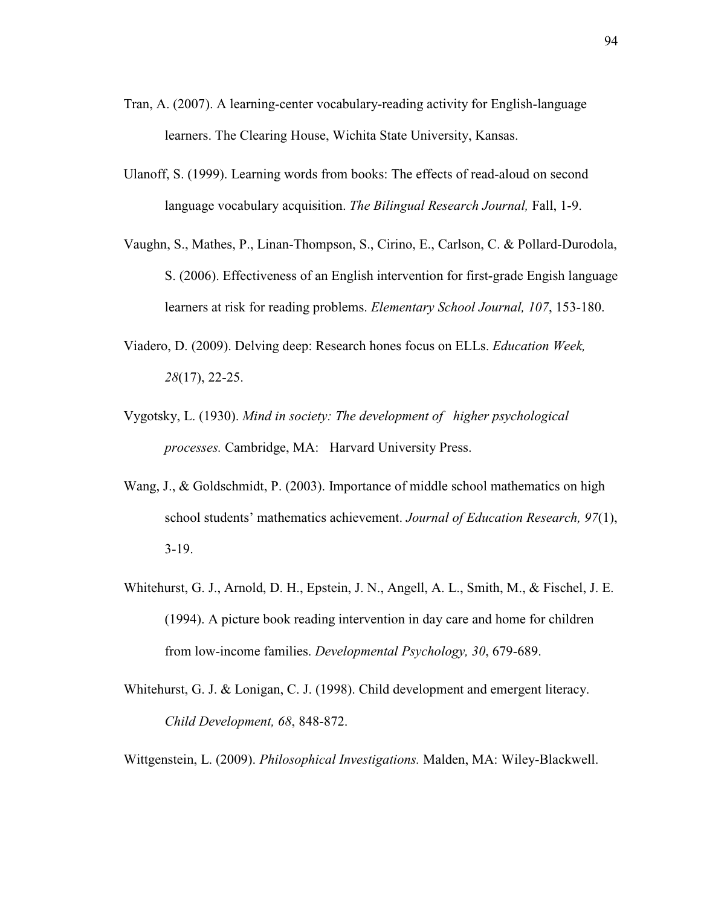- Tran, A. (2007). A learning-center vocabulary-reading activity for English-language learners. The Clearing House, Wichita State University, Kansas.
- Ulanoff, S. (1999). Learning words from books: The effects of read-aloud on second language vocabulary acquisition. *The Bilingual Research Journal,* Fall, 1-9.
- Vaughn, S., Mathes, P., Linan-Thompson, S., Cirino, E., Carlson, C. & Pollard-Durodola, S. (2006). Effectiveness of an English intervention for first-grade Engish language learners at risk for reading problems. *Elementary School Journal, 107*, 153-180.
- Viadero, D. (2009). Delving deep: Research hones focus on ELLs. *Education Week, 28*(17), 22-25.
- Vygotsky, L. (1930). *Mind in society: The development of higher psychological processes.* Cambridge, MA: Harvard University Press.
- Wang, J., & Goldschmidt, P. (2003). Importance of middle school mathematics on high school students' mathematics achievement. *Journal of Education Research, 97*(1), 3-19.
- Whitehurst, G. J., Arnold, D. H., Epstein, J. N., Angell, A. L., Smith, M., & Fischel, J. E. (1994). A picture book reading intervention in day care and home for children from low-income families. *Developmental Psychology, 30*, 679-689.
- Whitehurst, G. J. & Lonigan, C. J. (1998). Child development and emergent literacy. *Child Development, 68*, 848-872.

Wittgenstein, L. (2009). *Philosophical Investigations.* Malden, MA: Wiley-Blackwell.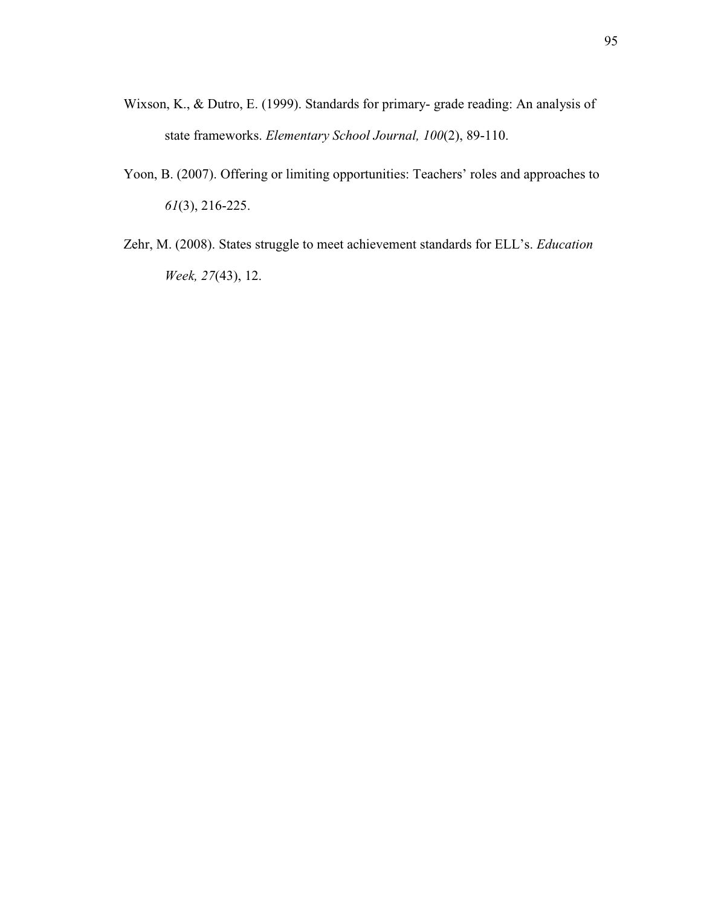- Wixson, K., & Dutro, E. (1999). Standards for primary- grade reading: An analysis of state frameworks. *Elementary School Journal, 100*(2), 89-110.
- Yoon, B. (2007). Offering or limiting opportunities: Teachers' roles and approaches to *61*(3), 216-225.
- Zehr, M. (2008). States struggle to meet achievement standards for ELL's. *Education Week, 27*(43), 12.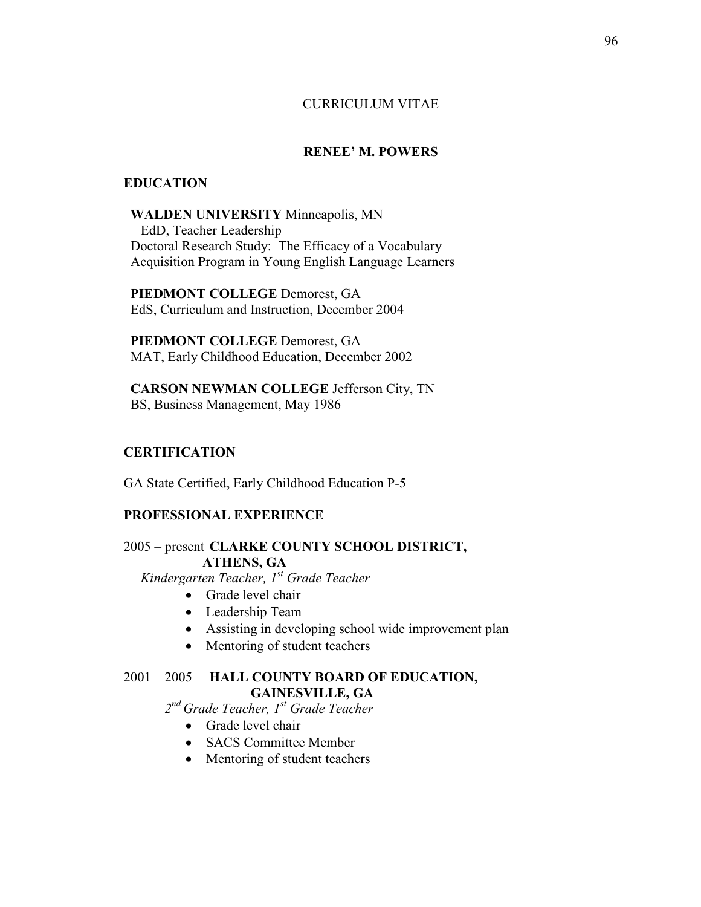### CURRICULUM VITAE

# **RENEE' M. POWERS**

#### **EDUCATION**

#### **WALDEN UNIVERSITY** Minneapolis, MN

 EdD, Teacher Leadership Doctoral Research Study: The Efficacy of a Vocabulary Acquisition Program in Young English Language Learners

 **PIEDMONT COLLEGE** Demorest, GA EdS, Curriculum and Instruction, December 2004

 **PIEDMONT COLLEGE** Demorest, GA MAT, Early Childhood Education, December 2002

 **CARSON NEWMAN COLLEGE** Jefferson City, TN BS, Business Management, May 1986

#### **CERTIFICATION**

GA State Certified, Early Childhood Education P-5

#### **PROFESSIONAL EXPERIENCE**

2005 – present **CLARKE COUNTY SCHOOL DISTRICT, ATHENS, GA** 

*Kindergarten Teacher, 1st Grade Teacher* 

- Grade level chair
- Leadership Team
- Assisting in developing school wide improvement plan
- Mentoring of student teachers

# 2001 – 2005 **HALL COUNTY BOARD OF EDUCATION, GAINESVILLE, GA**

*2 nd Grade Teacher, 1st Grade Teacher* 

- Grade level chair
- SACS Committee Member
- Mentoring of student teachers